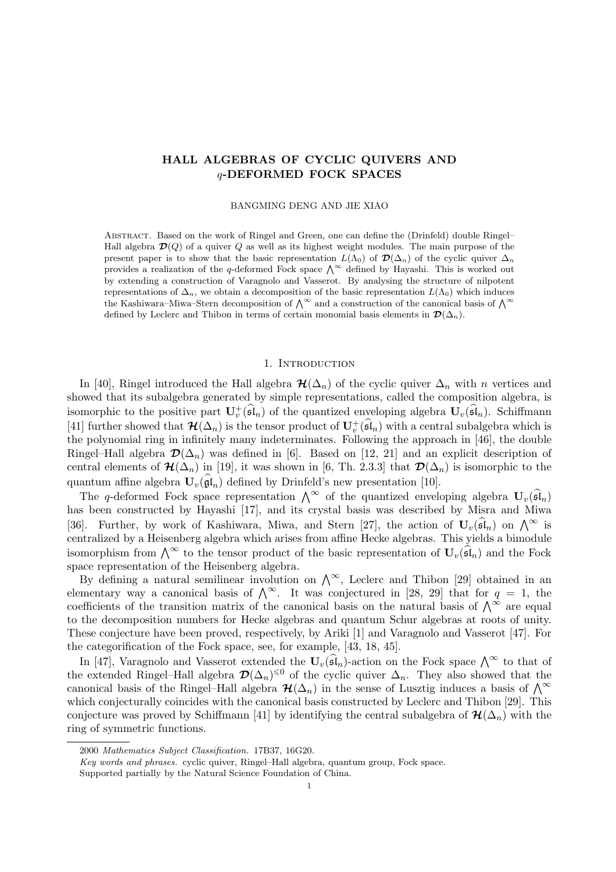# HALL ALGEBRAS OF CYCLIC QUIVERS AND q-DEFORMED FOCK SPACES

#### BANGMING DENG AND JIE XIAO

ABSTRACT. Based on the work of Ringel and Green, one can define the (Drinfeld) double Ringel– Hall algebra  $\mathcal{D}(Q)$  of a quiver Q as well as its highest weight modules. The main purpose of the present paper is to show that the basic representation  $L(\Lambda_0)$  of  $\mathcal{D}(\Delta_n)$  of the cyclic quiver  $\Delta_n$ provides a realization of the q-deformed Fock space  $\Lambda^{\infty}$  defined by Hayashi. This is worked out by extending a construction of Varagnolo and Vasserot. By analysing the structure of nilpotent representations of  $\Delta_n$ , we obtain a decomposition of the basic representation  $L(\Lambda_0)$  which induces the Kashiwara–Miwa–Stern decomposition of  $\bigwedge^{\infty}$  and a construction of the canonical basis of  $\bigwedge^{\infty}$ defined by Leclerc and Thibon in terms of certain monomial basis elements in  $\mathcal{D}(\Delta_n)$ .

### 1. INTRODUCTION

In [40], Ringel introduced the Hall algebra  $\mathcal{H}(\Delta_n)$  of the cyclic quiver  $\Delta_n$  with n vertices and showed that its subalgebra generated by simple representations, called the composition algebra, is isomorphic to the positive part  $\mathbf{U}_{v}^{+}(\widehat{\mathfrak{sl}}_n)$  of the quantized enveloping algebra  $\mathbf{U}_{v}(\widehat{\mathfrak{sl}}_n)$ . Schiffmann [41] further showed that  $\mathcal{H}(\Delta_n)$  is the tensor product of  $\mathbf{U}_v^+(\widehat{\mathfrak{sl}}_n)$  with a central subalgebra which is the polynomial ring in infinitely many indeterminates. Following the approach in [46], the double Ringel–Hall algebra  $\mathcal{D}(\Delta_n)$  was defined in [6]. Based on [12, 21] and an explicit description of central elements of  $\mathcal{H}(\Delta_n)$  in [19], it was shown in [6, Th. 2.3.3] that  $\mathcal{D}(\Delta_n)$  is isomorphic to the quantum affine algebra  $\mathbf{U}_{v}(\mathfrak{gl}_n)$  defined by Drinfeld's new presentation [10].

The q-deformed Fock space representation  $\bigwedge^{\infty}$  of the quantized enveloping algebra  $\mathbf{U}_{v}(\widehat{\mathfrak{sl}}_n)$ has been constructed by Hayashi [17], and its crystal basis was described by Misra and Miwa [36]. Further, by work of Kashiwara, Miwa, and Stern [27], the action of  $\mathbf{U}_{v}(\mathfrak{sl}_n)$  on  $\bigwedge^{\infty}$  is centralized by a Heisenberg algebra which arises from affine Hecke algebras. This yields a bimodule isomorphism from  $\bigwedge^{\infty}$  to the tensor product of the basic representation of  $\mathbf{U}_{v}(\widehat{\mathfrak{sl}}_n)$  and the Fock space representation of the Heisenberg algebra.

By defining a natural semilinear involution on  $\bigwedge^{\infty}$ , Leclerc and Thibon [29] obtained in an elementary way a canonical basis of  $\bigwedge^{\infty}$ . It was conjectured in [28, 29] that for  $q = 1$ , the coefficients of the transition matrix of the canonical basis on the natural basis of  $\bigwedge^{\infty}$  are equal to the decomposition numbers for Hecke algebras and quantum Schur algebras at roots of unity. These conjecture have been proved, respectively, by Ariki [1] and Varagnolo and Vasserot [47]. For the categorification of the Fock space, see, for example, [43, 18, 45].

In [47], Varagnolo and Vasserot extended the  $\mathbf{U}_{v}(\widehat{\mathfrak{sl}}_n)$ -action on the Fock space  $\bigwedge^{\infty}$  to that of the extended Ringel–Hall algebra  $\mathcal{D}(\Delta_n)^{\leq 0}$  of the cyclic quiver  $\Delta_n$ . They also showed that the canonical basis of the Ringel–Hall algebra  $\mathcal{H}(\Delta_n)$  in the sense of Lusztig induces a basis of  $\bigwedge^{\infty}$ which conjecturally coincides with the canonical basis constructed by Leclerc and Thibon [29]. This conjecture was proved by Schiffmann [41] by identifying the central subalgebra of  $\mathcal{H}(\Delta_n)$  with the ring of symmetric functions.

<sup>2000</sup> Mathematics Subject Classification. 17B37, 16G20.

Key words and phrases. cyclic quiver, Ringel–Hall algebra, quantum group, Fock space.

Supported partially by the Natural Science Foundation of China.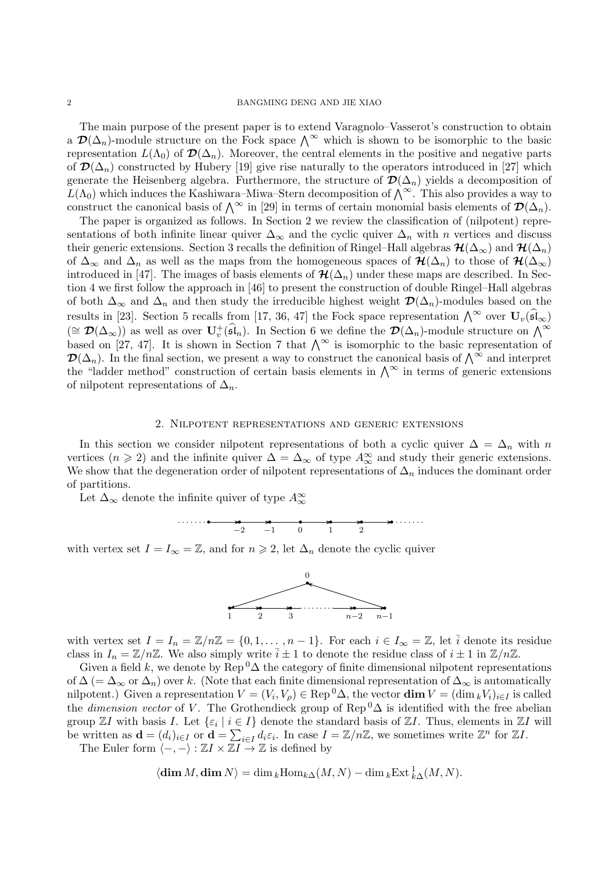The main purpose of the present paper is to extend Varagnolo–Vasserot's construction to obtain a  $\mathcal{D}(\Delta_n)$ -module structure on the Fock space  $\bigwedge^{\infty}$  which is shown to be isomorphic to the basic representation  $L(\Lambda_0)$  of  $\mathcal{D}(\Delta_n)$ . Moreover, the central elements in the positive and negative parts of  $\mathcal{D}(\Delta_n)$  constructed by Hubery [19] give rise naturally to the operators introduced in [27] which generate the Heisenberg algebra. Furthermore, the structure of  $\mathcal{D}(\Delta_n)$  yields a decomposition of  $L(\Lambda_0)$  which induces the Kashiwara–Miwa–Stern decomposition of  $\bigwedge^{\infty}$ . This also provides a way to construct the canonical basis of  $\bigwedge^{\infty}$  in [29] in terms of certain monomial basis elements of  $\mathcal{D}(\Delta_n)$ .

The paper is organized as follows. In Section 2 we review the classification of (nilpotent) representations of both infinite linear quiver  $\Delta_{\infty}$  and the cyclic quiver  $\Delta_n$  with n vertices and discuss their generic extensions. Section 3 recalls the definition of Ringel–Hall algebras  $\mathcal{H}(\Delta_{\infty})$  and  $\mathcal{H}(\Delta_n)$ of  $\Delta_{\infty}$  and  $\Delta_n$  as well as the maps from the homogeneous spaces of  $\mathcal{H}(\Delta_n)$  to those of  $\mathcal{H}(\Delta_{\infty})$ introduced in [47]. The images of basis elements of  $\mathcal{H}(\Delta_n)$  under these maps are described. In Section 4 we first follow the approach in [46] to present the construction of double Ringel–Hall algebras of both  $\Delta_{\infty}$  and  $\Delta_n$  and then study the irreducible highest weight  $\mathcal{D}(\Delta_n)$ -modules based on the results in [23]. Section 5 recalls from [17, 36, 47] the Fock space representation  $\bigwedge^{\infty}$  over  $\mathbf{U}_{v}(\widehat{\mathfrak{sl}}_{\infty})$  $(\cong \mathcal{D}(\Delta_{\infty}))$  as well as over  $\mathbf{U}_{v}^{+}(\widehat{\mathfrak{sl}}_{n})$ . In Section 6 we define the  $\mathcal{D}(\Delta_{n})$ -module structure on  $\bigwedge^{\infty}$ based on [27, 47]. It is shown in Section 7 that  $\bigwedge^{\infty}$  is isomorphic to the basic representation of  $\mathcal{D}(\Delta_n)$ . In the final section, we present a way to construct the canonical basis of  $\bigwedge^{\infty}$  and interpret the "ladder method" construction of certain basis elements in  $\bigwedge^{\infty}$  in terms of generic extensions of nilpotent representations of  $\Delta_n$ .

### 2. Nilpotent representations and generic extensions

In this section we consider nilpotent representations of both a cyclic quiver  $\Delta = \Delta_n$  with n vertices  $(n \geq 2)$  and the infinite quiver  $\Delta = \Delta_{\infty}$  of type  $A_{\infty}^{\infty}$  and study their generic extensions. We show that the degeneration order of nilpotent representations of  $\Delta_n$  induces the dominant order of partitions.

Let  $\Delta_{\infty}$  denote the infinite quiver of type  $A_{\infty}^{\infty}$ 



with vertex set  $I = I_{\infty} = \mathbb{Z}$ , and for  $n \geq 2$ , let  $\Delta_n$  denote the cyclic quiver



with vertex set  $I = I_n = \mathbb{Z}/n\mathbb{Z} = \{0, 1, \ldots, n-1\}$ . For each  $i \in I_\infty = \mathbb{Z}$ , let  $\overline{i}$  denote its residue class in  $I_n = \mathbb{Z}/n\mathbb{Z}$ . We also simply write  $\bar{i} \pm 1$  to denote the residue class of  $i \pm 1$  in  $\mathbb{Z}/n\mathbb{Z}$ .

Given a field k, we denote by Rep  ${}^{0}\Delta$  the category of finite dimensional nilpotent representations of  $\Delta$  (=  $\Delta_{\infty}$  or  $\Delta_n$ ) over k. (Note that each finite dimensional representation of  $\Delta_{\infty}$  is automatically nilpotent.) Given a representation  $V = (V_i, V_\rho) \in \text{Rep}^0\Delta$ , the vector  $\dim V = (\dim_k V_i)_{i \in I}$  is called the *dimension vector* of V. The Grothendieck group of Rep<sup>0</sup> $\Delta$  is identified with the free abelian group  $\mathbb{Z}I$  with basis  $I$ . Let  $\{\varepsilon_i \mid i \in I\}$  denote the standard basis of  $\mathbb{Z}I$ . Thus, elements in  $\mathbb{Z}I$  will be written as  $\mathbf{d} = (d_i)_{i \in I}$  or  $\mathbf{d} = \sum_{i \in I} d_i \varepsilon_i$ . In case  $I = \mathbb{Z}/n\mathbb{Z}$ , we sometimes write  $\mathbb{Z}^n$  for  $\mathbb{Z}I$ .

The Euler form  $\langle -, - \rangle : \mathbb{Z} I \times \mathbb{Z} I \to \mathbb{Z}$  is defined by

$$
\langle \dim M, \dim N \rangle = \dim_k \operatorname{Hom}_{k\Delta}(M, N) - \dim_k \operatorname{Ext}_{k\Delta}^1(M, N).
$$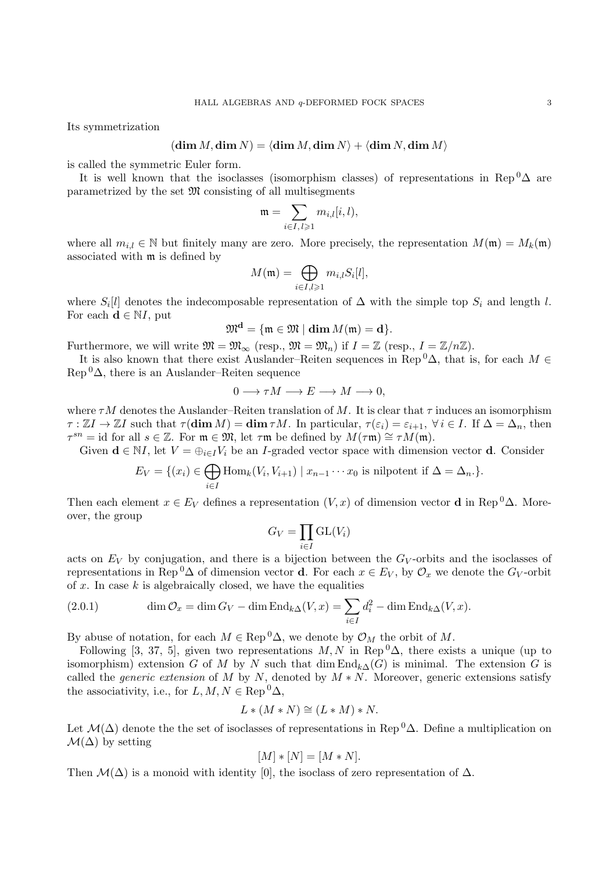Its symmetrization

$$
(\dim M, \dim N) = \langle \dim M, \dim N \rangle + \langle \dim N, \dim M \rangle
$$

is called the symmetric Euler form.

It is well known that the isoclasses (isomorphism classes) of representations in Rep<sup>0</sup> $\Delta$  are parametrized by the set  $\mathfrak{M}$  consisting of all multisegments

$$
\mathfrak{m}=\sum_{i\in I,\,l\geqslant 1}m_{i,l}[i,l),
$$

where all  $m_{i,l} \in \mathbb{N}$  but finitely many are zero. More precisely, the representation  $M(\mathfrak{m}) = M_k(\mathfrak{m})$ associated with m is defined by

$$
M(\mathfrak{m})=\bigoplus_{i\in I, l\geqslant 1}m_{i,l}S_i[l],
$$

where  $S_i[l]$  denotes the indecomposable representation of  $\Delta$  with the simple top  $S_i$  and length l. For each  $\mathbf{d} \in \mathbb{N}I$ , put

$$
\mathfrak{M}^{\mathbf{d}}=\{\mathfrak{m}\in\mathfrak{M}\mid\dim M(\mathfrak{m})=\mathbf{d}\}.
$$

Furthermore, we will write  $\mathfrak{M} = \mathfrak{M}_{\infty}$  (resp.,  $\mathfrak{M} = \mathfrak{M}_n$ ) if  $I = \mathbb{Z}$  (resp.,  $I = \mathbb{Z}/n\mathbb{Z}$ ).

It is also known that there exist Auslander–Reiten sequences in Rep <sup>0</sup> $\Delta$ , that is, for each  $M \in$  $\text{Rep}^0\Delta$ , there is an Auslander–Reiten sequence

$$
0 \longrightarrow \tau M \longrightarrow E \longrightarrow M \longrightarrow 0,
$$

where  $\tau M$  denotes the Auslander–Reiten translation of M. It is clear that  $\tau$  induces an isomorphism  $\tau : \mathbb{Z}I \to \mathbb{Z}I$  such that  $\tau(\dim M) = \dim \tau M$ . In particular,  $\tau(\varepsilon_i) = \varepsilon_{i+1}$ ,  $\forall i \in I$ . If  $\Delta = \Delta_n$ , then  $\tau^{sn} = \text{id}$  for all  $s \in \mathbb{Z}$ . For  $\mathfrak{m} \in \mathfrak{M}$ , let  $\tau \mathfrak{m}$  be defined by  $M(\tau \mathfrak{m}) \cong \tau M(\mathfrak{m})$ .

Given  $\mathbf{d} \in \mathbb{N}I$ , let  $V = \bigoplus_{i \in I} V_i$  be an *I*-graded vector space with dimension vector **d**. Consider

$$
E_V = \{(x_i) \in \bigoplus_{i \in I} \text{Hom}_k(V_i, V_{i+1}) \mid x_{n-1} \cdots x_0 \text{ is nilpotent if } \Delta = \Delta_n \}.
$$

Then each element  $x \in E_V$  defines a representation  $(V, x)$  of dimension vector **d** in Rep<sup>0</sup> $\Delta$ . Moreover, the group

$$
G_V = \prod_{i \in I} \mathrm{GL}(V_i)
$$

acts on  $E_V$  by conjugation, and there is a bijection between the  $G_V$ -orbits and the isoclasses of representations in Rep <sup>0</sup> $\Delta$  of dimension vector **d**. For each  $x \in E_V$ , by  $\mathcal{O}_x$  we denote the  $G_V$ -orbit of  $x$ . In case  $k$  is algebraically closed, we have the equalities

(2.0.1) 
$$
\dim \mathcal{O}_x = \dim G_V - \dim \text{End}_{k\Delta}(V, x) = \sum_{i \in I} d_i^2 - \dim \text{End}_{k\Delta}(V, x).
$$

By abuse of notation, for each  $M \in \text{Rep}^0\Delta$ , we denote by  $\mathcal{O}_M$  the orbit of M.

Following [3, 37, 5], given two representations  $M, N$  in Rep  ${}^{0}\Delta$ , there exists a unique (up to isomorphism) extension G of M by N such that dim  $\text{End}_{k\Delta}(G)$  is minimal. The extension G is called the *generic extension* of M by N, denoted by  $M*N$ . Moreover, generic extensions satisfy the associativity, i.e., for  $L, M, N \in \text{Rep}^0 \Delta$ ,

$$
L * (M * N) \cong (L * M) * N.
$$

Let  $\mathcal{M}(\Delta)$  denote the set of isoclasses of representations in Rep<sup>0</sup> $\Delta$ . Define a multiplication on  $\mathcal{M}(\Delta)$  by setting

$$
[M] * [N] = [M * N].
$$

Then  $\mathcal{M}(\Delta)$  is a monoid with identity [0], the isoclass of zero representation of  $\Delta$ .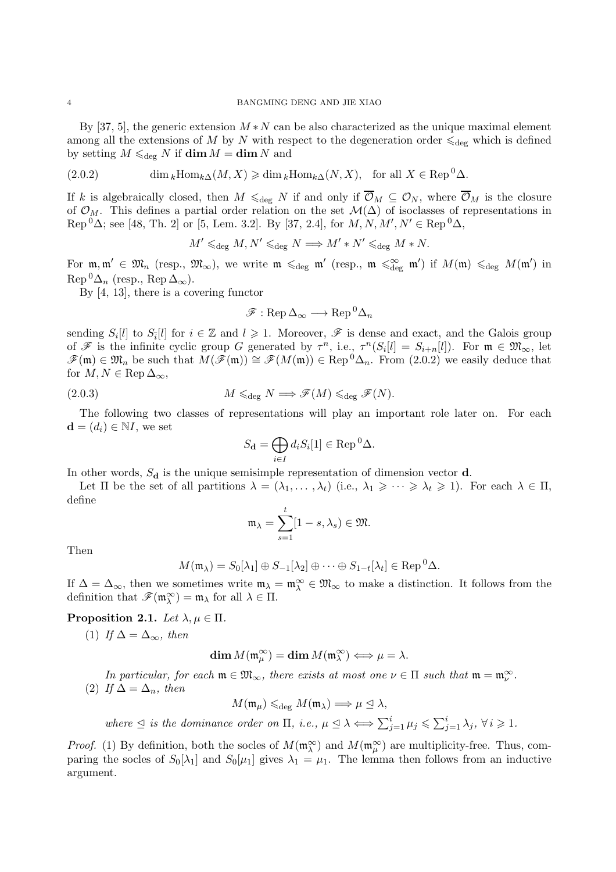By [37, 5], the generic extension  $M*N$  can be also characterized as the unique maximal element among all the extensions of M by N with respect to the degeneration order  $\leq_{\text{deg}}$  which is defined by setting  $M \leq_{\text{deg}} N$  if  $\dim M = \dim N$  and

(2.0.2) 
$$
\dim_k \text{Hom}_{k\Delta}(M, X) \geq \dim_k \text{Hom}_{k\Delta}(N, X), \text{ for all } X \in \text{Rep}^0 \Delta.
$$

If k is algebraically closed, then  $M \leq_{\text{deg}} N$  if and only if  $\overline{\mathcal{O}}_M \subseteq \mathcal{O}_N$ , where  $\overline{\mathcal{O}}_M$  is the closure of  $\mathcal{O}_M$ . This defines a partial order relation on the set  $\mathcal{M}(\Delta)$  of isoclasses of representations in  $\text{Rep}^{0}\Delta$ ; see [48, Th. 2] or [5, Lem. 3.2]. By [37, 2.4], for  $M, N, M', N' \in \text{Rep}^{0}\Delta$ ,

$$
M' \leq_{\text{deg}} M, N' \leq_{\text{deg}} N \Longrightarrow M' * N' \leq_{\text{deg}} M * N.
$$

For  $\mathfrak{m}, \mathfrak{m}' \in \mathfrak{M}_n$  (resp.,  $\mathfrak{M}_{\infty}$ ), we write  $\mathfrak{m} \leq_{\text{deg}} \mathfrak{m}'$  (resp.,  $\mathfrak{m} \leq_{\text{deg}}^{\infty} \mathfrak{m}'$ ) if  $M(\mathfrak{m}) \leq_{\text{deg}} M(\mathfrak{m}')$  in  $\text{Rep}^0\Delta_n$  (resp.,  $\text{Rep }\Delta_\infty$ ).

By [4, 13], there is a covering functor

$$
\mathscr{F}: \operatorname{Rep}\nolimits \Delta_{\infty} \longrightarrow \operatorname{Rep}\nolimits^0 \Delta_n
$$

sending  $S_i[l]$  to  $S_{\overline{i}}[l]$  for  $i \in \mathbb{Z}$  and  $l \geq 1$ . Moreover,  $\mathscr F$  is dense and exact, and the Galois group of  $\mathscr F$  is the infinite cyclic group G generated by  $\tau^n$ , i.e.,  $\tau^n(S_i[l] = S_{i+n}[l])$ . For  $\mathfrak m \in \mathfrak M_\infty$ , let  $\mathscr{F}(\mathfrak{m}) \in \mathfrak{M}_n$  be such that  $M(\mathscr{F}(\mathfrak{m})) \cong \mathscr{F}(M(\mathfrak{m})) \in \text{Rep}^0\Delta_n$ . From (2.0.2) we easily deduce that for  $M, N \in \text{Rep } \Delta_{\infty}$ ,

(2.0.3) 
$$
M \leq_{\text{deg}} N \Longrightarrow \mathscr{F}(M) \leq_{\text{deg}} \mathscr{F}(N).
$$

The following two classes of representations will play an important role later on. For each  $\mathbf{d} = (d_i) \in \mathbb{N}I$ , we set

$$
S_{\mathbf{d}} = \bigoplus_{i \in I} d_i S_i[1] \in \text{Rep}^0 \Delta.
$$

In other words,  $S_d$  is the unique semisimple representation of dimension vector  $d$ .

Let  $\Pi$  be the set of all partitions  $\lambda = (\lambda_1, \ldots, \lambda_t)$  (i.e.,  $\lambda_1 \geqslant \cdots \geqslant \lambda_t \geqslant 1$ ). For each  $\lambda \in \Pi$ , define

$$
\mathfrak{m}_{\lambda} = \sum_{s=1}^{t} [1 - s, \lambda_s) \in \mathfrak{M}.
$$

Then

$$
M(\mathfrak{m}_{\lambda}) = S_0[\lambda_1] \oplus S_{-1}[\lambda_2] \oplus \cdots \oplus S_{1-t}[\lambda_t] \in \text{Rep}^0 \Delta.
$$

If  $\Delta = \Delta_{\infty}$ , then we sometimes write  $\mathfrak{m}_{\lambda} = \mathfrak{m}_{\lambda}^{\infty} \in \mathfrak{M}_{\infty}$  to make a distinction. It follows from the definition that  $\mathscr{F}(\mathfrak{m}_{\lambda}^{\infty}) = \mathfrak{m}_{\lambda}$  for all  $\lambda \in \Pi$ .

Proposition 2.1. Let  $\lambda, \mu \in \Pi$ .

(1) If  $\Delta = \Delta_{\infty}$ , then

$$
\dim M(\mathfrak{m}_{\mu}^{\infty}) = \dim M(\mathfrak{m}_{\lambda}^{\infty}) \Longleftrightarrow \mu = \lambda.
$$

In particular, for each  $\mathfrak{m} \in \mathfrak{M}_{\infty}$ , there exists at most one  $\nu \in \Pi$  such that  $\mathfrak{m} = \mathfrak{m}_{\nu}^{\infty}$ . (2) If  $\Delta = \Delta_n$ , then

 $M(\mathfrak{m}_{\mu}) \leqslant_{\text{deg}} M(\mathfrak{m}_{\lambda}) \Longrightarrow \mu \trianglelefteq \lambda,$ 

where  $\leq$  is the dominance order on  $\Pi$ , i.e.,  $\mu \leq \lambda \Longleftrightarrow \sum_{j=1}^{i} \mu_j \leq \sum_{j=1}^{i} \lambda_j$ ,  $\forall i \geq 1$ .

*Proof.* (1) By definition, both the socles of  $M(\mathfrak{m}_{\lambda}^{\infty})$  and  $M(\mathfrak{m}_{\mu}^{\infty})$  are multiplicity-free. Thus, comparing the socles of  $S_0[\lambda_1]$  and  $S_0[\mu_1]$  gives  $\lambda_1 = \mu_1$ . The lemma then follows from an inductive argument.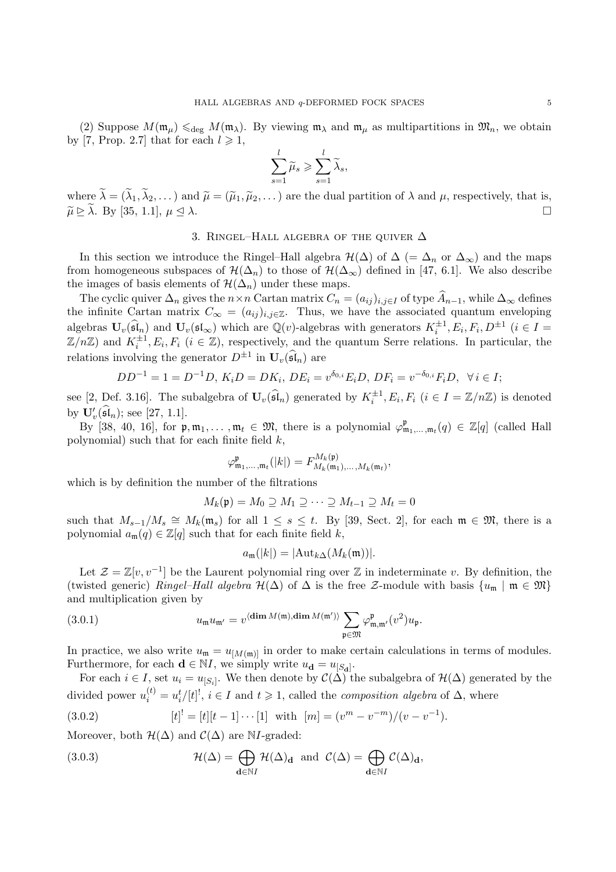(2) Suppose  $M(\mathfrak{m}_{\mu}) \leq \mathfrak{g}_{\text{deg}} M(\mathfrak{m}_{\lambda})$ . By viewing  $\mathfrak{m}_{\lambda}$  and  $\mathfrak{m}_{\mu}$  as multipartitions in  $\mathfrak{M}_n$ , we obtain by [7, Prop. 2.7] that for each  $l \geq 1$ ,

$$
\sum_{s=1}^l \widetilde{\mu}_s \geqslant \sum_{s=1}^l \widetilde{\lambda}_s,
$$

where  $\lambda = (\lambda_1, \lambda_2, \dots)$  and  $\tilde{\mu} = (\tilde{\mu}_1, \tilde{\mu}_2, \dots)$  are the dual partition of  $\lambda$  and  $\mu$ , respectively, that is,  $\widetilde{\mu} \ge \lambda$ . By [35, 1.1],  $\mu \le \lambda$ .

#### 3. RINGEL–HALL ALGEBRA OF THE QUIVER  $\Delta$

In this section we introduce the Ringel–Hall algebra  $\mathcal{H}(\Delta)$  of  $\Delta$  (=  $\Delta_n$  or  $\Delta_{\infty}$ ) and the maps from homogeneous subspaces of  $\mathcal{H}(\Delta_n)$  to those of  $\mathcal{H}(\Delta_{\infty})$  defined in [47, 6.1]. We also describe the images of basis elements of  $\mathcal{H}(\Delta_n)$  under these maps.

The cyclic quiver  $\Delta_n$  gives the  $n \times n$  Cartan matrix  $C_n = (a_{ij})_{i,j \in I}$  of type  $\widehat{A}_{n-1}$ , while  $\Delta_\infty$  defines the infinite Cartan matrix  $C_{\infty} = (a_{ij})_{i,j \in \mathbb{Z}}$ . Thus, we have the associated quantum enveloping algebras  $\mathbf{U}_v(\widehat{\mathfrak{sl}}_n)$  and  $\mathbf{U}_v(\mathfrak{sl}_{\infty})$  which are  $\mathbb{Q}(v)$ -algebras with generators  $K_i^{\pm 1}, E_i, F_i, D^{\pm 1}$   $(i \in I =$  $\mathbb{Z}/n\mathbb{Z}$  and  $K_i^{\pm 1}, E_i, F_i$   $(i \in \mathbb{Z})$ , respectively, and the quantum Serre relations. In particular, the relations involving the generator  $D^{\pm 1}$  in  $\mathbf{U}_{v}(\widehat{\mathfrak{sl}}_n)$  are

$$
DD^{-1} = 1 = D^{-1}D, K_iD = DK_i, DE_i = v^{\delta_{0,i}}E_iD, DF_i = v^{-\delta_{0,i}}F_iD, \forall i \in I;
$$

see [2, Def. 3.16]. The subalgebra of  $\mathbf{U}_v(\widehat{\mathfrak{sl}}_n)$  generated by  $K_i^{\pm 1}, E_i, F_i$   $(i \in I = \mathbb{Z}/n\mathbb{Z})$  is denoted by  $\mathbf{U}'_v(\mathfrak{sl}_n)$ ; see [27, 1.1].

By [38, 40, 16], for  $\mathfrak{p}, \mathfrak{m}_1, \ldots, \mathfrak{m}_t \in \mathfrak{M}$ , there is a polynomial  $\varphi^{\mathfrak{p}}_{\mathfrak{m}_1, \ldots, \mathfrak{m}_t}(q) \in \mathbb{Z}[q]$  (called Hall polynomial) such that for each finite field  $k$ ,

$$
\varphi_{\mathfrak{m}_1,\ldots,\mathfrak{m}_t}^{\mathfrak{p}}(|k|) = F_{M_k(\mathfrak{m}_1),\ldots,M_k(\mathfrak{m}_t)}^{M_k(\mathfrak{p})},
$$

which is by definition the number of the filtrations

$$
M_k(\mathfrak{p}) = M_0 \supseteq M_1 \supseteq \cdots \supseteq M_{t-1} \supseteq M_t = 0
$$

such that  $M_{s-1}/M_s \cong M_k(\mathfrak{m}_s)$  for all  $1 \leq s \leq t$ . By [39, Sect. 2], for each  $\mathfrak{m} \in \mathfrak{M}$ , there is a polynomial  $a_{\mathfrak{m}}(q) \in \mathbb{Z}[q]$  such that for each finite field  $k$ ,

$$
a_{\mathfrak{m}}(|k|) = |\text{Aut}_{k\Delta}(M_k(\mathfrak{m}))|.
$$

Let  $\mathcal{Z} = \mathbb{Z}[v, v^{-1}]$  be the Laurent polynomial ring over  $\mathbb{Z}$  in indeterminate v. By definition, the (twisted generic) Ringel–Hall algebra  $\mathcal{H}(\Delta)$  of  $\Delta$  is the free Z-module with basis  $\{u_{\mathfrak{m}} \mid \mathfrak{m} \in \mathfrak{M}\}\$ and multiplication given by

(3.0.1) 
$$
u_{\mathfrak{m}}u_{\mathfrak{m}'} = v^{\langle \dim M(\mathfrak{m}), \dim M(\mathfrak{m}') \rangle} \sum_{\mathfrak{p} \in \mathfrak{M}} \varphi^{\mathfrak{p}}_{\mathfrak{m},\mathfrak{m}'}(v^2) u_{\mathfrak{p}}.
$$

In practice, we also write  $u_{\mathfrak{m}} = u_{[M(\mathfrak{m})]}$  in order to make certain calculations in terms of modules. Furthermore, for each  $\mathbf{d} \in \mathbb{N}I$ , we simply write  $u_{\mathbf{d}} = u_{[S_{\mathbf{d}}]}$ .

For each  $i \in I$ , set  $u_i = u_{[S_i]}$ . We then denote by  $\mathcal{C}(\Delta)$  the subalgebra of  $\mathcal{H}(\Delta)$  generated by the divided power  $u_i^{(t)} = u_i^t/[t]^!, i \in I$  and  $t \geq 1$ , called the *composition algebra* of  $\Delta$ , where

(3.0.2) 
$$
[t] = [t][t-1] \cdots [1] \text{ with } [m] = (v^m - v^{-m})/(v - v^{-1}).
$$

Moreover, both  $\mathcal{H}(\Delta)$  and  $\mathcal{C}(\Delta)$  are NI-graded:

(3.0.3) 
$$
\mathcal{H}(\Delta) = \bigoplus_{\mathbf{d} \in \mathbb{N}I} \mathcal{H}(\Delta)_{\mathbf{d}} \text{ and } \mathcal{C}(\Delta) = \bigoplus_{\mathbf{d} \in \mathbb{N}I} \mathcal{C}(\Delta)_{\mathbf{d}},
$$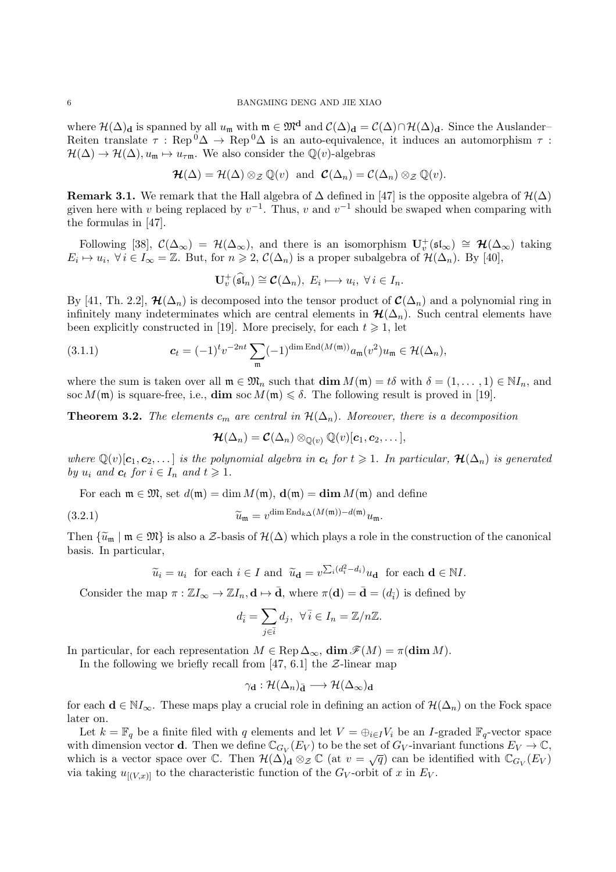where  $\mathcal{H}(\Delta)_{\mathbf{d}}$  is spanned by all  $u_{\mathfrak{m}}$  with  $\mathfrak{m} \in \mathfrak{M}^{\mathbf{d}}$  and  $\mathcal{C}(\Delta)_{\mathbf{d}} = \mathcal{C}(\Delta) \cap \mathcal{H}(\Delta)_{\mathbf{d}}$ . Since the Auslander– Reiten translate  $\tau$ : Rep<sup>0</sup> $\Delta \to$  Rep<sup>0</sup> $\Delta$  is an auto-equivalence, it induces an automorphism  $\tau$ :  $\mathcal{H}(\Delta) \to \mathcal{H}(\Delta), u_{\mathfrak{m}} \mapsto u_{\tau\mathfrak{m}}$ . We also consider the  $\mathbb{Q}(v)$ -algebras

$$
\mathcal{H}(\Delta) = \mathcal{H}(\Delta) \otimes_{\mathcal{Z}} \mathbb{Q}(v) \text{ and } \mathcal{C}(\Delta_n) = \mathcal{C}(\Delta_n) \otimes_{\mathcal{Z}} \mathbb{Q}(v).
$$

Remark 3.1. We remark that the Hall algebra of  $\Delta$  defined in [47] is the opposite algebra of  $\mathcal{H}(\Delta)$ given here with v being replaced by  $v^{-1}$ . Thus, v and  $v^{-1}$  should be swaped when comparing with the formulas in [47].

Following [38],  $\mathcal{C}(\Delta_{\infty}) = \mathcal{H}(\Delta_{\infty})$ , and there is an isomorphism  $\mathbf{U}_{v}^{+}(\mathfrak{sl}_{\infty}) \cong \mathcal{H}(\Delta_{\infty})$  taking  $E_i \mapsto u_i, \ \forall i \in I_\infty = \mathbb{Z}$ . But, for  $n \geq 2$ ,  $\mathcal{C}(\Delta_n)$  is a proper subalgebra of  $\mathcal{H}(\Delta_n)$ . By [40],

$$
\mathbf{U}_{v}^{+}(\widehat{\mathfrak{sl}}_{n}) \cong \mathcal{C}(\Delta_{n}),\ E_{i} \longmapsto u_{i},\ \forall i \in I_{n}.
$$

By [41, Th. 2.2],  $\mathcal{H}(\Delta_n)$  is decomposed into the tensor product of  $\mathcal{C}(\Delta_n)$  and a polynomial ring in infinitely many indeterminates which are central elements in  $\mathcal{H}(\Delta_n)$ . Such central elements have been explicitly constructed in [19]. More precisely, for each  $t \geq 1$ , let

(3.1.1) 
$$
\mathbf{c}_t = (-1)^t v^{-2nt} \sum_{\mathfrak{m}} (-1)^{\dim \mathrm{End}(M(\mathfrak{m}))} a_{\mathfrak{m}}(v^2) u_{\mathfrak{m}} \in \mathcal{H}(\Delta_n),
$$

where the sum is taken over all  $\mathfrak{m} \in \mathfrak{M}_n$  such that  $\dim M(\mathfrak{m}) = t\delta$  with  $\delta = (1, \ldots, 1) \in \mathbb{N}I_n$ , and soc  $M(\mathfrak{m})$  is square-free, i.e.,  $\dim$  soc  $M(\mathfrak{m}) \leq \delta$ . The following result is proved in [19].

**Theorem 3.2.** The elements  $c_m$  are central in  $\mathcal{H}(\Delta_n)$ . Moreover, there is a decomposition

$$
\mathcal{H}(\Delta_n)=\mathcal{C}(\Delta_n)\otimes_{\mathbb{Q}(v)}\mathbb{Q}(v)[\boldsymbol{c}_1,\boldsymbol{c}_2,\dots],
$$

where  $\mathbb{Q}(v)[c_1,c_2,\ldots]$  is the polynomial algebra in  $c_t$  for  $t \geq 1$ . In particular,  $\mathcal{H}(\Delta_n)$  is generated by  $u_i$  and  $c_t$  for  $i \in I_n$  and  $t \geq 1$ .

For each  $\mathfrak{m} \in \mathfrak{M}$ , set  $d(\mathfrak{m}) = \dim M(\mathfrak{m})$ ,  $\mathbf{d}(\mathfrak{m}) = \dim M(\mathfrak{m})$  and define

(3.2.1) 
$$
\widetilde{u}_{\mathfrak{m}} = v^{\dim \text{End}_{k\Delta}(M(\mathfrak{m})) - d(\mathfrak{m})} u_{\mathfrak{m}}.
$$

Then  $\{\tilde{u}_m \mid m \in \mathfrak{M}\}\$ is also a  $\mathcal{Z}$ -basis of  $\mathcal{H}(\Delta)$  which plays a role in the construction of the canonical basis. In particular,

$$
\widetilde{u}_i = u_i
$$
 for each  $i \in I$  and  $\widetilde{u}_d = v^{\sum_i (d_i^2 - d_i)} u_d$  for each  $d \in \mathbb{N}I$ .

Consider the map  $\pi : \mathbb{Z}I_{\infty} \to \mathbb{Z}I_n, \mathbf{d} \mapsto \bar{\mathbf{d}}$ , where  $\pi(\mathbf{d}) = \bar{\mathbf{d}} = (d_{\bar{i}})$  is defined by

$$
d_{\bar{i}} = \sum_{j \in \bar{i}} d_j, \ \forall \, \bar{i} \in I_n = \mathbb{Z}/n\mathbb{Z}.
$$

In particular, for each representation  $M \in \text{Rep } \Delta_{\infty}$ ,  $\dim \mathscr{F}(M) = \pi(\dim M)$ .

In the following we briefly recall from [47, 6.1] the  $\mathcal{Z}\text{-linear map}$ 

$$
\gamma_{\mathbf{d}}:\mathcal{H}(\Delta_n)_{\bar{\mathbf{d}}}\longrightarrow\mathcal{H}(\Delta_{\infty})_{\mathbf{d}}
$$

for each  $\mathbf{d} \in \mathbb{N}I_{\infty}$ . These maps play a crucial role in defining an action of  $\mathcal{H}(\Delta_n)$  on the Fock space later on.

Let  $k = \mathbb{F}_q$  be a finite filed with q elements and let  $V = \bigoplus_{i \in I} V_i$  be an I-graded  $\mathbb{F}_q$ -vector space with dimension vector **d**. Then we define  $\mathbb{C}_{G_V}(E_V)$  to be the set of  $G_V$ -invariant functions  $E_V \to \mathbb{C}$ , which is a vector space over  $\mathbb C$ . Then  $\mathcal{H}(\Delta)_{\mathbf{d}} \otimes_{\mathcal{Z}} \mathbb C$  (at  $v = \sqrt{q}$ ) can be identified with  $\mathbb C_{G_V}(E_V)$ via taking  $u_{[(V,x)]}$  to the characteristic function of the  $G_V$ -orbit of x in  $E_V$ .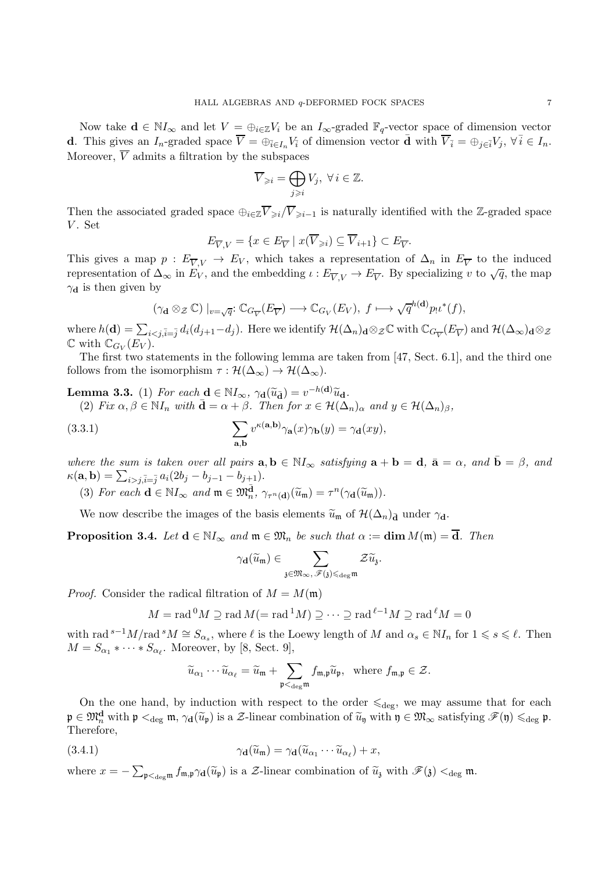Now take  $\mathbf{d} \in \mathbb{N}I_{\infty}$  and let  $V = \bigoplus_{i \in \mathbb{Z}} V_i$  be an  $I_{\infty}$ -graded  $\mathbb{F}_q$ -vector space of dimension vector **d**. This gives an  $I_n$ -graded space  $\overline{V} = \bigoplus_{\overline{i} \in I_n} V_{\overline{i}}$  of dimension vector  $\overline{\mathbf{d}}$  with  $\overline{V}_{\overline{i}} = \bigoplus_{j \in \overline{i}} V_j$ ,  $\forall \overline{i} \in I_n$ . Moreover,  $\overline{V}$  admits a filtration by the subspaces

$$
\overline{V}_{\geq i} = \bigoplus_{j \geq i} V_j, \ \forall \, i \in \mathbb{Z}.
$$

Then the associated graded space  $\bigoplus_{i\in\mathbb{Z}}\overline{V}_{\geq i}/\overline{V}_{\geq i-1}$  is naturally identified with the Z-graded space V. Set

$$
E_{\overline{V},V} = \{ x \in E_{\overline{V}} \mid x(\overline{V}_{\geqslant i}) \subseteq \overline{V}_{i+1} \} \subset E_{\overline{V}}.
$$

This gives a map  $p: E_{\overline{V},V} \to E_V$ , which takes a representation of  $\Delta_n$  in  $E_{\overline{V}}$  to the induced representation of  $\Delta_{\infty}$  in  $E_V^{\prime\prime}$ , and the embedding  $\iota: E_{\overline{V},V} \to E_{\overline{V}}$ . By specializing v to  $\sqrt{q}$ , the map  $\gamma_d$  is then given by

$$
(\gamma_{\mathbf{d}} \otimes_{\mathcal{Z}} \mathbb{C}) \mid_{v=\sqrt{q}}: \mathbb{C}_{G_{\overline{V}}}(E_{\overline{V}}) \longrightarrow \mathbb{C}_{G_V}(E_V), \ f \longmapsto \sqrt{q}^{h(\mathbf{d})} p_! \iota^*(f),
$$

where  $h(\mathbf{d}) = \sum_{i \le j, \bar{i}=j} d_i (d_{j+1} - d_j)$ . Here we identify  $\mathcal{H}(\Delta_n)_{\mathbf{d}} \otimes_{\mathcal{Z}} \mathbb{C}$  with  $\mathbb{C}_{G_{\overline{V}}}E_{\overline{V}}$  and  $\mathcal{H}(\Delta_{\infty})_{\mathbf{d}} \otimes_{\mathcal{Z}}$  $\mathbb{C}$  with  $\mathbb{C}_{G_V}(E_V)$ .

The first two statements in the following lemma are taken from [47, Sect. 6.1], and the third one follows from the isomorphism  $\tau : \mathcal{H}(\Delta_{\infty}) \to \mathcal{H}(\Delta_{\infty}).$ 

**Lemma 3.3.** (1) For each  $\mathbf{d} \in \mathbb{N}_{\infty}$ ,  $\gamma_{\mathbf{d}}(\tilde{u}_{\tilde{d}}) = v^{-h(\mathbf{d})}\tilde{u}_{\mathbf{d}}$ .<br>(3) Fig.  $\beta \in \mathbb{N}_{\infty}$  with  $\tilde{d} = \alpha + \beta$ . Then for  $\alpha \in \mathcal{U}(\Delta)$ . (2) Fix  $\alpha, \beta \in \mathbb{N}I_n$  with  $\bar{\mathbf{d}} = \alpha + \beta$ . Then for  $x \in \mathcal{H}(\bar{\Delta}_n)_{\alpha}$  and  $y \in \mathcal{H}(\Delta_n)_{\beta}$ ,

(3.3.1) 
$$
\sum_{\mathbf{a},\mathbf{b}} v^{\kappa(\mathbf{a},\mathbf{b})} \gamma_{\mathbf{a}}(x) \gamma_{\mathbf{b}}(y) = \gamma_{\mathbf{d}}(xy),
$$

where the sum is taken over all pairs  $\mathbf{a}, \mathbf{b} \in \mathbb{N} I_{\infty}$  satisfying  $\mathbf{a} + \mathbf{b} = \mathbf{d}, \ \bar{\mathbf{a}} = \alpha$ , and  $\bar{\mathbf{b}} = \beta$ , and  $\kappa(\mathbf{a}, \mathbf{b}) = \sum_{i > j, \bar{i} = \bar{j}} a_i (2b_j - b_{j-1} - b_{j+1}).$ 

(3) For each  $\mathbf{d} \in \mathbb{N} I_{\infty}$  and  $\mathfrak{m} \in \mathfrak{M}_n^{\overline{\mathbf{d}}}, \gamma_{\tau^n(\mathbf{d})}(\widetilde{u}_{\mathfrak{m}}) = \tau^n(\gamma_{\mathbf{d}}(\widetilde{u}_{\mathfrak{m}})).$ 

We now describe the images of the basis elements  $\tilde{u}_m$  of  $\mathcal{H}(\Delta_n)_{\bar{\mathbf{d}}}$  under  $\gamma_{\mathbf{d}}$ .

**Proposition 3.4.** Let  $d \in N I_{\infty}$  and  $m \in \mathfrak{M}_n$  be such that  $\alpha := \dim M(m) = \overline{d}$ . Then

$$
\gamma_{\mathbf{d}}(\widetilde{u}_{\mathfrak{m}})\in\sum_{\mathfrak{z}\in\mathfrak{M}_{\infty},\,\mathscr{F}(\mathfrak{z})\leqslant_{\deg^{\mathfrak{m}}}}\mathcal{Z}\widetilde{u}_{\mathfrak{z}}
$$

.

*Proof.* Consider the radical filtration of  $M = M(\mathfrak{m})$ 

$$
M = \operatorname{rad}^0 M \supseteq \operatorname{rad} M (= \operatorname{rad}^1 M) \supseteq \cdots \supseteq \operatorname{rad}^{\ell-1} M \supseteq \operatorname{rad}^{\ell} M = 0
$$

with rad <sup>s−1</sup>M/rad <sup>s</sup> $M \cong S_{\alpha_s}$ , where  $\ell$  is the Loewy length of M and  $\alpha_s \in N I_n$  for  $1 \leq s \leq \ell$ . Then  $M = S_{\alpha_1} * \cdots * S_{\alpha_\ell}$ . Moreover, by [8, Sect. 9],

$$
\widetilde{u}_{\alpha_1}\cdots \widetilde{u}_{\alpha_\ell}=\widetilde{u}_{\mathfrak{m}}+\sum_{\mathfrak{p}<_{\deg} \mathfrak{m}}f_{\mathfrak{m},\mathfrak{p}}\widetilde{u}_{\mathfrak{p}},\ \ \text{where}\ f_{\mathfrak{m},\mathfrak{p}}\in \mathcal{Z}.
$$

On the one hand, by induction with respect to the order  $\leqslant_{\text{deg}}$ , we may assume that for each  $\mathfrak{p} \in \mathfrak{M}^{\mathbf{d}}_{\mathbf{n}}$  with  $\mathfrak{p} <_{\text{deg}} \mathfrak{m}, \gamma_{\mathbf{d}}(\widetilde{u}_{\mathfrak{p}})$  is a  $\mathcal{Z}\text{-linear combination of } \widetilde{u}_{\mathfrak{y}}$  with  $\mathfrak{y} \in \mathfrak{M}_{\infty}$  satisfying  $\mathscr{F}(\mathfrak{y}) \leq_{\text{deg}} \mathfrak{p}$ . Therefore,

(3.4.1) 
$$
\gamma_{\mathbf{d}}(\widetilde{u}_{\mathfrak{m}}) = \gamma_{\mathbf{d}}(\widetilde{u}_{\alpha_1} \cdots \widetilde{u}_{\alpha_\ell}) + x,
$$

where  $x = -\sum_{\mathfrak{p} < \deg m} f_{\mathfrak{m},\mathfrak{p}} \gamma_{\mathbf{d}}(\widetilde{u}_{\mathfrak{p}})$  is a  $\mathcal{Z}\text{-linear combination of } \widetilde{u}_{\mathfrak{z}}$  with  $\mathscr{F}(\mathfrak{z}) < \deg \mathfrak{m}$ .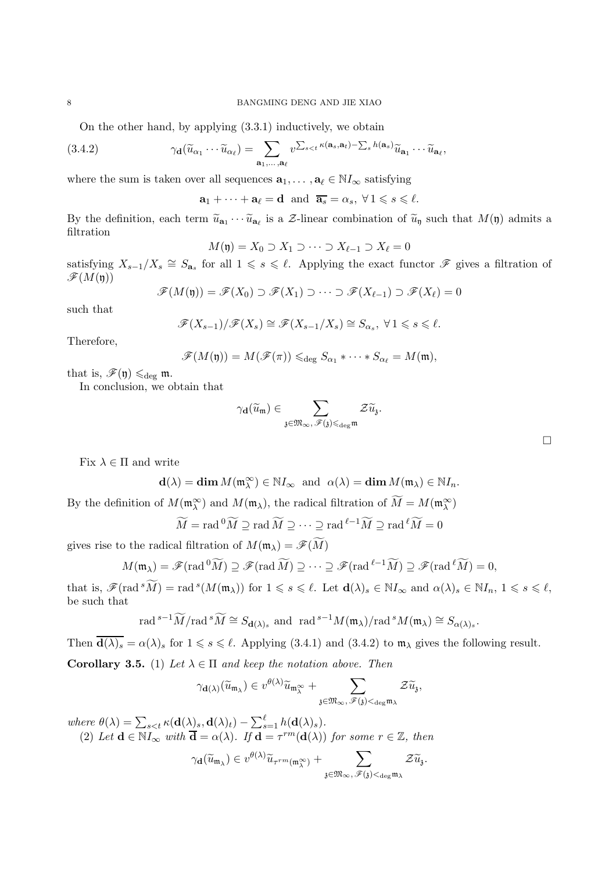On the other hand, by applying (3.3.1) inductively, we obtain

(3.4.2) 
$$
\gamma_{\mathbf{d}}(\widetilde{u}_{\alpha_1}\cdots \widetilde{u}_{\alpha_\ell}) = \sum_{\mathbf{a}_1,\ldots,\mathbf{a}_\ell} v^{\sum_{s
$$

where the sum is taken over all sequences  $\mathbf{a}_1, \dots, \mathbf{a}_\ell \in \mathbb{N}I_\infty$  satisfying

 $\mathbf{a}_1 + \cdots + \mathbf{a}_{\ell} = \mathbf{d}$  and  $\overline{\mathbf{a}_s} = \alpha_s, \forall 1 \leq s \leq \ell$ .

By the definition, each term  $\widetilde{u}_{a_1} \cdots \widetilde{u}_{a_\ell}$  is a  $\mathcal{Z}\text{-linear combination of } \widetilde{u}_{\mathfrak{y}}$  such that  $M(\mathfrak{y})$  admits a filtration filtration

$$
M(\mathfrak{y}) = X_0 \supset X_1 \supset \cdots \supset X_{\ell-1} \supset X_{\ell} = 0
$$

satisfying  $X_{s-1}/X_s \cong S_{\mathbf{a}_s}$  for all  $1 \leq s \leq \ell$ . Applying the exact functor  $\mathscr F$  gives a filtration of  $\mathscr{F}(M(\mathfrak{y}))$ 

$$
\mathscr{F}(M(\mathfrak{y})) = \mathscr{F}(X_0) \supset \mathscr{F}(X_1) \supset \cdots \supset \mathscr{F}(X_{\ell-1}) \supset \mathscr{F}(X_{\ell}) = 0
$$

such that

$$
\mathscr{F}(X_{s-1})/\mathscr{F}(X_s)\cong \mathscr{F}(X_{s-1}/X_s)\cong S_{\alpha_s},\ \forall\, 1\leqslant s\leqslant \ell.
$$

Therefore,

$$
\mathscr{F}(M(\mathfrak{y}))=M(\mathscr{F}(\pi))\leqslant_{\mathrm{deg}} S_{\alpha_1}*\cdots* S_{\alpha_\ell}=M(\mathfrak{m}),
$$

that is,  $\mathscr{F}(\mathfrak{y}) \leq_{\text{deg}} \mathfrak{m}$ .

In conclusion, we obtain that

$$
\gamma_{\mathbf{d}}(\widetilde{u}_{\mathfrak{m}})\in \sum_{\mathfrak{z}\in \mathfrak{M}_{\infty},\ \mathscr{F}(\mathfrak{z})\leqslant_{\deg \mathfrak{m}}}\mathcal{Z}\widetilde{u}_{\mathfrak{z}}.
$$

Fix  $\lambda \in \Pi$  and write

$$
\mathbf{d}(\lambda) = \dim M(\mathfrak{m}_{\lambda}^{\infty}) \in \mathbb{N} I_{\infty} \text{ and } \alpha(\lambda) = \dim M(\mathfrak{m}_{\lambda}) \in \mathbb{N} I_n.
$$

By the definition of  $M(\mathfrak{m}_{\lambda}^{\infty})$  and  $M(\mathfrak{m}_{\lambda})$ , the radical filtration of  $M = M(\mathfrak{m}_{\lambda}^{\infty})$ 

$$
\widetilde{M} = \text{rad}^0 \widetilde{M} \supseteq \text{rad } \widetilde{M} \supseteq \cdots \supseteq \text{rad }^{\ell-1} \widetilde{M} \supseteq \text{rad }^{\ell} \widetilde{M} = 0
$$

gives rise to the radical filtration of  $M(\mathfrak{m}_{\lambda}) = \mathscr{F}(\widetilde{M})$ 

$$
M(\mathfrak{m}_{\lambda}) = \mathscr{F}(\text{rad}^0 \widetilde{M}) \supseteq \mathscr{F}(\text{rad} \widetilde{M}) \supseteq \cdots \supseteq \mathscr{F}(\text{rad}^{\ell-1} \widetilde{M}) \supseteq \mathscr{F}(\text{rad}^{\ell} \widetilde{M}) = 0,
$$

that is,  $\mathscr{F}(\text{rad} \,^s \widetilde{M}) = \text{rad} \,^s(M(\mathfrak{m}_{\lambda}))$  for  $1 \leqslant s \leqslant \ell$ . Let  $\mathbf{d}(\lambda)_s \in \mathbb{N} I_{\infty}$  and  $\alpha(\lambda)_s \in \mathbb{N} I_n$ ,  $1 \leqslant s \leqslant \ell$ , be such that

$$
\operatorname{rad}^{s-1}\widetilde{M}/\operatorname{rad}^s\widetilde{M}\cong S_{\mathbf{d}(\lambda)_s}\text{ and }\operatorname{rad}^{s-1}M(\mathfrak{m}_\lambda)/\operatorname{rad}^sM(\mathfrak{m}_\lambda)\cong S_{\alpha(\lambda)_s}.
$$

Then  $\overline{\mathbf{d}(\lambda)_s} = \alpha(\lambda)_s$  for  $1 \leq s \leq \ell$ . Applying (3.4.1) and (3.4.2) to  $\mathfrak{m}_{\lambda}$  gives the following result.

Corollary 3.5. (1) Let  $\lambda \in \Pi$  and keep the notation above. Then

$$
\gamma_{\mathbf{d}(\lambda)}(\widetilde{u}_{\mathfrak{m}_\lambda}) \in v^{\theta(\lambda)}\widetilde{u}_{\mathfrak{m}_\lambda^\infty} + \sum_{\mathfrak{z} \in \mathfrak{M}_\infty, \ \mathscr{F}(\mathfrak{z}) <_{\deg \mathfrak{m}_\lambda}} \mathcal{Z} \widetilde{u}_{\mathfrak{z}}
$$

,

where  $\theta(\lambda) = \sum_{s \leq t} \kappa(\mathbf{d}(\lambda)s, \mathbf{d}(\lambda)t) - \sum_{s=1}^{\ell} h(\mathbf{d}(\lambda)s).$ 

(2) Let  $\mathbf{d} \in \mathbb{N} I_{\infty}$  with  $\overline{\mathbf{d}} = \alpha(\lambda)$ . If  $\mathbf{d} = \tau^{rm}(\mathbf{d}(\lambda))$  for some  $r \in \mathbb{Z}$ , then

$$
\gamma_{\mathbf{d}}(\widetilde{u}_{\mathfrak{m}_\lambda}) \in v^{\theta(\lambda)}\widetilde{u}_{\tau^{rm}(\mathfrak{m}_\lambda^\infty)} + \sum_{\mathfrak{z} \in \mathfrak{M}_\infty,\ \mathscr{F}(\mathfrak{z}) < \deg \mathfrak{m}_\lambda} \mathcal{Z} \widetilde{u}_{\mathfrak{z}}.
$$

 $\Box$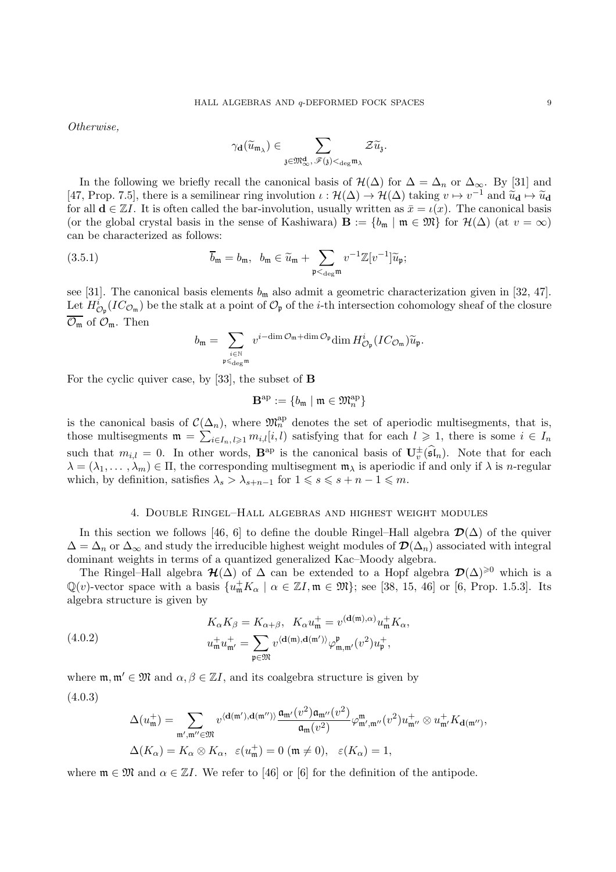Otherwise,

$$
\gamma_{\mathbf{d}}(\widetilde{u}_{\mathfrak{m}_\lambda}) \in \sum_{\mathfrak{z} \in \mathfrak{M}_{\infty}^{\mathbf{d}}, \, \mathscr{F}(\mathfrak{z}) <_{\deg \mathfrak{m}_\lambda}} \mathcal{Z} \widetilde{u}_{\mathfrak{z}}.
$$

In the following we briefly recall the canonical basis of  $\mathcal{H}(\Delta)$  for  $\Delta = \Delta_n$  or  $\Delta_{\infty}$ . By [31] and [47, Prop. 7.5], there is a semilinear ring involution  $\iota : \mathcal{H}(\Delta) \to \mathcal{H}(\Delta)$  taking  $v \mapsto v^{-1}$  and  $\widetilde{u}_{\mathbf{d}} \mapsto \widetilde{u}_{\mathbf{d}}$ <br>for all  $\mathbf{d} \in \mathbb{Z}$ . It is often salled the horizonly involving around large inv for all  $\mathbf{d} \in \mathbb{Z}I$ . It is often called the bar-involution, usually written as  $\bar{x} = \iota(x)$ . The canonical basis (or the global crystal basis in the sense of Kashiwara)  $\mathbf{B} := \{b_m \mid m \in \mathfrak{M}\}\)$  for  $\mathcal{H}(\Delta)$  (at  $v = \infty$ ) can be characterized as follows:

(3.5.1) 
$$
\overline{b}_{\mathfrak{m}} = b_{\mathfrak{m}}, \ \ b_{\mathfrak{m}} \in \widetilde{u}_{\mathfrak{m}} + \sum_{\mathfrak{p} <_{\text{deg}} \mathfrak{m}} v^{-1} \mathbb{Z}[v^{-1}] \widetilde{u}_{\mathfrak{p}};
$$

see [31]. The canonical basis elements  $b_m$  also admit a geometric characterization given in [32, 47]. Let  $H^i_{\mathcal{O}_{\mathfrak{p}}}(IC_{\mathcal{O}_{\mathfrak{m}}})$  be the stalk at a point of  $\mathcal{O}_{\mathfrak{p}}$  of the *i*-th intersection cohomology sheaf of the closure  $\overline{\mathcal{O}_{\mathfrak{m}}}$  of  $\mathcal{O}_{\mathfrak{m}}$ . Then

$$
b_{\mathfrak{m}}=\sum_{\underset{\mathfrak{p}\leqslant\deg^{\mathfrak{m}}}{i\in\mathbb{N}}}v^{i-\dim\mathcal{O}_{\mathfrak{m}}+\dim\mathcal{O}_{\mathfrak{p}}}\dim H^{i}_{\mathcal{O}_{\mathfrak{p}}}(IC_{\mathcal{O}_{\mathfrak{m}}})\widetilde{u}_{\mathfrak{p}}.
$$

For the cyclic quiver case, by [33], the subset of B

$$
\mathbf{B}^{\mathrm{ap}}:=\{b_{\mathfrak{m}}\mid \mathfrak{m}\in\mathfrak{M}_n^{\mathrm{ap}}\}
$$

is the canonical basis of  $\mathcal{C}(\Delta_n)$ , where  $\mathfrak{M}_n^{\text{ap}}$  denotes the set of aperiodic multisegments, that is, those multisegments  $\mathfrak{m} = \sum_{i \in I_n, l \geq 1} m_{i,l}[i, l]$  satisfying that for each  $l \geq 1$ , there is some  $i \in I_n$ such that  $m_{i,l} = 0$ . In other words,  $\mathbf{B}^{\text{ap}}$  is the canonical basis of  $\mathbf{U}_{v}^{\pm}(\widehat{\mathfrak{sl}}_{n})$ . Note that for each  $\lambda = (\lambda_1, \dots, \lambda_m) \in \Pi$ , the corresponding multisegment  $\mathfrak{m}_{\lambda}$  is aperiodic if and only if  $\lambda$  is *n*-regular which, by definition, satisfies  $\lambda_s > \lambda_{s+n-1}$  for  $1 \leq s \leq s+n-1 \leq m$ .

### 4. Double Ringel–Hall algebras and highest weight modules

In this section we follows [46, 6] to define the double Ringel–Hall algebra  $\mathcal{D}(\Delta)$  of the quiver  $\Delta = \Delta_n$  or  $\Delta_\infty$  and study the irreducible highest weight modules of  $\mathcal{D}(\Delta_n)$  associated with integral dominant weights in terms of a quantized generalized Kac–Moody algebra.

The Ringel–Hall algebra  $\mathcal{H}(\tilde{\Delta})$  of  $\Delta$  can be extended to a Hopf algebra  $\mathcal{D}(\Delta)^{\geq 0}$  which is a  $\mathbb{Q}(v)$ -vector space with a basis  $\{u_{\mathfrak{m}}^+ K_{\alpha} \mid \alpha \in \mathbb{Z}I, \mathfrak{m} \in \mathfrak{M}\};$  see [38, 15, 46] or [6, Prop. 1.5.3]. Its algebra structure is given by

(4.0.2) 
$$
K_{\alpha}K_{\beta} = K_{\alpha+\beta}, \quad K_{\alpha}u_{\mathfrak{m}}^{+} = v^{(\mathbf{d}(\mathfrak{m}),\alpha)}u_{\mathfrak{m}}^{+}K_{\alpha},
$$

$$
u_{\mathfrak{m}}^{+}u_{\mathfrak{m}'}^{+} = \sum_{\mathfrak{p}\in\mathfrak{M}} v^{(\mathbf{d}(\mathfrak{m}),\mathbf{d}(\mathfrak{m}'))}\varphi_{\mathfrak{m},\mathfrak{m}'}^{\mathfrak{p}}(v^{2})u_{\mathfrak{p}}^{+},
$$

where  $\mathfrak{m}, \mathfrak{m}' \in \mathfrak{M}$  and  $\alpha, \beta \in \mathbb{Z}I$ , and its coalgebra structure is given by (4.0.3)

$$
\Delta(u_{\mathfrak{m}}^{+}) = \sum_{\mathfrak{m}',\mathfrak{m}'' \in \mathfrak{M}} v^{\langle \mathbf{d}(\mathfrak{m}'),\mathbf{d}(\mathfrak{m}'') \rangle} \frac{\mathfrak{a}_{\mathfrak{m}'}(v^{2}) \mathfrak{a}_{\mathfrak{m}''}(v^{2})}{\mathfrak{a}_{\mathfrak{m}}(v^{2})} \varphi_{\mathfrak{m}',\mathfrak{m}''}^{\mathfrak{m}}(v^{2}) u_{\mathfrak{m}''}^{+} \otimes u_{\mathfrak{m}'}^{+} K_{\mathbf{d}(\mathfrak{m}'')},
$$
  

$$
\Delta(K_{\alpha}) = K_{\alpha} \otimes K_{\alpha}, \ \ \varepsilon(u_{\mathfrak{m}}^{+}) = 0 \ (\mathfrak{m} \neq 0), \ \ \varepsilon(K_{\alpha}) = 1,
$$

where  $\mathfrak{m} \in \mathfrak{M}$  and  $\alpha \in \mathbb{Z}I$ . We refer to [46] or [6] for the definition of the antipode.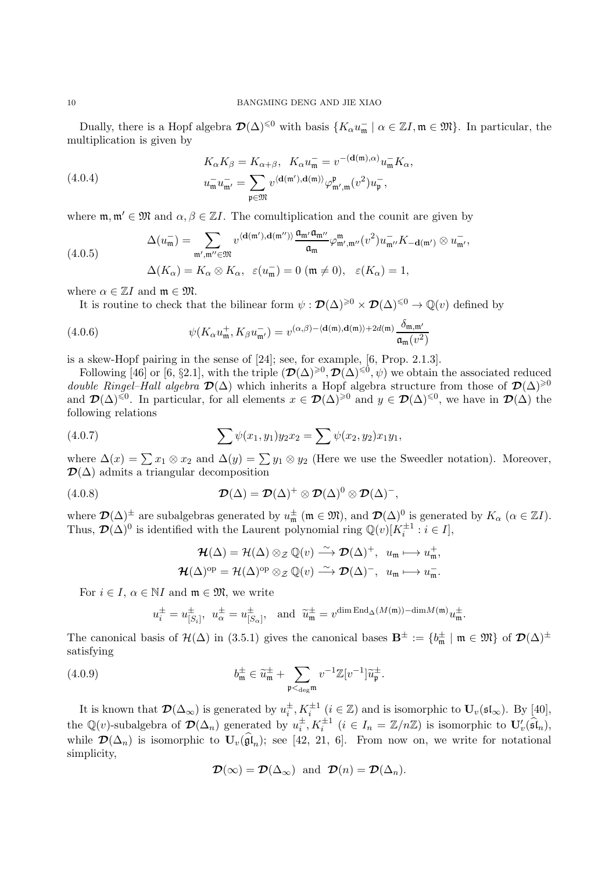Dually, there is a Hopf algebra  $\mathcal{D}(\Delta)^{\leq 0}$  with basis  $\{K_{\alpha}u_{\mathfrak{m}}^- \mid \alpha \in \mathbb{Z}I, \mathfrak{m} \in \mathfrak{M}\}\.$  In particular, the multiplication is given by

(4.0.4) 
$$
K_{\alpha}K_{\beta} = K_{\alpha+\beta}, \quad K_{\alpha}u_{\mathfrak{m}}^{-} = v^{-(\mathbf{d}(\mathfrak{m}),\alpha)}u_{\mathfrak{m}}^{-}K_{\alpha},
$$

$$
u_{\mathfrak{m}}^{-}u_{\mathfrak{m}'}^{-} = \sum_{\mathfrak{p}\in\mathfrak{M}} v^{\langle\mathbf{d}(\mathfrak{m}'),\mathbf{d}(\mathfrak{m})\rangle}\varphi_{\mathfrak{m}',\mathfrak{m}}^{\mathfrak{p}}(v^{2})u_{\mathfrak{p}}^{-},
$$

where  $\mathfrak{m}, \mathfrak{m}' \in \mathfrak{M}$  and  $\alpha, \beta \in \mathbb{Z}I$ . The comultiplication and the counit are given by

(4.0.5)  
\n
$$
\Delta(u_{\mathfrak{m}}^{-}) = \sum_{\mathfrak{m}',\mathfrak{m}'' \in \mathfrak{M}} v^{\langle \mathbf{d}(\mathfrak{m}'),\mathbf{d}(\mathfrak{m}'') \rangle} \frac{\mathfrak{a}_{\mathfrak{m}'} \mathfrak{a}_{\mathfrak{m}''}}{\mathfrak{a}_{\mathfrak{m}}} \varphi_{\mathfrak{m}',\mathfrak{m}''}^{\mathfrak{m}} (v^{2}) u_{\mathfrak{m}''}^{-} K_{-\mathbf{d}(\mathfrak{m}')} \otimes u_{\mathfrak{m}'}^{-},
$$
\n
$$
\Delta(K_{\alpha}) = K_{\alpha} \otimes K_{\alpha}, \ \ \varepsilon(u_{\mathfrak{m}}^{-}) = 0 \ (\mathfrak{m} \neq 0), \ \ \varepsilon(K_{\alpha}) = 1,
$$

where  $\alpha \in \mathbb{Z}I$  and  $\mathfrak{m} \in \mathfrak{M}$ .

It is routine to check that the bilinear form  $\psi : \mathcal{D}(\Delta)^{\geq 0} \times \mathcal{D}(\Delta)^{\leq 0} \to \mathbb{Q}(v)$  defined by

(4.0.6) 
$$
\psi(K_{\alpha}u_{\mathfrak{m}}^{+}, K_{\beta}u_{\mathfrak{m}'}^{-}) = v^{(\alpha,\beta)-\langle \mathbf{d}(\mathfrak{m}), \mathbf{d}(\mathfrak{m}) \rangle + 2d(\mathfrak{m})} \frac{\delta_{\mathfrak{m},\mathfrak{m}'}}{\mathfrak{a}_{\mathfrak{m}}(v^{2})}
$$

is a skew-Hopf pairing in the sense of [24]; see, for example, [6, Prop. 2.1.3].

Following [46] or [6, §2.1], with the triple  $(\mathcal{D}(\Delta)^{\geq 0}, \mathcal{D}(\Delta)^{\leq 0}, \psi)$  we obtain the associated reduced double Ringel–Hall algebra  $\mathcal{D}(\Delta)$  which inherits a Hopf algebra structure from those of  $\mathcal{D}(\Delta)^{\geqslant 0}$ and  $\mathcal{D}(\Delta)^{\leq 0}$ . In particular, for all elements  $x \in \mathcal{D}(\Delta)^{\geq 0}$  and  $y \in \mathcal{D}(\Delta)^{\leq 0}$ , we have in  $\mathcal{D}(\Delta)$  the following relations

(4.0.7) 
$$
\sum \psi(x_1, y_1) y_2 x_2 = \sum \psi(x_2, y_2) x_1 y_1,
$$

where  $\Delta(x) = \sum x_1 \otimes x_2$  and  $\Delta(y) = \sum y_1 \otimes y_2$  (Here we use the Sweedler notation). Moreover,  $\mathcal{D}(\Delta)$  admits a triangular decomposition

(4.0.8) 
$$
\mathcal{D}(\Delta) = \mathcal{D}(\Delta)^{+} \otimes \mathcal{D}(\Delta)^{0} \otimes \mathcal{D}(\Delta)^{-},
$$

where  $\mathcal{D}(\Delta)^{\pm}$  are subalgebras generated by  $u_{\mathfrak{m}}^{\pm}$  ( $\mathfrak{m} \in \mathfrak{M}$ ), and  $\mathcal{D}(\Delta)^{0}$  is generated by  $K_{\alpha}$  ( $\alpha \in \mathbb{Z}I$ ). Thus,  $\mathcal{D}(\Delta)^0$  is identified with the Laurent polynomial ring  $\mathbb{Q}(v)[K_i^{\pm 1} : i \in I],$ 

$$
\mathcal{H}(\Delta) = \mathcal{H}(\Delta) \otimes_{\mathcal{Z}} \mathbb{Q}(v) \xrightarrow{\sim} \mathcal{D}(\Delta)^+, \ u_{\mathfrak{m}} \longmapsto u_{\mathfrak{m}}^+,
$$
  

$$
\mathcal{H}(\Delta)^{\mathrm{op}} = \mathcal{H}(\Delta)^{\mathrm{op}} \otimes_{\mathcal{Z}} \mathbb{Q}(v) \xrightarrow{\sim} \mathcal{D}(\Delta)^-, \ u_{\mathfrak{m}} \longmapsto u_{\mathfrak{m}}^-.
$$

For  $i \in I$ ,  $\alpha \in NI$  and  $\mathfrak{m} \in \mathfrak{M}$ , we write

$$
u_i^\pm=u_{[S_i]}^\pm,\ \ u_\alpha^\pm=u_{[S_\alpha]}^\pm,\ \ \text{ and }\ \ \widetilde u_{\mathfrak m}^\pm=v^{\dim \operatorname{End}_{\Delta}(M(\mathfrak m))-\dim M(\mathfrak m)}u_{\mathfrak m}^\pm.
$$

The canonical basis of  $\mathcal{H}(\Delta)$  in (3.5.1) gives the canonical bases  $\mathbf{B}^{\pm} := \{b_{\mathfrak{m}}^{\pm} \mid \mathfrak{m} \in \mathfrak{M}\}\$  of  $\mathcal{D}(\Delta)^{\pm}$ satisfying

(4.0.9) 
$$
b_{\mathfrak{m}}^{\pm} \in \widetilde{u}_{\mathfrak{m}}^{\pm} + \sum_{\mathfrak{p} < \deg \mathfrak{m}} v^{-1} \mathbb{Z}[v^{-1}] \widetilde{u}_{\mathfrak{p}}^{\pm}.
$$

It is known that  $\mathcal{D}(\Delta_{\infty})$  is generated by  $u_i^{\pm}, K_i^{\pm 1}$   $(i \in \mathbb{Z})$  and is isomorphic to  $\mathbf{U}_v(\mathfrak{sl}_{\infty})$ . By [40], the Q(v)-subalgebra of  $\mathcal{D}(\Delta_n)$  generated by  $u_i^{\pm}, K_i^{\pm 1}$   $(i \in I_n = \mathbb{Z}/n\mathbb{Z})$  is isomorphic to  $\mathbf{U}'_v(\widehat{\mathfrak{sl}}_n)$ , while  $\mathcal{D}(\Delta_n)$  is isomorphic to  $\mathbf{U}_v(\widehat{\mathfrak{gl}}_n)$ ; see [42, 21, 6]. From now on, we write for notational simplicity,

$$
\mathcal{D}(\infty) = \mathcal{D}(\Delta_{\infty})
$$
 and  $\mathcal{D}(n) = \mathcal{D}(\Delta_n)$ .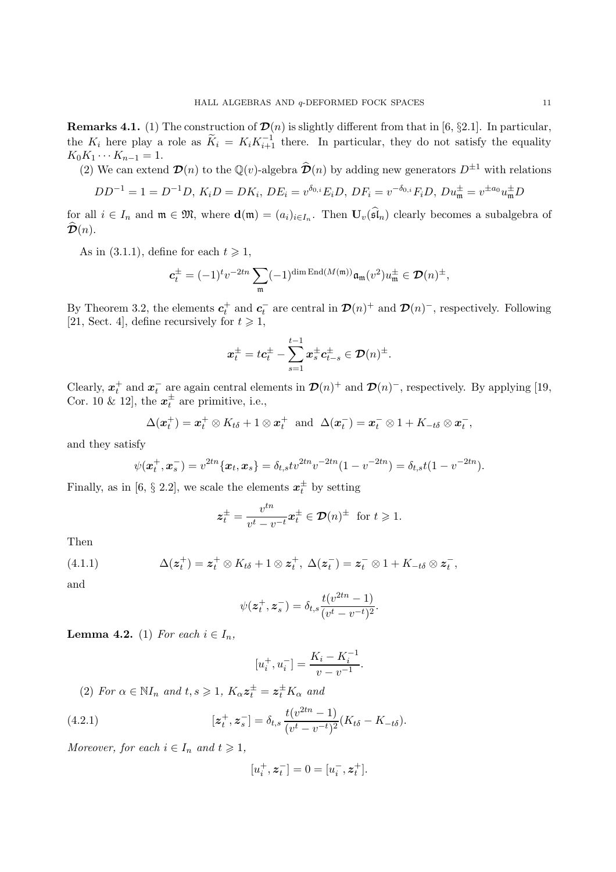**Remarks 4.1.** (1) The construction of  $\mathcal{D}(n)$  is slightly different from that in [6, §2.1]. In particular, the  $K_i$  here play a role as  $\widetilde{K}_i = K_i K_{i+1}^{-1}$  there. In particular, they do not satisfy the equality  $K_0K_1\cdots K_{n-1}=1.$ 

(2) We can extend  $\mathcal{D}(n)$  to the  $\mathbb{Q}(v)$ -algebra  $\widehat{\mathcal{D}}(n)$  by adding new generators  $D^{\pm 1}$  with relations

$$
DD^{-1} = 1 = D^{-1}D, K_i D = DK_i, DE_i = v^{\delta_{0,i}} E_i D, DF_i = v^{-\delta_{0,i}} F_i D, Du_m^{\pm} = v^{\pm a_0} u_m^{\pm} D
$$

for all  $i \in I_n$  and  $\mathfrak{m} \in \mathfrak{M}$ , where  $\mathbf{d}(\mathfrak{m}) = (a_i)_{i \in I_n}$ . Then  $\mathbf{U}_v(\mathfrak{sl}_n)$  clearly becomes a subalgebra of  $\mathcal{D}(n)$ .

As in (3.1.1), define for each  $t \geq 1$ ,

$$
\pmb{c}_t^{\pm}=(-1)^t v^{-2tn}\sum_{\mathfrak{m}}(-1)^{\dim \operatorname{End}(M(\mathfrak{m}))}\mathfrak{a}_{\mathfrak{m}}(v^2)u_{\mathfrak{m}}^{\pm}\in \pmb{\mathcal{D}}(n)^{\pm},
$$

By Theorem 3.2, the elements  $c_t^+$  and  $c_t^-$  are central in  $\mathcal{D}(n)^+$  and  $\mathcal{D}(n)^-$ , respectively. Following [21, Sect. 4], define recursively for  $t \geq 1$ ,

$$
\boldsymbol{x}_t^{\pm}=t\boldsymbol{c}_t^{\pm}-\sum_{s=1}^{t-1}\boldsymbol{x}_s^{\pm}\boldsymbol{c}_{t-s}^{\pm}\in \boldsymbol{\mathcal{D}}(n)^{\pm}.
$$

Clearly,  $x_t^+$  and  $x_t^-$  are again central elements in  $\mathcal{D}(n)^+$  and  $\mathcal{D}(n)^-$ , respectively. By applying [19, Cor. 10 & 12, the  $x_t^{\pm}$  are primitive, i.e.,

$$
\Delta(\boldsymbol{x}_t^+) = \boldsymbol{x}_t^+ \otimes K_{t\delta} + 1 \otimes \boldsymbol{x}_t^+ \text{ and } \Delta(\boldsymbol{x}_t^-) = \boldsymbol{x}_t^- \otimes 1 + K_{-t\delta} \otimes \boldsymbol{x}_t^-,
$$

and they satisfy

$$
\psi(\boldsymbol{x}_t^+, \boldsymbol{x}_s^-) = v^{2tn} \{ \boldsymbol{x}_t, \boldsymbol{x}_s \} = \delta_{t,s} t v^{2tn} v^{-2tn} (1 - v^{-2tn}) = \delta_{t,s} t (1 - v^{-2tn}).
$$

Finally, as in [6,  $\S 2.2$ ], we scale the elements  $x_t^{\pm}$  by setting

$$
\boldsymbol{z}_t^{\pm} = \frac{v^{tn}}{v^t - v^{-t}} \boldsymbol{x}_t^{\pm} \in \mathcal{D}(n)^{\pm} \text{ for } t \geq 1.
$$

Then

(4.1.1) 
$$
\Delta(z_t^+) = z_t^+ \otimes K_{t\delta} + 1 \otimes z_t^+, \ \Delta(z_t^-) = z_t^- \otimes 1 + K_{-t\delta} \otimes z_t^-,
$$

and

$$
\psi(z_t^+, z_s^-) = \delta_{t,s} \frac{t(v^{2tn} - 1)}{(v^t - v^{-t})^2}.
$$

**Lemma 4.2.** (1) For each  $i \in I_n$ ,

$$
[u_i^+, u_i^-] = \frac{K_i - K_i^{-1}}{v - v^{-1}}.
$$

(2) For  $\alpha \in \mathbb{N}I_n$  and  $t, s \geq 1$ ,  $K_{\alpha} z_t^{\pm} = z_t^{\pm} K_{\alpha}$  and

(4.2.1) 
$$
[z_t^+, z_s^-] = \delta_{t,s} \frac{t(v^{2tn} - 1)}{(v^t - v^{-t})^2} (K_{t\delta} - K_{-t\delta}).
$$

Moreover, for each  $i \in I_n$  and  $t \geq 1$ ,

$$
[u_i^+, \boldsymbol{z}_t^-] = 0 = [u_i^-, \boldsymbol{z}_t^+].
$$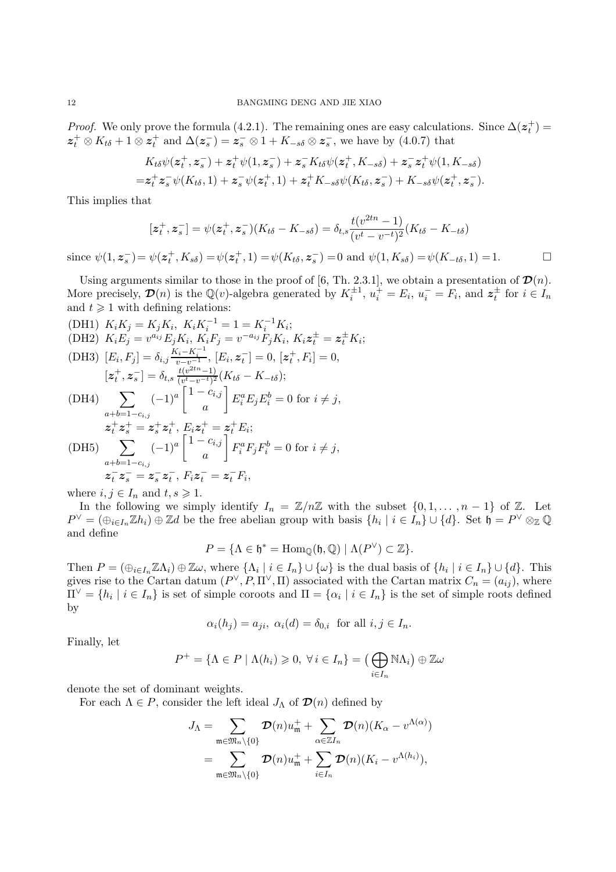*Proof.* We only prove the formula (4.2.1). The remaining ones are easy calculations. Since  $\Delta(z_t^+)$  $z_t^+ \otimes K_{t\delta} + 1 \otimes z_t^+$  and  $\Delta(z_s^-) = z_s^- \otimes 1 + K_{-s\delta} \otimes z_s^-$ , we have by (4.0.7) that

$$
K_{t\delta}\psi(z_t^+, z_s^-) + z_t^+ \psi(1, z_s^-) + z_s^- K_{t\delta}\psi(z_t^+, K_{-s\delta}) + z_s^- z_t^+ \psi(1, K_{-s\delta})
$$
  
=  $z_t^+ z_s^- \psi(K_{t\delta}, 1) + z_s^- \psi(z_t^+, 1) + z_t^+ K_{-s\delta}\psi(K_{t\delta}, z_s^-) + K_{-s\delta}\psi(z_t^+, z_s^-).$ 

This implies that

$$
[z_t^+, z_s^-] = \psi(z_t^+, z_s^-)(K_{t\delta} - K_{-s\delta}) = \delta_{t,s} \frac{t(v^{2tn} - 1)}{(v^t - v^{-t})^2} (K_{t\delta} - K_{-t\delta})
$$

since  $\psi(1, \mathbf{z}_s^-) = \psi(\mathbf{z}_t^+, K_{s\delta}) = \psi(\mathbf{z}_t^+, 1) = \psi(K_{t\delta}, \mathbf{z}_s^-) = 0$  and  $\psi(1, K_{s\delta}) = \psi(K_{-t\delta}, 1) = 1.$ 

Using arguments similar to those in the proof of [6, Th. 2.3.1], we obtain a presentation of  $\mathcal{D}(n)$ . More precisely,  $\mathcal{D}(n)$  is the Q(v)-algebra generated by  $K_i^{\pm 1}$ ,  $u_i^+ = E_i$ ,  $u_i^- = F_i$ , and  $z_i^{\pm}$  for  $i \in I_n$ and  $t \geqslant 1$  with defining relations:

(DH1)  $K_i K_j = K_j K_i, K_i K_i^{-1} = 1 = K_i^{-1} K_i;$ (DH2)  $K_i E_j = v^{a_{ij}} E_j K_i, K_i F_j = v^{-a_{ij}} F_j K_i, K_i z_t^{\pm} = z_t^{\pm} K_i;$ (DH3)  $[E_i, F_j] = \delta_{i,j} \frac{K_i - K_i^{-1}}{v - v^{-1}}, [E_i, \mathbf{z}_t^{-}] = 0, [\mathbf{z}_t^{+}, F_i] = 0,$  $[z_t^+, z_s^-] = \delta_{t,s} \frac{t(v^{2tn}-1)}{(v^t-v^{-t})^2} (K_{t\delta} - K_{-t\delta});$ (DH4)  $\sum_{a} (-1)^{a} \begin{bmatrix} 1 - c_{i,j} \\ a \end{bmatrix}$ 1  $E_i^a E_j E_i^b = 0$  for  $i \neq j$ ,

$$
(D.H.) \t\t z_t^+ z_s^+ = z_s^+ z_t^+, E_i z_t^+ = z_t^+ E_i;
$$
  
\n
$$
(D.H.) \sum_{a+b=1-c_{i,j}} (-1)^a \begin{bmatrix} 1-c_{i,j} \\ a \end{bmatrix} F_i^a F_j F_i^b = 0 \text{ for } i \neq j,
$$
  
\n
$$
z_t^- z_s^- = z_s^- z_t^-, F_i z_t^- = z_t^- F_i,
$$

where  $i, j \in I_n$  and  $t, s \geq 1$ .

In the following we simply identify  $I_n = \mathbb{Z}/n\mathbb{Z}$  with the subset  $\{0, 1, \ldots, n-1\}$  of  $\mathbb{Z}$ . Let  $P^{\vee} = (\bigoplus_{i \in I_n} \mathbb{Z} h_i) \oplus \mathbb{Z} d$  be the free abelian group with basis  $\{h_i \mid i \in I_n\} \cup \{d\}$ . Set  $\mathfrak{h} = P^{\vee} \otimes_{\mathbb{Z}} \mathbb{Q}$ and define

$$
P = \{ \Lambda \in \mathfrak{h}^* = \text{Hom}_{\mathbb{Q}}(\mathfrak{h}, \mathbb{Q}) \mid \Lambda(P^{\vee}) \subset \mathbb{Z} \}.
$$

Then  $P = (\bigoplus_{i \in I_n} \mathbb{Z}\Lambda_i) \oplus \mathbb{Z}\omega$ , where  $\{\Lambda_i \mid i \in I_n\} \cup \{\omega\}$  is the dual basis of  $\{h_i \mid i \in I_n\} \cup \{d\}$ . This gives rise to the Cartan datum  $(P^{\vee}, P, \Pi^{\vee}, \Pi)$  associated with the Cartan matrix  $C_n = (a_{ij})$ , where  $\Pi^{\vee} = \{h_i \mid i \in I_n\}$  is set of simple coroots and  $\Pi = \{\alpha_i \mid i \in I_n\}$  is the set of simple roots defined by

$$
\alpha_i(h_j) = a_{ji}, \ \alpha_i(d) = \delta_{0,i} \ \text{ for all } i, j \in I_n.
$$

Finally, let

$$
P^+ = \{ \Lambda \in P \mid \Lambda(h_i) \geq 0, \ \forall \ i \in I_n \} = \left( \bigoplus_{i \in I_n} \mathbb{N}\Lambda_i \right) \oplus \mathbb{Z}\omega
$$

denote the set of dominant weights.

For each  $\Lambda \in P$ , consider the left ideal  $J_{\Lambda}$  of  $\mathcal{D}(n)$  defined by

$$
J_{\Lambda} = \sum_{\mathfrak{m} \in \mathfrak{M}_n \setminus \{0\}} \mathcal{D}(n) u_{\mathfrak{m}}^+ + \sum_{\alpha \in \mathbb{Z}I_n} \mathcal{D}(n) (K_{\alpha} - v^{\Lambda(\alpha)})
$$
  
= 
$$
\sum_{\mathfrak{m} \in \mathfrak{M}_n \setminus \{0\}} \mathcal{D}(n) u_{\mathfrak{m}}^+ + \sum_{i \in I_n} \mathcal{D}(n) (K_i - v^{\Lambda(h_i)}),
$$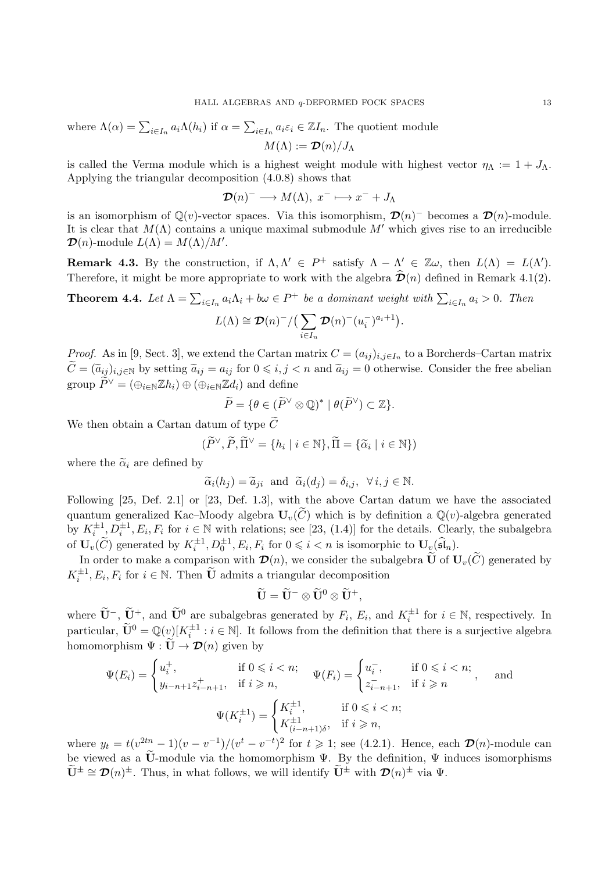where 
$$
\Lambda(\alpha) = \sum_{i \in I_n} a_i \Lambda(h_i)
$$
 if  $\alpha = \sum_{i \in I_n} a_i \varepsilon_i \in \mathbb{Z}I_n$ . The quotient module  $M(\Lambda) := \mathcal{D}(n)/J_{\Lambda}$ 

is called the Verma module which is a highest weight module with highest vector  $\eta_{\Lambda} := 1 + J_{\Lambda}$ . Applying the triangular decomposition (4.0.8) shows that

$$
\mathcal{D}(n)^{-} \longrightarrow M(\Lambda), \ x^{-} \longmapsto x^{-} + J_{\Lambda}
$$

is an isomorphism of  $\mathbb{Q}(v)$ -vector spaces. Via this isomorphism,  $\mathcal{D}(n)$ <sup>-</sup> becomes a  $\mathcal{D}(n)$ -module. It is clear that  $M(\Lambda)$  contains a unique maximal submodule  $M'$  which gives rise to an irreducible  $\mathcal{D}(n)$ -module  $L(\Lambda) = M(\Lambda)/M'$ .

**Remark 4.3.** By the construction, if  $\Lambda, \Lambda' \in P^+$  satisfy  $\Lambda - \Lambda' \in \mathbb{Z}\omega$ , then  $L(\Lambda) = L(\Lambda')$ . Therefore, it might be more appropriate to work with the algebra  $\hat{\mathcal{D}}(n)$  defined in Remark 4.1(2).

**Theorem 4.4.** Let  $\Lambda = \sum_{i \in I_n} a_i \Lambda_i + b\omega \in P^+$  be a dominant weight with  $\sum_{i \in I_n} a_i > 0$ . Then

$$
L(\Lambda) \cong \mathcal{D}(n)^{-}/\left(\sum_{i\in I_n} \mathcal{D}(n)^{-}(u_i^{-})^{a_i+1}\right).
$$

*Proof.* As in [9, Sect. 3], we extend the Cartan matrix  $C = (a_{ij})_{i,j \in I_n}$  to a Borcherds–Cartan matrix  $\widetilde{C} = (\widetilde{a}_{ij})_{i,j \in \mathbb{N}}$  by setting  $\widetilde{a}_{ij} = a_{ij}$  for  $0 \leq i, j < n$  and  $\widetilde{a}_{ij} = 0$  otherwise. Consider the free abelian group  $\widetilde{P}^{\vee} = (\bigoplus_{i \in \mathbb{N}} \mathbb{Z} h_i) \oplus (\bigoplus_{i \in \mathbb{N}} \mathbb{Z} d_i)$  and define

$$
\widetilde{P} = \{ \theta \in (\widetilde{P}^{\vee} \otimes \mathbb{Q})^* \mid \theta(\widetilde{P}^{\vee}) \subset \mathbb{Z} \}.
$$

We then obtain a Cartan datum of type  $\widetilde{C}$ 

$$
(\widetilde{P}^{\vee}, \widetilde{P}, \widetilde{\Pi}^{\vee} = \{ h_i \mid i \in \mathbb{N} \}, \widetilde{\Pi} = \{ \widetilde{\alpha}_i \mid i \in \mathbb{N} \})
$$

where the  $\widetilde{\alpha}_i$  are defined by

$$
\widetilde{\alpha}_i(h_j) = \widetilde{\alpha}_{ji}
$$
 and  $\widetilde{\alpha}_i(d_j) = \delta_{i,j}, \forall i, j \in \mathbb{N}.$ 

Following [25, Def. 2.1] or [23, Def. 1.3], with the above Cartan datum we have the associated quantum generalized Kac–Moody algebra  $U_v(\tilde{C})$  which is by definition a  $\mathbb{Q}(v)$ -algebra generated by  $K_i^{\pm 1}, D_i^{\pm 1}, E_i, F_i$  for  $i \in \mathbb{N}$  with relations; see [23, (1.4)] for the details. Clearly, the subalgebra of  $\mathbf{U}_v(\widetilde{C})$  generated by  $K_i^{\pm 1}, D_0^{\pm 1}, E_i, F_i$  for  $0 \leq i < n$  is isomorphic to  $\mathbf{U}_v(\widehat{\mathfrak{sl}}_n)$ .

In order to make a comparison with  $\mathcal{D}(n)$ , we consider the subalgebra  $\widetilde{\mathbf{U}}$  of  $\mathbf{U}_v(\widetilde{C})$  generated by  $K_i^{\pm 1}, E_i, F_i$  for  $i \in \mathbb{N}$ . Then  $\widetilde{\mathbf{U}}$  admits a triangular decomposition

$$
\widetilde{\mathbf{U}} = \widetilde{\mathbf{U}}^{-} \otimes \widetilde{\mathbf{U}}^{0} \otimes \widetilde{\mathbf{U}}^{+},
$$

where  $\widetilde{\mathbf{U}}^-$ ,  $\widetilde{\mathbf{U}}^+$ , and  $\widetilde{\mathbf{U}}^0$  are subalgebras generated by  $F_i$ ,  $E_i$ , and  $K_i^{\pm 1}$  for  $i \in \mathbb{N}$ , respectively. In particular,  $\widetilde{\mathbf{U}}^0 = \mathbb{Q}(v)[K_i^{\pm 1} : i \in \mathbb{N}]$ . It follows from the definition that there is a surjective algebra homomorphism  $\Psi : \widetilde{\mathbf{U}} \to \mathcal{D}(n)$  given by

$$
\Psi(E_i) = \begin{cases} u_i^+, & \text{if } 0 \leqslant i < n; \\ y_{i-n+1}z_{i-n+1}^+, & \text{if } i \geqslant n, \end{cases} \qquad \Psi(F_i) = \begin{cases} u_i^-, & \text{if } 0 \leqslant i < n; \\ z_{i-n+1}^-, & \text{if } i \geqslant n \end{cases}, \qquad \text{and}
$$
\n
$$
\Psi(K_i^{\pm 1}) = \begin{cases} K_i^{\pm 1}, & \text{if } 0 \leqslant i < n; \\ K_{(i-n+1)\delta}^{\pm 1}, & \text{if } i \geqslant n, \end{cases}
$$

where  $y_t = t(v^{2tn}-1)(v-v^{-1})/(v^t-v^{-t})^2$  for  $t \geq 1$ ; see (4.2.1). Hence, each  $\mathcal{D}(n)$ -module can be viewed as a  $\tilde{\mathbf{U}}$ -module via the homomorphism  $\Psi$ . By the definition,  $\Psi$  induces isomorphisms  $\widetilde{\mathbf{U}}^{\pm} \cong \mathcal{D}(n)^{\pm}$ . Thus, in what follows, we will identify  $\widetilde{\mathbf{U}}^{\pm}$  with  $\mathcal{D}(n)^{\pm}$  via  $\Psi$ .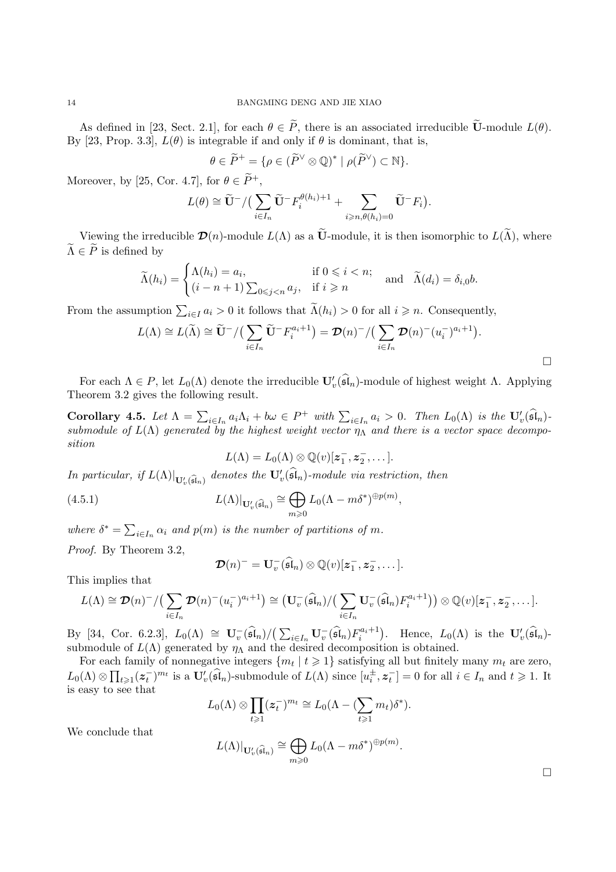As defined in [23, Sect. 2.1], for each  $\theta \in \tilde{P}$ , there is an associated irreducible  $\tilde{U}$ -module  $L(\theta)$ . By [23, Prop. 3.3],  $L(\theta)$  is integrable if and only if  $\theta$  is dominant, that is,

$$
\theta \in \widetilde{P}^+ = \{ \rho \in (\widetilde{P}^{\vee} \otimes \mathbb{Q})^* \mid \rho(\widetilde{P}^{\vee}) \subset \mathbb{N} \}.
$$

Moreover, by [25, Cor. 4.7], for  $\theta \in \tilde{P}^+$ ,

$$
L(\theta) \cong \widetilde{\mathbf{U}}^{-}/\big(\sum_{i\in I_n} \widetilde{\mathbf{U}}^{-} F_i^{\theta(h_i)+1} + \sum_{i\geqslant n, \theta(h_i)=0} \widetilde{\mathbf{U}}^{-} F_i\big).
$$

Viewing the irreducible  $\mathcal{D}(n)$ -module  $L(\Lambda)$  as a  $\widetilde{\mathbf{U}}$ -module, it is then isomorphic to  $L(\widetilde{\Lambda})$ , where  $\widetilde{\Lambda} \in \widetilde{P}$  is defined by

$$
\widetilde{\Lambda}(h_i) = \begin{cases} \Lambda(h_i) = a_i, & \text{if } 0 \leq i < n; \\ (i - n + 1) \sum_{0 \leq j < n} a_j, & \text{if } i \geq n \end{cases} \quad \text{and} \quad \widetilde{\Lambda}(d_i) = \delta_{i,0}b.
$$

From the assumption  $\sum_{i\in I} a_i > 0$  it follows that  $\tilde{\Lambda}(h_i) > 0$  for all  $i \geq n$ . Consequently,

$$
L(\Lambda) \cong L(\widetilde{\Lambda}) \cong \widetilde{\mathbf{U}}^{-}/\left(\sum_{i\in I_{n}}\widetilde{\mathbf{U}}^{-}F_{i}^{a_{i}+1}\right) = \mathcal{D}(n)^{-}/\left(\sum_{i\in I_{n}}\mathcal{D}(n)^{-}(u_{i}^{-})^{a_{i}+1}\right).
$$

For each  $\Lambda \in P$ , let  $L_0(\Lambda)$  denote the irreducible  $\mathbf{U}'_v(\mathfrak{sl}_n)$ -module of highest weight  $\Lambda$ . Applying Theorem 3.2 gives the following result.

Corollary 4.5. Let  $\Lambda = \sum_{i \in I_n} a_i \Lambda_i + b\omega \in P^+$  with  $\sum_{i \in I_n} a_i > 0$ . Then  $L_0(\Lambda)$  is the  $\mathbf{U}'_v(\widehat{\mathfrak{sl}}_n)$ . submodule of  $L(\Lambda)$  generated by the highest weight vector  $\eta_{\Lambda}$  and there is a vector space decomposition

$$
L(\Lambda) = L_0(\Lambda) \otimes \mathbb{Q}(v)[z_1^-, z_2^-, \dots].
$$

In particular, if  $L(\Lambda)|_{\mathbf{U}'_v(\widehat{\mathfrak{sl}}_n)}$  denotes the  $\mathbf{U}'_v(\mathfrak{sl}_n)$ -module via restriction, then

(4.5.1) 
$$
L(\Lambda)|_{\mathbf{U}_{v}^{\prime}(\widehat{\mathfrak{sl}}_{n})} \cong \bigoplus_{m \geq 0} L_{0}(\Lambda - m\delta^{*})^{\oplus p(m)},
$$

where  $\delta^* = \sum_{i \in I_n} \alpha_i$  and  $p(m)$  is the number of partitions of m. Proof. By Theorem 3.2,

$$
\mathcal{D}(n)^{-}=\mathbf{U}_{v}^{-}(\widehat{\mathfrak{sl}}_n)\otimes \mathbb{Q}(v)[\boldsymbol{z}_1^{-}, \boldsymbol{z}_2^{-}, \dots].
$$

This implies that

$$
L(\Lambda) \cong \mathcal{D}(n)^{-}/\left(\sum_{i\in I_n} \mathcal{D}(n)^{-}(u_i^{-})^{a_i+1}\right) \cong \left(\mathbf{U}_v^{-}(\widehat{\mathfrak{sl}}_n)/\left(\sum_{i\in I_n} \mathbf{U}_v^{-}(\widehat{\mathfrak{sl}}_n) F_i^{a_i+1}\right)\right) \otimes \mathbb{Q}(v)[\mathbf{z}_1^{-}, \mathbf{z}_2^{-}, \dots].
$$

By [34, Cor. 6.2.3],  $L_0(\Lambda) \cong \mathbf{U}_v^-(\widehat{\mathfrak{sl}}_n)/(\sum_{i\in I_n} \mathbf{U}_v^-(\widehat{\mathfrak{sl}}_n)F_i^{a_i+1})$ . Hence,  $L_0(\Lambda)$  is the  $\mathbf{U}_v'(\widehat{\mathfrak{sl}}_n)$ submodule of  $L(\Lambda)$  generated by  $\eta_{\Lambda}$  and the desired decomposition is obtained.

For each family of nonnegative integers  $\{m_t | t \geq 1\}$  satisfying all but finitely many  $m_t$  are zero,  $L_0(\Lambda) \otimes \prod_{t \geqslant 1} (\boldsymbol{z}_t^{-})^{m_t}$  is a  $\mathbf{U}'_v(\widehat{\mathfrak{sl}}_n)$ -submodule of  $L(\Lambda)$  since  $[u_i^{\pm}, \boldsymbol{z}_t^{-}] = 0$  for all  $i \in I_n$  and  $t \geqslant 1$ . It is easy to see that

$$
L_0(\Lambda) \otimes \prod_{t \geqslant 1} (z_t^{-})^{m_t} \cong L_0(\Lambda - (\sum_{t \geqslant 1} m_t) \delta^*).
$$

We conclude that

$$
L(\Lambda)|_{{\mathbf{U}}_v'(\widehat{\mathfrak{sl}}_n)}\cong \bigoplus_{m\geqslant 0}L_0(\Lambda-m\delta^*)^{\oplus p(m)}.
$$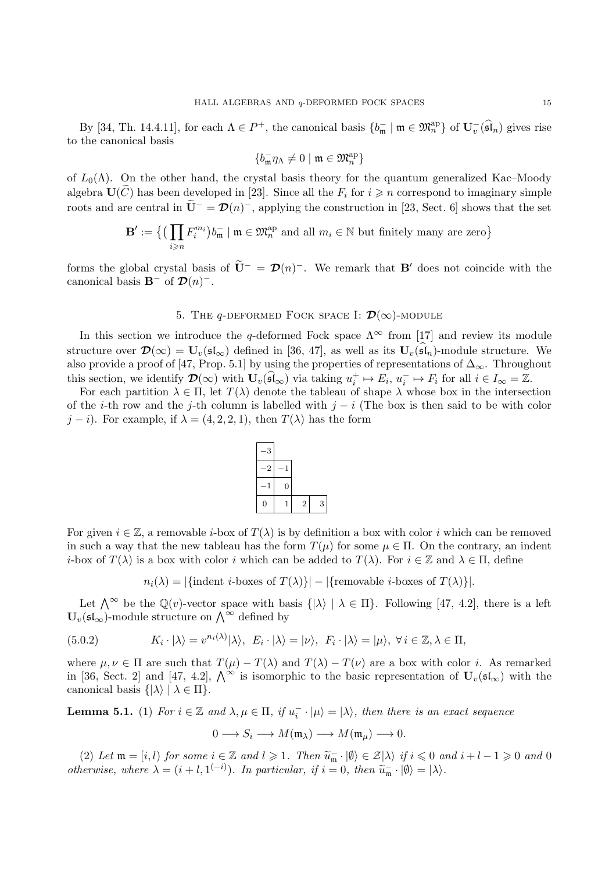By [34, Th. 14.4.11], for each  $\Lambda \in P^+$ , the canonical basis  $\{b_{\mathfrak{m}}^- \mid \mathfrak{m} \in \mathfrak{M}_n^{\mathrm{ap}}\}$  of  $\mathbf{U}_v^-(\widehat{\mathfrak{sl}}_n)$  gives rise to the canonical basis

$$
\{b_{\mathfrak{m}}^- \eta_\Lambda \neq 0 \mid \mathfrak{m} \in \mathfrak{M}_n^{\mathrm{ap}}\}
$$

of  $L_0(\Lambda)$ . On the other hand, the crystal basis theory for the quantum generalized Kac–Moody algebra  $\mathbf{U}(C)$  has been developed in [23]. Since all the  $F_i$  for  $i \geq n$  correspond to imaginary simple roots and are central in  $\tilde{\mathbf{U}}^{-} = \mathcal{D}(n)^{-}$ , applying the construction in [23, Sect. 6] shows that the set

$$
\mathbf{B}':=\big\{\big(\prod_{i\geqslant n}F_i^{m_i}\big)b_{\mathfrak{m}}^-\mid\mathfrak{m}\in\mathfrak{M}_n^{\mathrm{ap}}\text{ and all }m_i\in\mathbb{N}\text{ but finitely many are zero}\big\}
$$

forms the global crystal basis of  $\tilde{\mathbf{U}}^{-} = \mathcal{D}(n)^{-}$ . We remark that **B'** does not coincide with the canonical basis  $\mathbf{B}^-$  of  $\mathcal{D}(n)^-$ .

## 5. THE  $q$ -DEFORMED FOCK SPACE I:  $\mathcal{D}(\infty)$ -MODULE

In this section we introduce the q-deformed Fock space  $\Lambda^{\infty}$  from [17] and review its module structure over  $\mathcal{D}(\infty) = U_v(\mathfrak{sl}_{\infty})$  defined in [36, 47], as well as its  $U_v(\widehat{\mathfrak{sl}}_n)$ -module structure. We also provide a proof of [47, Prop. 5.1] by using the properties of representations of  $\Delta_{\infty}$ . Throughout this section, we identify  $\mathcal{D}(\infty)$  with  $\mathbf{U}_v(\widehat{\mathfrak{sl}}_{\infty})$  via taking  $u_i^+ \mapsto E_i$ ,  $u_i^- \mapsto F_i$  for all  $i \in I_{\infty} = \mathbb{Z}$ .

For each partition  $\lambda \in \Pi$ , let  $T(\lambda)$  denote the tableau of shape  $\lambda$  whose box in the intersection of the *i*-th row and the j-th column is labelled with  $j - i$  (The box is then said to be with color  $j - i$ ). For example, if  $\lambda = (4, 2, 2, 1)$ , then  $T(\lambda)$  has the form



For given  $i \in \mathbb{Z}$ , a removable *i*-box of  $T(\lambda)$  is by definition a box with color i which can be removed in such a way that the new tableau has the form  $T(\mu)$  for some  $\mu \in \Pi$ . On the contrary, an indent *i*-box of  $T(\lambda)$  is a box with color *i* which can be added to  $T(\lambda)$ . For  $i \in \mathbb{Z}$  and  $\lambda \in \Pi$ , define

 $n_i(\lambda) = |\{\text{indent i-boxes of } T(\lambda)\}| - |\{\text{removable } i\text{-boxes of } T(\lambda)\}|.$ 

Let  $\bigwedge^{\infty}$  be the  $\mathbb{Q}(v)$ -vector space with basis  $\{|\lambda\rangle \mid \lambda \in \Pi\}$ . Following [47, 4.2], there is a left  $\mathbf{U}_{v}(\mathfrak{sl}_{\infty})$ -module structure on  $\bigwedge^{\infty}$  defined by

(5.0.2) 
$$
K_i \cdot |\lambda\rangle = v^{n_i(\lambda)} |\lambda\rangle, \ E_i \cdot |\lambda\rangle = |\nu\rangle, \ F_i \cdot |\lambda\rangle = |\mu\rangle, \ \forall i \in \mathbb{Z}, \lambda \in \Pi,
$$

where  $\mu, \nu \in \Pi$  are such that  $T(\mu) - T(\lambda)$  and  $T(\lambda) - T(\nu)$  are a box with color i. As remarked in [36, Sect. 2] and [47, 4.2],  $\Lambda^{\infty}$  is isomorphic to the basic representation of  $U_v(\mathfrak{sl}_{\infty})$  with the canonical basis  $\{|\lambda\rangle \mid \lambda \in \Pi\}.$ 

**Lemma 5.1.** (1) For  $i \in \mathbb{Z}$  and  $\lambda, \mu \in \Pi$ , if  $u_i^- \cdot |\mu\rangle = |\lambda\rangle$ , then there is an exact sequence

$$
0 \longrightarrow S_i \longrightarrow M(\mathfrak{m}_{\lambda}) \longrightarrow M(\mathfrak{m}_{\mu}) \longrightarrow 0.
$$

(2) Let  $\mathfrak{m} = [i, l)$  for some  $i \in \mathbb{Z}$  and  $l \geq 1$ . Then  $\widetilde{u}_{\mathfrak{m}} \cdot |\emptyset\rangle \in \mathcal{Z}|\lambda\rangle$  if  $i \leq 0$  and  $i + l - 1 \geq 0$  and  $0$ otherwise, where  $\lambda = (i + l, 1^{(-i)})$ . In particular, if  $i = 0$ , then  $\widetilde{u}_{\mathfrak{m}} \cdot |\emptyset\rangle = |\lambda\rangle$ .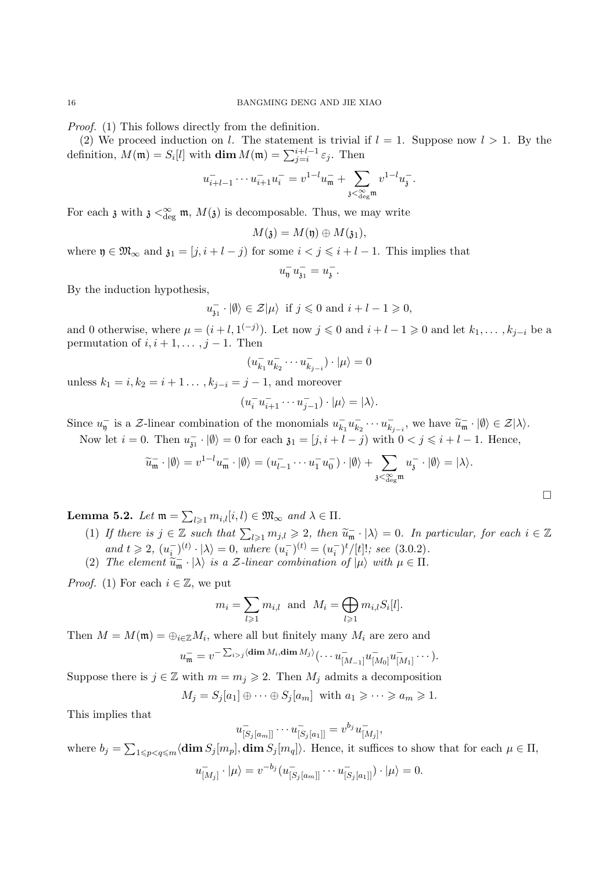Proof. (1) This follows directly from the definition.

(2) We proceed induction on l. The statement is trivial if  $l = 1$ . Suppose now  $l > 1$ . By the definition,  $M(\mathfrak{m}) = S_i[l]$  with  $\dim M(\mathfrak{m}) = \sum_{j=i}^{i+l-1} \varepsilon_j$ . Then

$$
u_{i+l-1}^- \cdots u_{i+1}^- u_i^- = v^{1-l} u_{\mathfrak{m}}^- + \sum_{\mathfrak{z} < \sum_{\deg \mathfrak{m}}^{\infty} v^{1-l} u_{\mathfrak{z}}^-
$$

.

 $\Box$ 

For each  $\mathfrak z$  with  $\mathfrak z \leq_{\deg}^{\infty} \mathfrak m$ ,  $M(\mathfrak z)$  is decomposable. Thus, we may write

$$
M(\mathfrak{z})=M(\mathfrak{y})\oplus M(\mathfrak{z}_1),
$$

where  $\mathfrak{y} \in \mathfrak{M}_{\infty}$  and  $\mathfrak{z}_1 = [j, i + l - j)$  for some  $i < j \leq i + l - 1$ . This implies that

$$
u_{\mathfrak{y}}^- u_{\mathfrak{z}_1}^- = u_{\mathfrak{z}}^-
$$

.

By the induction hypothesis,

$$
u_{\mathfrak{z}_1}^{-} \cdot |\emptyset\rangle \in \mathcal{Z}|\mu\rangle
$$
 if  $j \leq 0$  and  $i + l - 1 \geq 0$ ,

and 0 otherwise, where  $\mu = (i + l, 1^{(-j)})$ . Let now  $j \leq 0$  and  $i + l - 1 \geq 0$  and let  $k_1, \ldots, k_{j-i}$  be a permutation of  $i, i + 1, \ldots, j - 1$ . Then

$$
(u_{k_1}^- u_{k_2}^- \cdots u_{k_{j-i}}^-) \cdot |\mu\rangle = 0
$$

unless  $k_1 = i, k_2 = i + 1 \dots, k_{i-i} = j - 1$ , and moreover

$$
(u_i^- u_{i+1}^- \cdots u_{j-1}^-) \cdot |\mu\rangle = |\lambda\rangle.
$$

Since  $u_{\overline{y}}^-$  is a  $\mathcal{Z}\text{-linear combination of the monomials } u_{k_1}^- u_{k_2}^- \cdots u_{k_{j-i}}^-$ , we have  $\widetilde{u}_{\overline{m}} \cdot |\emptyset\rangle \in \mathcal{Z}|\lambda\rangle$ . Now let  $i = 0$ . Then  $u_{31}^- \cdot |\emptyset\rangle = 0$  for each  $\mathfrak{z}_1 = [j, i + l - j)$  with  $0 < j \leq i + l - 1$ . Hence,

$$
\widetilde{u}_{\mathfrak{m}}^-\cdot |\emptyset\rangle = v^{1-l}u_{\mathfrak{m}}^-\cdot |\emptyset\rangle = (u_{l-1}^-\cdots u_1^- u_0^-)\cdot |\emptyset\rangle + \sum_{\mathfrak{z}<\underset{\deg^{\mathfrak{m}}}{\infty}} u_{\mathfrak{z}}^-\cdot |\emptyset\rangle = |\lambda\rangle.
$$

**Lemma 5.2.** Let  $\mathfrak{m} = \sum_{l \geq 1} m_{i,l}[i,l) \in \mathfrak{M}_{\infty}$  and  $\lambda \in \Pi$ .

- (1) If there is  $j \in \mathbb{Z}$  such that  $\sum_{l \geq 1} m_{j,l} \geq 2$ , then  $\widetilde{u}_{\overline{n}} \cdot |\lambda\rangle = 0$ . In particular, for each  $i \in \mathbb{Z}$ and  $t \ge 2$ ,  $(u_i^{-})^{(t)} \cdot |\lambda\rangle = 0$ , where  $(u_i^{-})^{(t)} = (u_i^{-})^{t}/[t]!$ ; see (3.0.2).
- (2) The element  $\widetilde{u}_{\mathfrak{m}} \cdot |\lambda\rangle$  is a Z-linear combination of  $|\mu\rangle$  with  $\mu \in \Pi$ .

*Proof.* (1) For each  $i \in \mathbb{Z}$ , we put

$$
m_i = \sum_{l \geq 1} m_{i,l} \text{ and } M_i = \bigoplus_{l \geq 1} m_{i,l} S_i[l].
$$

Then  $M = M(\mathfrak{m}) = \bigoplus_{i \in \mathbb{Z}} M_i$ , where all but finitely many  $M_i$  are zero and

$$
u_{\mathfrak{m}}^- = v^{-\sum_{i>j} \langle \dim M_i, \dim M_j \rangle} \langle \cdots u_{[M_{-1}]}^- u_{[M_0]}^- u_{[M_1]}^- \cdots \rangle.
$$

Suppose there is  $j \in \mathbb{Z}$  with  $m = m_j \geq 2$ . Then  $M_j$  admits a decomposition

$$
M_j = S_j[a_1] \oplus \cdots \oplus S_j[a_m] \text{ with } a_1 \geqslant \cdots \geqslant a_m \geqslant 1.
$$

This implies that

$$
u_{[S_j[a_m]]}^- \cdots u_{[S_j[a_1]]}^- = v^{b_j} u_{[M_j]}^-,
$$

where  $b_j = \sum_{1 \leq p < q \leq m} \langle \dim S_j[m_p], \dim S_j[m_q] \rangle$ . Hence, it suffices to show that for each  $\mu \in \Pi$ ,

$$
u_{[M_j]}^-\cdot |\mu\rangle = v^{-b_j} (u_{[S_j[a_m]]}^-\cdots u_{[S_j[a_1]]}^-)\cdot |\mu\rangle = 0.
$$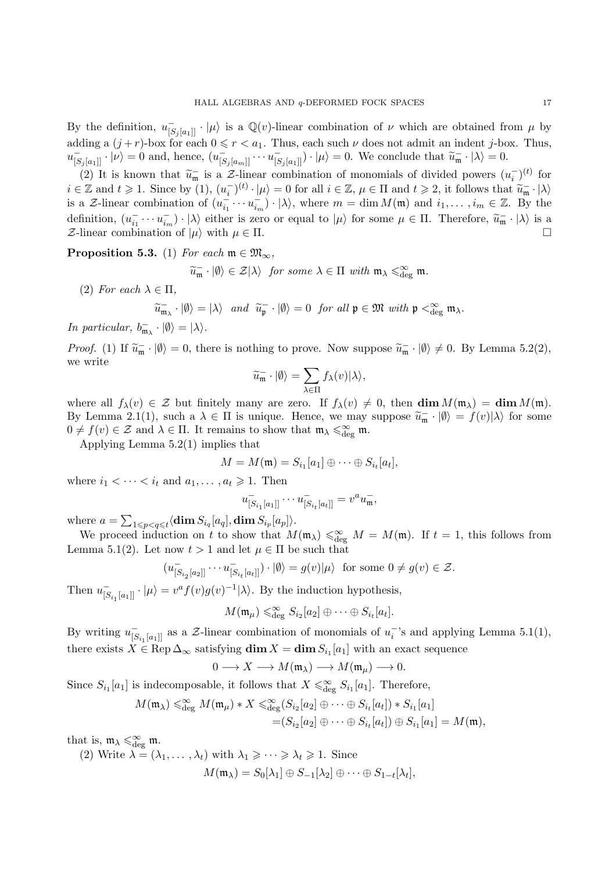By the definition,  $u_{[S_j[a_1]]}^-\cdot |\mu\rangle$  is a  $\mathbb{Q}(v)$ -linear combination of  $\nu$  which are obtained from  $\mu$  by adding a  $(j + r)$ -box for each  $0 \le r < a_1$ . Thus, each such  $\nu$  does not admit an indent j-box. Thus,  $u_{[S_j[a_1]]}^-\cdot |\nu\rangle = 0$  and, hence,  $(u_{[S_j[a_m]]}^-\cdots u_{[S_j[a_1]]}^-)\cdot |\mu\rangle = 0$ . We conclude that  $\widetilde{u}_{\mathfrak{m}}^-\cdot |\lambda\rangle = 0$ .

(2) It is known that  $\widetilde{u}_{\mathfrak{m}}$  is a  $\mathcal{Z}$ -linear combination of monomials of divided powers  $(u_{i}^{-})^{(t)}$  for  $i \in \mathbb{Z}$  and  $t \geq 1$ . Since by  $(1), (u_i^{-})^{(t)} \cdot |\mu\rangle = 0$  for all  $i \in \mathbb{Z}, \mu \in \Pi$  and  $t \geq 2$ , it follows that  $\widetilde{u}_{\overline{n}} \cdot |\lambda\rangle$ is a Z-linear combination of  $(u_{i_1}^-\cdots u_{i_m}^-)\cdot |\lambda\rangle$ , where  $m=\dim M(\mathfrak{m})$  and  $i_1,\ldots,i_m\in\mathbb{Z}$ . By the definition,  $(u_{i_1}^{\dagger} \cdots u_{i_m}^{\dagger}) \cdot |\lambda\rangle$  either is zero or equal to  $|\mu\rangle$  for some  $\mu \in \Pi$ . Therefore,  $\widetilde{u}_{\mathfrak{m}} \cdot |\lambda\rangle$  is a  $\mathcal{Z}\text{-linear combination of }|\mu\rangle$  with  $\mu \in \Pi$ .

**Proposition 5.3.** (1) For each  $m \in \mathfrak{M}_{\infty}$ ,

$$
\widetilde{u}_{\mathfrak{m}} \cdot |\emptyset\rangle \in \mathcal{Z}|\lambda\rangle
$$
 for some  $\lambda \in \Pi$  with  $\mathfrak{m}_{\lambda} \leq_{\text{deg}}^{\infty} \mathfrak{m}$ .

(2) For each  $\lambda \in \Pi$ ,

$$
\widetilde{u}_{\mathfrak{m}_{\lambda}} \cdot |\emptyset\rangle = |\lambda\rangle \quad and \quad \widetilde{u}_{\mathfrak{p}} \cdot |\emptyset\rangle = 0 \quad for \ all \ \mathfrak{p} \in \mathfrak{M} \ with \ \mathfrak{p} <_{\deg}^{\infty} \mathfrak{m}_{\lambda}.
$$

In particular,  $b_{\mathfrak{m}_{\lambda}}^{-} \cdot |\emptyset\rangle = |\lambda\rangle$ .

Proof. (1) If  $\widetilde{u}_{\mathfrak{m}} \cdot |\emptyset\rangle = 0$ , there is nothing to prove. Now suppose  $\widetilde{u}_{\mathfrak{m}} \cdot |\emptyset\rangle \neq 0$ . By Lemma 5.2(2), we write

$$
\widetilde{u}_{\mathfrak{m}}^-\cdot |\emptyset\rangle = \sum_{\lambda \in \Pi} f_{\lambda}(v) |\lambda\rangle,
$$

where all  $f_{\lambda}(v) \in \mathcal{Z}$  but finitely many are zero. If  $f_{\lambda}(v) \neq 0$ , then  $\dim M(\mathfrak{m}_{\lambda}) = \dim M(\mathfrak{m})$ . By Lemma 2.1(1), such a  $\lambda \in \Pi$  is unique. Hence, we may suppose  $\widetilde{u}_{\mathfrak{m}} \cdot |\emptyset\rangle = f(v)|\lambda\rangle$  for some  $\Omega$  of  $f(v) \in \mathcal{I}$  and  $h \in \Pi$ . It associates the share that  $\mathfrak{m} \leq \mathfrak{D}$  or  $\mathfrak{m}$  $0 \neq f(v) \in \mathcal{Z}$  and  $\lambda \in \Pi$ . It remains to show that  $\mathfrak{m}_{\lambda} \leq \mathfrak{g}_{\text{deg}}^{\infty} \mathfrak{m}$ .

Applying Lemma 5.2(1) implies that

$$
M = M(\mathfrak{m}) = S_{i_1}[a_1] \oplus \cdots \oplus S_{i_t}[a_t],
$$

where  $i_1 < \cdots < i_t$  and  $a_1, \ldots, a_t \geq 1$ . Then

$$
u_{[S_{i_1}[a_1]]}^- \cdots u_{[S_{i_t}[a_t]]}^- = v^a u_{\mathfrak{m}}^-,
$$

where  $a = \sum_{1 \leq p < q \leq t} \langle \dim S_{i_q}[a_q], \dim S_{i_p}[a_p] \rangle$ .

We proceed induction on t to show that  $M(\mathfrak{m}_{\lambda}) \leq \geq 0 \leq M \leq M(\mathfrak{m})$ . If  $t = 1$ , this follows from Lemma 5.1(2). Let now  $t > 1$  and let  $\mu \in \Pi$  be such that

$$
(u_{[S_{i_2}[a_2]]}^- \cdots u_{[S_{i_t}[a_t]]}^-) \cdot |\emptyset\rangle = g(v)|\mu\rangle \text{ for some } 0 \neq g(v) \in \mathcal{Z}.
$$

Then  $u_{[S_{i_1}[a_1]]}^{-} \cdot |\mu\rangle = v^a f(v)g(v)^{-1} |\lambda\rangle$ . By the induction hypothesis,

$$
M(\mathfrak{m}_{\mu}) \leq \mathfrak{g}_{\text{deg}} S_{i_2}[a_2] \oplus \cdots \oplus S_{i_t}[a_t].
$$

By writing  $u_{[S_{i_1}[a_1]]}^{-1}$  as a  $\mathcal{Z}\text{-linear}$  combination of monomials of  $u_i^{-1}$ 's and applying Lemma 5.1(1), there exists  $X \in \text{Rep } \Delta_{\infty}$  satisfying  $\dim X = \dim S_{i_1}[a_1]$  with an exact sequence

$$
0 \longrightarrow X \longrightarrow M(\mathfrak{m}_{\lambda}) \longrightarrow M(\mathfrak{m}_{\mu}) \longrightarrow 0.
$$

Since  $S_{i_1}[a_1]$  is indecomposable, it follows that  $X \leq \epsilon_{\text{deg}}^{\infty} S_{i_1}[a_1]$ . Therefore,

$$
M(\mathfrak{m}_{\lambda}) \leq \underset{\text{deg}}{\infty} M(\mathfrak{m}_{\mu}) * X \leq \underset{\text{deg}}{\infty} (S_{i_2}[a_2] \oplus \cdots \oplus S_{i_t}[a_t]) * S_{i_1}[a_1]
$$
  
= 
$$
(S_{i_2}[a_2] \oplus \cdots \oplus S_{i_t}[a_t]) \oplus S_{i_1}[a_1] = M(\mathfrak{m}),
$$

that is,  $\mathfrak{m}_{\lambda} \leq \underset{\text{deg}}{\infty} \mathfrak{m}$ .

(2) Write  $\lambda = (\lambda_1, \ldots, \lambda_t)$  with  $\lambda_1 \geqslant \cdots \geqslant \lambda_t \geqslant 1$ . Since

$$
M(\mathfrak{m}_{\lambda})=S_0[\lambda_1]\oplus S_{-1}[\lambda_2]\oplus\cdots\oplus S_{1-t}[\lambda_t],
$$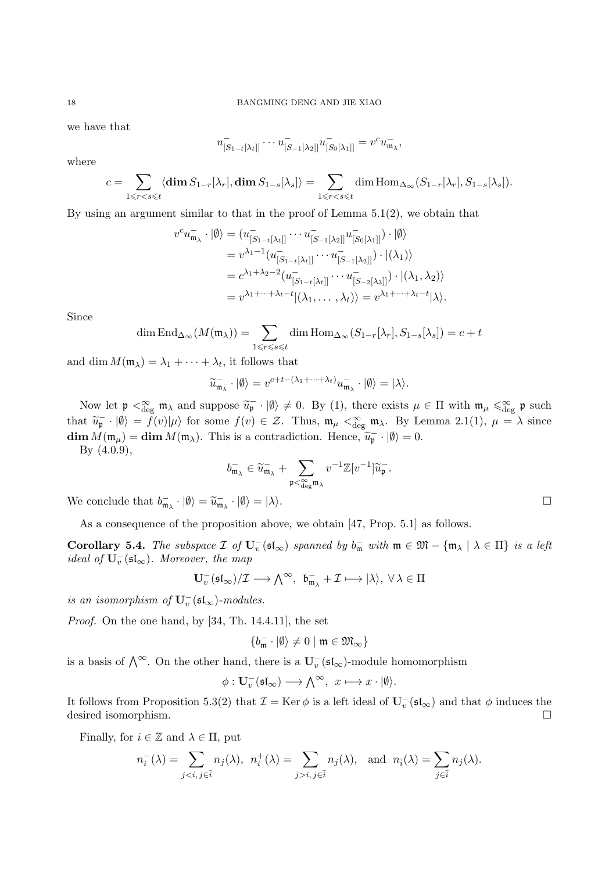we have that

$$
u_{[S_{1-t}[\lambda_t]]}^- \cdots u_{[S_{-1}[\lambda_2]]}^- u_{[S_0[\lambda_1]]}^- = v^c u_{\mathfrak{m}_{\lambda}}^-,
$$

where

$$
c = \sum_{1 \leq r < s \leq t} \langle \dim S_{1-r}[\lambda_r], \dim S_{1-s}[\lambda_s] \rangle = \sum_{1 \leq r < s \leq t} \dim \text{Hom}_{\Delta_\infty}(S_{1-r}[\lambda_r], S_{1-s}[\lambda_s]).
$$

By using an argument similar to that in the proof of Lemma  $5.1(2)$ , we obtain that

$$
v^{c}u_{\mathfrak{m}_{\lambda}}^{-} \cdot |\emptyset\rangle = (u_{[S_{1-t}[\lambda_t]]}^{-} \cdots u_{[S_{-1}[\lambda_2]]}^{-} u_{[S_{0}[\lambda_1]]}^{-}) \cdot |\emptyset\rangle
$$
  
\n
$$
= v^{\lambda_1 - 1}(u_{[S_{1-t}[\lambda_t]]}^{-} \cdots u_{[S_{-1}[\lambda_2]]}^{-}) \cdot |(\lambda_1)\rangle
$$
  
\n
$$
= c^{\lambda_1 + \lambda_2 - 2}(u_{[S_{1-t}[\lambda_t]]}^{-} \cdots u_{[S_{-2}[\lambda_3]]}^{-}) \cdot |(\lambda_1, \lambda_2)\rangle
$$
  
\n
$$
= v^{\lambda_1 + \cdots + \lambda_t - t} |(\lambda_1, \ldots, \lambda_t)\rangle = v^{\lambda_1 + \cdots + \lambda_t - t} |\lambda\rangle.
$$

Since

$$
\dim \operatorname{End}_{\Delta_{\infty}}(M(\mathfrak{m}_{\lambda})) = \sum_{1 \leq r \leq s \leq t} \dim \operatorname{Hom}_{\Delta_{\infty}}(S_{1-r}[\lambda_r], S_{1-s}[\lambda_s]) = c + t
$$

and dim  $M(\mathfrak{m}_{\lambda}) = \lambda_1 + \cdots + \lambda_t$ , it follows that

$$
\widetilde{u}_{\mathfrak{m}_{\lambda}}^{-}\cdot |\emptyset\rangle = v^{c+t-(\lambda_1+\cdots+\lambda_t)}u_{\mathfrak{m}_{\lambda}}^{-}\cdot |\emptyset\rangle = |\lambda\rangle.
$$

Now let  $\mathfrak{p} \leq_{\text{deg}}^{\infty} \mathfrak{m}_{\lambda}$  and suppose  $\widetilde{u}_{\mathfrak{p}} \cdot |\emptyset\rangle \neq 0$ . By (1), there exists  $\mu \in \Pi$  with  $\mathfrak{m}_{\mu} \leq_{\text{deg}}^{\infty} \mathfrak{p}$  such that  $\widetilde{u}_{\mathsf{p}} \cdot |\emptyset\rangle = f(v)|\mu\rangle$  for some  $f(v) \in \mathcal{Z}$ . Thus,  $\mathfrak{m}_{\mu} < \mathfrak{E}_{\text{deg}} \mathfrak{m}_{\lambda}$ . By Lemma 2.1(1),  $\mu = \lambda$  since  $\dim M(\mathfrak{m}_{\mu}) = \dim M(\mathfrak{m}_{\lambda}).$  This is a contradiction. Hence,  $\widetilde{u}_{\mathfrak{p}} \cdot |\emptyset \rangle = 0.$ 

By (4.0.9),

$$
b^-_{\mathfrak{m}_\lambda} \in \widetilde{u}_{\mathfrak{m}_\lambda}^- + \sum_{\mathfrak{p} < \sum\limits_{\deg^{\mathfrak{m}_\lambda}} v^{-1} \mathbb{Z}[v^{-1}] \widetilde{u}_{\mathfrak{p}}^-.
$$

We conclude that  $b_{\mathfrak{m}_{\lambda}} \cdot |\emptyset\rangle = \widetilde{u}_{\mathfrak{m}_{\lambda}} \cdot |\emptyset\rangle = |\lambda\rangle$ .

As a consequence of the proposition above, we obtain [47, Prop. 5.1] as follows.

Corollary 5.4. The subspace  $\mathcal{I}$  of  $U_v^-(\mathfrak{sl}_{\infty})$  spanned by  $b_m^-$  with  $\mathfrak{m} \in \mathfrak{M} - {\mathfrak{m}}_{\lambda} \mid \lambda \in \Pi$  is a left *ideal of*  $\mathbf{U}_{v}^{-}(\mathfrak{sl}_{\infty})$ . Moreover, the map

$$
\mathbf{U}_{v}^{-}(\mathfrak{sl}_{\infty})/\mathcal{I} \longrightarrow \bigwedge^{\infty}, \ \mathfrak{b}_{\mathfrak{m}_{\lambda}}^{-}+\mathcal{I} \longmapsto |\lambda\rangle, \ \forall \ \lambda \in \Pi
$$

is an isomorphism of  $\mathbf{U}_{v}^{-}(\mathfrak{sl}_{\infty})$ -modules.

Proof. On the one hand, by [34, Th. 14.4.11], the set

$$
\{b_{\mathfrak{m}}^- \cdot |\emptyset\rangle \neq 0 \mid \mathfrak{m} \in \mathfrak{M}_{\infty}\}
$$

is a basis of  $\bigwedge^{\infty}$ . On the other hand, there is a  $\mathbf{U}_{v}^{-}(\mathfrak{sl}_{\infty})$ -module homomorphism

$$
\phi: \mathbf{U}_v^-(\mathfrak{sl}_\infty) \longrightarrow \textstyle\bigwedge^\infty,\ x\longmapsto x\cdot |\emptyset\rangle.
$$

It follows from Proposition 5.3(2) that  $\mathcal{I} = \text{Ker } \phi$  is a left ideal of  $\mathbf{U}^-_v(\mathfrak{sl}_\infty)$  and that  $\phi$  induces the desired isomorphism.

Finally, for  $i \in \mathbb{Z}$  and  $\lambda \in \Pi$ , put

$$
n_i^-(\lambda) = \sum_{j < i, j \in \bar{i}} n_j(\lambda), \quad n_i^+(\lambda) = \sum_{j > i, j \in \bar{i}} n_j(\lambda), \quad \text{and} \quad n_{\bar{i}}(\lambda) = \sum_{j \in \bar{i}} n_j(\lambda).
$$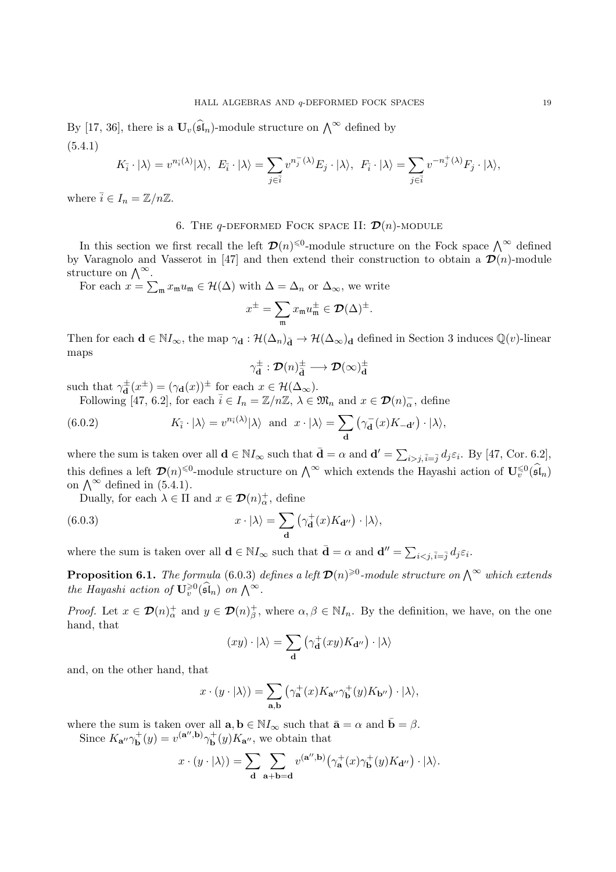By [17, 36], there is a  $\mathbf{U}_v(\widehat{\mathfrak{sl}}_n)$ -module structure on  $\bigwedge^\infty$  defined by (5.4.1)

$$
K_{\overline{i}} \cdot |\lambda\rangle = v^{n_{\overline{i}}(\lambda)} |\lambda\rangle, \ E_{\overline{i}} \cdot |\lambda\rangle = \sum_{j \in \overline{i}} v^{n_j^-(\lambda)} E_j \cdot |\lambda\rangle, \ F_{\overline{i}} \cdot |\lambda\rangle = \sum_{j \in \overline{i}} v^{-n_j^+(\lambda)} F_j \cdot |\lambda\rangle,
$$

where  $\bar{i} \in I_n = \mathbb{Z}/n\mathbb{Z}$ .

# 6. THE  $q$ -DEFORMED FOCK SPACE II:  $\mathcal{D}(n)$ -MODULE

In this section we first recall the left  $\mathcal{D}(n)^{\leq 0}$ -module structure on the Fock space  $\bigwedge^{\infty}$  defined by Varagnolo and Vasserot in [47] and then extend their construction to obtain a  $\mathcal{D}(n)$ -module structure on  $\bigwedge^{\infty}$ .

For each  $x = \sum_{\mathfrak{m}} x_{\mathfrak{m}} u_{\mathfrak{m}} \in \mathcal{H}(\Delta)$  with  $\Delta = \Delta_n$  or  $\Delta_{\infty}$ , we write

$$
x^{\pm} = \sum_{\mathfrak{m}} x_{\mathfrak{m}} u_{\mathfrak{m}}^{\pm} \in \mathcal{D}(\Delta)^{\pm}.
$$

Then for each  $\mathbf{d} \in \mathbb{N}I_{\infty}$ , the map  $\gamma_{\mathbf{d}} : \mathcal{H}(\Delta_n)_{\bar{\mathbf{d}}} \to \mathcal{H}(\Delta_{\infty})_{\mathbf{d}}$  defined in Section 3 induces  $\mathbb{Q}(v)$ -linear maps

$$
\gamma_{\mathbf{d}}^{\pm}:\mathcal{D}(n)_{\bar{\mathbf{d}}}^{\pm}\longrightarrow \mathcal{D}(\infty)_{\mathbf{d}}^{\pm}
$$

such that  $\gamma_{\mathbf{d}}^{\pm}(x^{\pm}) = (\gamma_{\mathbf{d}}(x))^{\pm}$  for each  $x \in \mathcal{H}(\Delta_{\infty})$ . Following [47, 6.2], for each  $\bar{i} \in I_n = \mathbb{Z}/n\mathbb{Z}, \lambda \in \mathfrak{M}_n$  and  $x \in \mathcal{D}(n)_{\alpha}^-$ , define

 $K_{\bar{i}} \cdot |\lambda\rangle = v^{n_{\bar{i}}(\lambda)} |\lambda\rangle$  and  $x \cdot |\lambda\rangle = \sum$ d (6.0.2)  $K_{\bar{i}} \cdot |\lambda\rangle = v^{n_{\bar{i}}(\lambda)} |\lambda\rangle \text{ and } x \cdot |\lambda\rangle = \sum (\gamma_{\mathbf{d}}(x) K_{-\mathbf{d'}}) \cdot |\lambda\rangle,$ 

where the sum is taken over all  $\mathbf{d} \in \mathbb{N} I_{\infty}$  such that  $\bar{\mathbf{d}} = \alpha$  and  $\mathbf{d}' = \sum_{i > j, \bar{i} = \bar{j}} d_j \varepsilon_i$ . By [47, Cor. 6.2], this defines a left  $\mathcal{D}(n)^{\leq 0}$ -module structure on  $\bigwedge^{\infty}$  which extends the Hayashi action of  $\mathbf{U}_{v}^{\leq 0}(\widehat{\mathfrak{sl}}_{n})$ on  $\bigwedge^{\infty}$  defined in (5.4.1).

Dually, for each  $\lambda \in \Pi$  and  $x \in \mathcal{D}(n)_{\alpha}^{+}$ , define

(6.0.3) 
$$
x \cdot |\lambda\rangle = \sum_{\mathbf{d}} (\gamma_{\mathbf{d}}^{+}(x)K_{\mathbf{d}''}) \cdot |\lambda\rangle,
$$

where the sum is taken over all  $\mathbf{d} \in \mathbb{N} I_{\infty}$  such that  $\bar{\mathbf{d}} = \alpha$  and  $\mathbf{d}'' = \sum_{i \leq j, \bar{i} = \bar{j}} d_j \varepsilon_i$ .

**Proposition 6.1.** The formula (6.0.3) defines a left  $\mathcal{D}(n)^{\geq 0}$ -module structure on  $\bigwedge^{\infty}$  which extends the Hayashi action of  $\mathbf{U}_{v}^{\geqslant 0}(\widehat{\mathfrak{sl}}_n)$  on  $\bigwedge^{\infty}$ .

*Proof.* Let  $x \in \mathcal{D}(n)_{\alpha}^+$  and  $y \in \mathcal{D}(n)_{\beta}^+$ , where  $\alpha, \beta \in \mathbb{N}I_n$ . By the definition, we have, on the one hand, that

$$
(xy)\cdot |\lambda\rangle = \sum_{\mathbf{d}} \left(\gamma_{\mathbf{d}}^+(xy)K_{\mathbf{d}''}\right)\cdot |\lambda\rangle
$$

and, on the other hand, that

$$
x\cdot (y\cdot |\lambda\rangle)=\sum_{{\mathbf{a}},{\mathbf{b}}}\left(\gamma_{{\mathbf{a}}}^+(x)K_{{\mathbf{a}}''}\gamma_{{\mathbf{b}}}^+(y)K_{{\mathbf{b}}''}\right)\cdot |\lambda\rangle,
$$

where the sum is taken over all  $\mathbf{a}, \mathbf{b} \in \mathbb{N} I_{\infty}$  such that  $\bar{\mathbf{a}} = \alpha$  and  $\bar{\mathbf{b}} = \beta$ .

Since  $K_{\mathbf{a}''}\gamma_{\mathbf{b}}^{+}(y) = v^{(\mathbf{a}'',\mathbf{b})}\gamma_{\mathbf{b}}^{+}(y)K_{\mathbf{a}''}$ , we obtain that

$$
x \cdot (y \cdot |\lambda\rangle) = \sum_{\mathbf{d}} \sum_{\mathbf{a} + \mathbf{b} = \mathbf{d}} v^{(\mathbf{a}'', \mathbf{b})} (\gamma_{\mathbf{a}}^+ (x) \gamma_{\mathbf{b}}^+ (y) K_{\mathbf{d}''}) \cdot |\lambda\rangle.
$$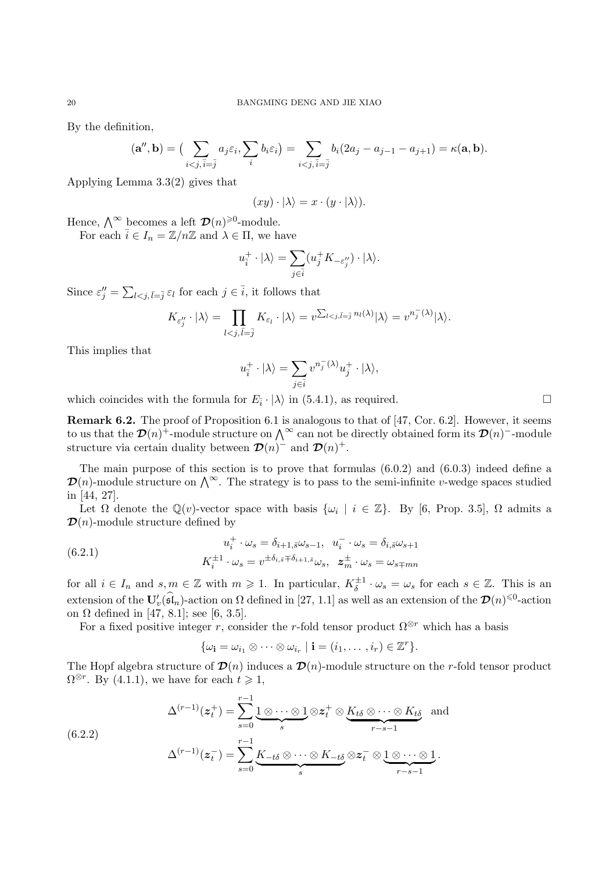By the definition,

$$
(\mathbf{a}'',\mathbf{b}) = \big(\sum_{i < j, \bar{i} = \bar{j}} a_j \varepsilon_i, \sum_i b_i \varepsilon_i\big) = \sum_{i < j, \bar{i} = \bar{j}} b_i (2a_j - a_{j-1} - a_{j+1}) = \kappa(\mathbf{a}, \mathbf{b}).
$$

Applying Lemma 3.3(2) gives that

$$
(xy)\cdot |\lambda\rangle = x\cdot (y\cdot |\lambda\rangle).
$$

Hence,  $\bigwedge^{\infty}$  becomes a left  $\mathcal{D}(n)^{\geq 0}$ -module.

For each  $\bar{i} \in I_n = \mathbb{Z}/n\mathbb{Z}$  and  $\lambda \in \Pi$ , we have

$$
u_i^+ \cdot |\lambda\rangle = \sum_{j \in \bar{i}} (u_j^+ K_{-\varepsilon''_j}) \cdot |\lambda\rangle.
$$

Since  $\varepsilon''_j = \sum_{l \le j, \bar{l} = \bar{j}} \varepsilon_l$  for each  $j \in \bar{i}$ , it follows that

$$
K_{\varepsilon''_j}\cdot |\lambda\rangle = \prod_{l
$$

This implies that

$$
u_i^+ \cdot |\lambda\rangle = \sum_{j \in \bar{i}} v^{n_j^- (\lambda)} u_j^+ \cdot |\lambda\rangle,
$$

which coincides with the formula for  $E_{\bar{i}} \cdot |\lambda\rangle$  in (5.4.1), as required.

Remark 6.2. The proof of Proposition 6.1 is analogous to that of [47, Cor. 6.2]. However, it seems to us that the  $\mathcal{D}(n)^+$ -module structure on  $\bigwedge^{\infty}$  can not be directly obtained form its  $\mathcal{D}(n)^-$ -module structure via certain duality between  $\mathcal{D}(n)^{-1}$  and  $\mathcal{D}(n)^{+}$ .

The main purpose of this section is to prove that formulas (6.0.2) and (6.0.3) indeed define a  $\mathcal{D}(n)$ -module structure on  $\bigwedge^{\infty}$ . The strategy is to pass to the semi-infinite v-wedge spaces studied in [44, 27].

Let  $\Omega$  denote the  $\mathbb{Q}(v)$ -vector space with basis  $\{\omega_i \mid i \in \mathbb{Z}\}\$ . By [6, Prop. 3.5],  $\Omega$  admits a  $\mathcal{D}(n)$ -module structure defined by

(6.2.1) 
$$
u_i^+ \cdot \omega_s = \delta_{i+1,\bar{s}} \omega_{s-1}, \quad u_i^- \cdot \omega_s = \delta_{i,\bar{s}} \omega_{s+1}
$$

$$
K_i^{\pm 1} \cdot \omega_s = v^{\pm \delta_{i,\bar{s}} \mp \delta_{i+1,\bar{s}} \omega_s}, \quad \mathbf{z}_m^{\pm} \cdot \omega_s = \omega_{s \mp mn}
$$

for all  $i \in I_n$  and  $s, m \in \mathbb{Z}$  with  $m \geq 1$ . In particular,  $K_{\delta}^{\pm 1} \cdot \omega_s = \omega_s$  for each  $s \in \mathbb{Z}$ . This is an extension of the  $\mathbf{U}'_v(\widehat{\mathfrak{sl}}_n)$ -action on  $\Omega$  defined in [27, 1.1] as well as an extension of the  $\mathcal{D}(n)^{\leq 0}$ -action on Ω defined in [47, 8.1]; see [6, 3.5].

For a fixed positive integer r, consider the r-fold tensor product  $\Omega^{\otimes r}$  which has a basis

$$
\{\omega_{\mathbf{i}} = \omega_{i_1} \otimes \cdots \otimes \omega_{i_r} \mid \mathbf{i} = (i_1, \ldots, i_r) \in \mathbb{Z}^r\}.
$$

The Hopf algebra structure of  $\mathcal{D}(n)$  induces a  $\mathcal{D}(n)$ -module structure on the r-fold tensor product  $\Omega^{\otimes r}$ . By (4.1.1), we have for each  $t \geq 1$ ,

(6.2.2)  
\n
$$
\Delta^{(r-1)}(z_t^+) = \sum_{s=0}^{r-1} \underbrace{1 \otimes \cdots \otimes 1}_{s} \otimes z_t^+ \otimes \underbrace{K_{t\delta} \otimes \cdots \otimes K_{t\delta}}_{r-s-1} \text{ and}
$$
\n
$$
\Delta^{(r-1)}(z_t^-) = \sum_{s=0}^{r-1} \underbrace{K_{-t\delta} \otimes \cdots \otimes K_{-t\delta}}_{s} \otimes z_t^- \otimes \underbrace{1 \otimes \cdots \otimes 1}_{r-s-1}.
$$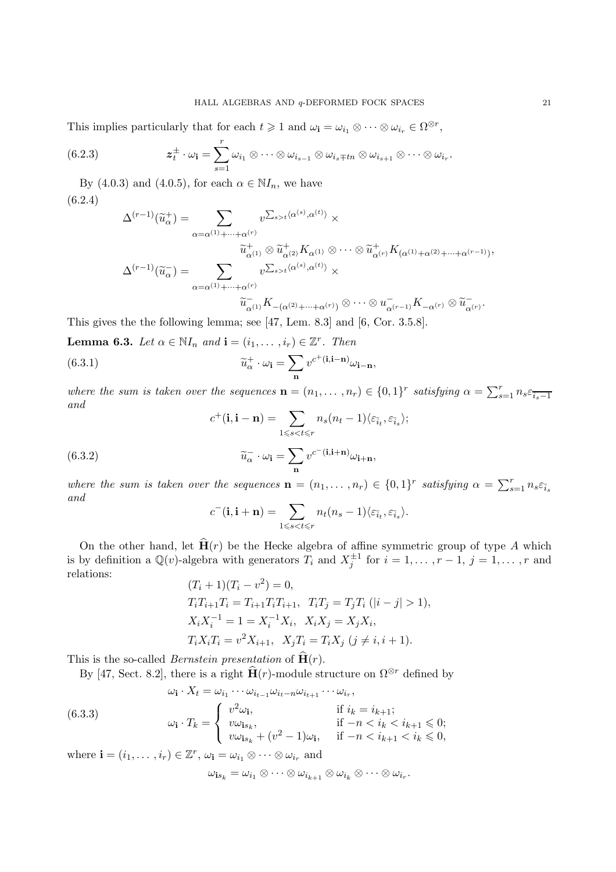This implies particularly that for each  $t \geq 1$  and  $\omega_{i} = \omega_{i_1} \otimes \cdots \otimes \omega_{i_r} \in \Omega^{\otimes r}$ ,

(6.2.3) 
$$
z_t^{\pm} \cdot \omega_{\mathbf{i}} = \sum_{s=1}^r \omega_{i_1} \otimes \cdots \otimes \omega_{i_{s-1}} \otimes \omega_{i_s \mp t_n} \otimes \omega_{i_{s+1}} \otimes \cdots \otimes \omega_{i_r}.
$$

By (4.0.3) and (4.0.5), for each  $\alpha \in NI_n$ , we have (6.2.4)

$$
\Delta^{(r-1)}(\widetilde{u}_{\alpha}^{+}) = \sum_{\alpha = \alpha^{(1)} + \dots + \alpha^{(r)}} v^{\sum_{s > t} \langle \alpha^{(s)}, \alpha^{(t)} \rangle} \times
$$

$$
\widetilde{u}_{\alpha^{(1)}}^{+} \otimes \widetilde{u}_{\alpha^{(2)}}^{+} K_{\alpha^{(1)}} \otimes \dots \otimes \widetilde{u}_{\alpha^{(r)}}^{+} K_{(\alpha^{(1)} + \alpha^{(2)} + \dots + \alpha^{(r-1)})},
$$

$$
\Delta^{(r-1)}(\widetilde{u}_{\alpha}^{-}) = \sum_{\alpha = \alpha^{(1)} + \dots + \alpha^{(r)}} v^{\sum_{s > t} \langle \alpha^{(s)}, \alpha^{(t)} \rangle} \times
$$

$$
\widetilde{u}_{\alpha^{(1)}}^{-} K_{-(\alpha^{(2)} + \dots + \alpha^{(r)})} \otimes \dots \otimes u_{\alpha^{(r-1)}}^{-} K_{-\alpha^{(r)}} \otimes \widetilde{u}_{\alpha^{(r)}}^{-}.
$$

This gives the the following lemma; see [47, Lem. 8.3] and [6, Cor. 3.5.8].

**Lemma 6.3.** Let  $\alpha \in \mathbb{N}I_n$  and  $\mathbf{i} = (i_1, \dots, i_r) \in \mathbb{Z}^r$ . Then

(6.3.1) 
$$
\widetilde{u}_{\alpha}^{+} \cdot \omega_{\mathbf{i}} = \sum_{\mathbf{n}} v^{c^{+}(\mathbf{i}, \mathbf{i} - \mathbf{n})} \omega_{\mathbf{i} - \mathbf{n}},
$$

where the sum is taken over the sequences  $\mathbf{n} = (n_1, \dots, n_r) \in \{0, 1\}^r$  satisfying  $\alpha = \sum_{s=1}^r n_s \varepsilon_{\overline{i_s - 1}}$ and

$$
c^{+}(\mathbf{i}, \mathbf{i} - \mathbf{n}) = \sum_{1 \leq s < t \leq r} n_{s}(n_{t} - 1) \langle \varepsilon_{\bar{i}_{t}}, \varepsilon_{\bar{i}_{s}} \rangle;
$$

(6.3.2) 
$$
\widetilde{u}_{\alpha}^{-} \cdot \omega_{\mathbf{i}} = \sum_{\mathbf{n}} v^{c^{-}(\mathbf{i}, \mathbf{i} + \mathbf{n})} \omega_{\mathbf{i} + \mathbf{n}},
$$

where the sum is taken over the sequences  $\mathbf{n} = (n_1, \ldots, n_r) \in \{0, 1\}^r$  satisfying  $\alpha = \sum_{s=1}^r n_s \varepsilon_{\bar{i}_s}$ and

$$
c^{-}(\mathbf{i}, \mathbf{i} + \mathbf{n}) = \sum_{1 \leq s < t \leq r} n_t(n_s - 1) \langle \varepsilon_{\bar{i}_t}, \varepsilon_{\bar{i}_s} \rangle.
$$

On the other hand, let  $\hat{H}(r)$  be the Hecke algebra of affine symmetric group of type A which is by definition a  $\mathbb{Q}(v)$ -algebra with generators  $T_i$  and  $X_j^{\pm 1}$  for  $i = 1, \ldots, r-1$ ,  $j = 1, \ldots, r$  and relations:

$$
(T_i + 1)(T_i - v^2) = 0,
$$
  
\n
$$
T_i T_{i+1} T_i = T_{i+1} T_i T_{i+1}, \quad T_i T_j = T_j T_i \ (|i - j| > 1),
$$
  
\n
$$
X_i X_i^{-1} = 1 = X_i^{-1} X_i, \quad X_i X_j = X_j X_i,
$$
  
\n
$$
T_i X_i T_i = v^2 X_{i+1}, \quad X_j T_i = T_i X_j \ (j \neq i, i + 1).
$$

This is the so-called *Bernstein presentation* of  $\widehat{H}(r)$ .

By [47, Sect. 8.2], there is a right  $\hat{H}(r)$ -module structure on  $\Omega^{\otimes r}$  defined by

(6.3.3)  
\n
$$
\omega_{\mathbf{i}} \cdot X_t = \omega_{i_1} \cdots \omega_{i_{t-1}} \omega_{i_{t-1}} \omega_{i_{t+1}} \cdots \omega_{i_r},
$$
\n
$$
\omega_{\mathbf{i}} \cdot T_k = \begin{cases}\nv^2 \omega_{\mathbf{i}}, & \text{if } i_k = i_{k+1}; \\
v \omega_{\mathbf{i}s_k}, & \text{if } -n < i_k < i_{k+1} \leq 0; \\
v \omega_{\mathbf{i}s_k} + (v^2 - 1)\omega_{\mathbf{i}}, & \text{if } -n < i_{k+1} < i_k \leq 0,\n\end{cases}
$$

where  $\mathbf{i} = (i_1, \dots, i_r) \in \mathbb{Z}^r$ ,  $\omega_{\mathbf{i}} = \omega_{i_1} \otimes \dots \otimes \omega_{i_r}$  and

$$
\omega_{\mathbf{i} s_k} = \omega_{i_1} \otimes \cdots \otimes \omega_{i_{k+1}} \otimes \omega_{i_k} \otimes \cdots \otimes \omega_{i_r}.
$$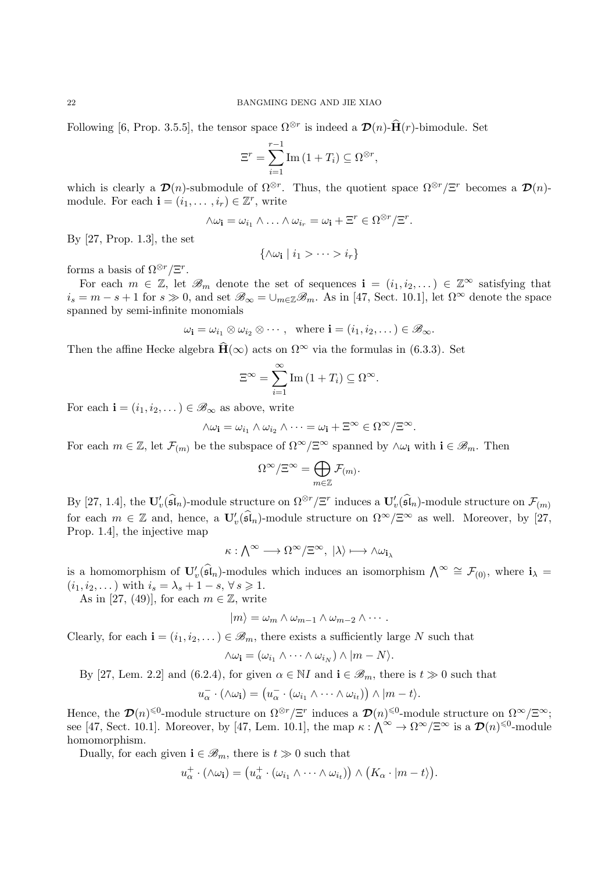Following [6, Prop. 3.5.5], the tensor space  $\Omega^{\otimes r}$  is indeed a  $\mathcal{D}(n)$ - $\hat{H}(r)$ -bimodule. Set

$$
\Xi^r = \sum_{i=1}^{r-1} \text{Im} \left( 1 + T_i \right) \subseteq \Omega^{\otimes r},
$$

which is clearly a  $\mathcal{D}(n)$ -submodule of  $\Omega^{\otimes r}$ . Thus, the quotient space  $\Omega^{\otimes r}/\Xi^r$  becomes a  $\mathcal{D}(n)$ module. For each  $\mathbf{i} = (i_1, \dots, i_r) \in \mathbb{Z}^r$ , write

$$
\wedge \omega_{\mathbf{i}} = \omega_{i_1} \wedge \ldots \wedge \omega_{i_r} = \omega_{\mathbf{i}} + \Xi^r \in \Omega^{\otimes r}/\Xi^r.
$$

By [27, Prop. 1.3], the set

$$
\{\wedge \omega_{\mathbf{i}} \mid i_1 > \cdots > i_r\}
$$

forms a basis of  $\Omega^{\otimes r}/\Xi^r$ .

For each  $m \in \mathbb{Z}$ , let  $\mathscr{B}_m$  denote the set of sequences  $\mathbf{i} = (i_1, i_2, \dots) \in \mathbb{Z}^{\infty}$  satisfying that  $i_s = m - s + 1$  for  $s \gg 0$ , and set  $\mathscr{B}_{\infty} = \bigcup_{m \in \mathbb{Z}} \mathscr{B}_m$ . As in [47, Sect. 10.1], let  $\Omega^{\infty}$  denote the space spanned by semi-infinite monomials

$$
\omega_{\mathbf{i}} = \omega_{i_1} \otimes \omega_{i_2} \otimes \cdots , \quad \text{where } \mathbf{i} = (i_1, i_2, \dots) \in \mathscr{B}_{\infty}.
$$

Then the affine Hecke algebra  $\hat{H}(\infty)$  acts on  $\Omega^{\infty}$  via the formulas in (6.3.3). Set

$$
\Xi^{\infty} = \sum_{i=1}^{\infty} \text{Im} (1 + T_i) \subseteq \Omega^{\infty}.
$$

For each  $\mathbf{i} = (i_1, i_2, \dots) \in \mathscr{B}_{\infty}$  as above, write

$$
\wedge \omega_{\mathbf{i}} = \omega_{i_1} \wedge \omega_{i_2} \wedge \cdots = \omega_{\mathbf{i}} + \Xi^{\infty} \in \Omega^{\infty}/\Xi^{\infty}.
$$

For each  $m \in \mathbb{Z}$ , let  $\mathcal{F}_{(m)}$  be the subspace of  $\Omega^{\infty}/\Xi^{\infty}$  spanned by  $\wedge \omega_{i}$  with  $i \in \mathscr{B}_{m}$ . Then

$$
\Omega^\infty/\Xi^\infty=\bigoplus_{m\in\mathbb{Z}}\mathcal{F}_{(m)}.
$$

By [27, 1.4], the  $\mathbf{U}'_v(\widehat{\mathfrak{sl}}_n)$ -module structure on  $\Omega^{\otimes r}/\Xi^r$  induces a  $\mathbf{U}'_v(\widehat{\mathfrak{sl}}_n)$ -module structure on  $\mathcal{F}_{(m)}$ for each  $m \in \mathbb{Z}$  and, hence, a  $\mathbf{U}'_v(\mathfrak{sl}_n)$ -module structure on  $\Omega^{\infty}/\Xi^{\infty}$  as well. Moreover, by [27, Prop. 1.4], the injective map

$$
\kappa: \bigwedge^{\infty} \longrightarrow \Omega^{\infty}/\Xi^{\infty}, \; |\lambda\rangle \longmapsto \wedge \omega_{\mathbf{i}_{\lambda}}
$$

is a homomorphism of  $\mathbf{U}'_v(\widehat{\mathfrak{sl}}_n)$ -modules which induces an isomorphism  $\bigwedge^{\infty} \cong \mathcal{F}_{(0)}$ , where  $\mathbf{i}_{\lambda} =$  $(i_1, i_2, \dots)$  with  $i_s = \lambda_s + 1 - s, \forall s \geq 1$ .

As in [27, (49)], for each  $m \in \mathbb{Z}$ , write

$$
|m\rangle = \omega_m \wedge \omega_{m-1} \wedge \omega_{m-2} \wedge \cdots
$$

Clearly, for each  $\mathbf{i} = (i_1, i_2, \dots) \in \mathcal{B}_m$ , there exists a sufficiently large N such that

$$
\wedge \omega_{\mathbf{i}} = (\omega_{i_1} \wedge \cdots \wedge \omega_{i_N}) \wedge |m - N\rangle.
$$

By [27, Lem. 2.2] and (6.2.4), for given  $\alpha \in \mathbb{N}I$  and  $\mathbf{i} \in \mathscr{B}_m$ , there is  $t \gg 0$  such that

$$
u_{\alpha}^{-} \cdot (\wedge \omega_{\mathbf{i}}) = (u_{\alpha}^{-} \cdot (\omega_{i_1} \wedge \cdots \wedge \omega_{i_t})) \wedge |m - t\rangle.
$$

Hence, the  $\mathcal{D}(n)^{\leq 0}$ -module structure on  $\Omega^{\otimes r}/\Xi^r$  induces a  $\mathcal{D}(n)^{\leq 0}$ -module structure on  $\Omega^{\infty}/\Xi^{\infty}$ ; see [47, Sect. 10.1]. Moreover, by [47, Lem. 10.1], the map  $\kappa : \bigwedge^{\infty} \to \Omega^{\infty}/\Xi^{\infty}$  is a  $\mathcal{D}(n)^{\leq 0}$ -module homomorphism.

Dually, for each given  $\mathbf{i} \in \mathcal{B}_m$ , there is  $t \gg 0$  such that

$$
u_{\alpha}^+\cdot(\wedge\omega_{\mathbf{i}})=\big(u_{\alpha}^+\cdot(\omega_{i_1}\wedge\cdots\wedge\omega_{i_t})\big)\wedge\big(K_{\alpha}\cdot|m-t\rangle\big).
$$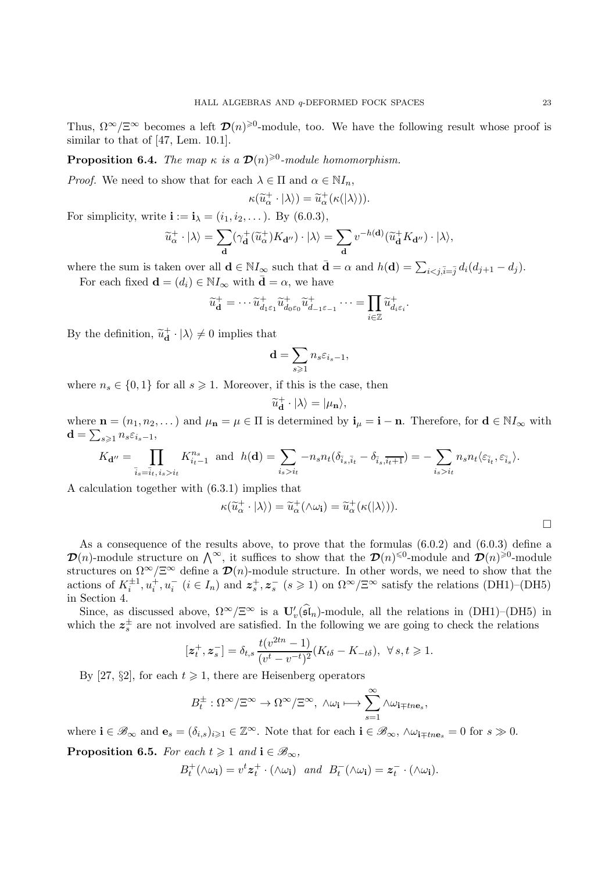Thus,  $\Omega^{\infty}/\Xi^{\infty}$  becomes a left  $\mathcal{D}(n)^{\geq 0}$ -module, too. We have the following result whose proof is similar to that of [47, Lem. 10.1].

**Proposition 6.4.** The map  $\kappa$  is a  $\mathcal{D}(n)^{\geq 0}$ -module homomorphism.

*Proof.* We need to show that for each  $\lambda \in \Pi$  and  $\alpha \in \mathbb{N}I_n$ ,

$$
\kappa(\widetilde{u}_{\alpha}^+\cdot|\lambda\rangle)=\widetilde{u}_{\alpha}^+(\kappa(|\lambda\rangle)).
$$

For simplicity, write  $\mathbf{i} := \mathbf{i}_{\lambda} = (i_1, i_2, \dots)$ . By  $(6.0.3)$ ,

$$
\widetilde{u}_{\alpha}^{+}\cdot|\lambda\rangle=\sum_{\mathbf{d}}(\gamma_{\mathbf{d}}^{+}(\widetilde{u}_{\alpha}^{+})K_{\mathbf{d}''})\cdot|\lambda\rangle=\sum_{\mathbf{d}}v^{-h(\mathbf{d})}(\widetilde{u}_{\mathbf{d}}^{+}K_{\mathbf{d}''})\cdot|\lambda\rangle,
$$

where the sum is taken over all  $\mathbf{d} \in \mathbb{N} I_{\infty}$  such that  $\bar{\mathbf{d}} = \alpha$  and  $h(\mathbf{d}) = \sum_{i \le j, \bar{i} = \bar{j}} d_i (d_{j+1} - d_j)$ .

For each fixed  $\mathbf{d} = (d_i) \in \mathbb{N} I_{\infty}$  with  $\bar{\mathbf{d}} = \alpha$ , we have

$$
\widetilde{u}_{\mathbf{d}}^+ = \cdots \widetilde{u}_{d_1\varepsilon_1}^+ \widetilde{u}_{d_0\varepsilon_0}^+ \widetilde{u}_{d_{-1}\varepsilon_{-1}}^+ \cdots = \prod_{i \in \mathbb{Z}} \widetilde{u}_{d_i\varepsilon_i}^+.
$$

By the definition,  $\tilde{u}_{\mathbf{d}}^{+}\cdot |\lambda\rangle \neq 0$  implies that

$$
\mathbf{d} = \sum_{s \geqslant 1} n_s \varepsilon_{i_s - 1},
$$

where  $n_s \in \{0,1\}$  for all  $s \geq 1$ . Moreover, if this is the case, then

$$
\widetilde{u}_{\mathbf{d}}^{+}\cdot |\lambda\rangle = |\mu_{\mathbf{n}}\rangle,
$$

where  $\mathbf{n} = (n_1, n_2, \dots)$  and  $\mu_{\mathbf{n}} = \mu \in \Pi$  is determined by  $\mathbf{i}_{\mu} = \mathbf{i} - \mathbf{n}$ . Therefore, for  $\mathbf{d} \in \mathbb{N} I_{\infty}$  with  $\mathbf{d} = \sum_{s\geqslant 1} n_s \varepsilon_{i_s-1},$ 

$$
K_{\mathbf{d}''} = \prod_{\overline{i}_s = \overline{i}_t, i_s > i_t} K_{i_t-1}^{n_s} \text{ and } h(\mathbf{d}) = \sum_{i_s > i_t} -n_s n_t (\delta_{\overline{i}_s, \overline{i}_t} - \delta_{\overline{i}_s, \overline{i}_t+1}) = -\sum_{i_s > i_t} n_s n_t \langle \varepsilon_{\overline{i}_t}, \varepsilon_{\overline{i}_s} \rangle.
$$

A calculation together with (6.3.1) implies that

$$
\kappa(\widetilde{u}_{\alpha}^+ \cdot |\lambda\rangle) = \widetilde{u}_{\alpha}^+ (\wedge \omega_{\mathbf{i}}) = \widetilde{u}_{\alpha}^+ (\kappa(|\lambda\rangle)).
$$

 $\Box$ 

As a consequence of the results above, to prove that the formulas  $(6.0.2)$  and  $(6.0.3)$  define a  $\mathcal{D}(n)$ -module structure on  $\bigwedge^{\infty}$ , it suffices to show that the  $\mathcal{D}(n)^{\leq 0}$ -module and  $\mathcal{D}(n)^{\geq 0}$ -module structures on  $\Omega^{\infty}/\Xi^{\infty}$  define a  $\mathcal{D}(n)$ -module structure. In other words, we need to show that the actions of  $K_i^{\pm 1}, u_i^+, u_i^ (i \in I_n)$  and  $z_s^+, z_s^ (s \geq 1)$  on  $\Omega^{\infty}/\Xi^{\infty}$  satisfy the relations (DH1)–(DH5) in Section 4.

Since, as discussed above,  $\Omega^{\infty}/\Xi^{\infty}$  is a  $\mathbf{U}'_v(\mathfrak{sl}_n)$ -module, all the relations in (DH1)–(DH5) in which the  $z_s^{\pm}$  are not involved are satisfied. In the following we are going to check the relations

$$
[z_t^+, z_s^-] = \delta_{t,s} \, \frac{t(v^{2tn} - 1)}{(v^t - v^{-t})^2} (K_{t\delta} - K_{-t\delta}), \ \forall \, s, t \geq 1.
$$

By [27, §2], for each  $t \geq 1$ , there are Heisenberg operators

$$
B_t^{\pm}:\Omega^{\infty}/\Xi^{\infty}\to\Omega^{\infty}/\Xi^{\infty}, \ \wedge\omega_{\mathbf{i}}\longmapsto\sum_{s=1}^{\infty}\wedge\omega_{\mathbf{i}\mp t n\mathbf{e}_s},
$$

where  $\mathbf{i} \in \mathscr{B}_{\infty}$  and  $\mathbf{e}_s = (\delta_{i,s})_{i\geq 1} \in \mathbb{Z}^{\infty}$ . Note that for each  $\mathbf{i} \in \mathscr{B}_{\infty}$ ,  $\wedge \omega_{\mathbf{i} \pm tne_s} = 0$  for  $s \gg 0$ . **Proposition 6.5.** For each  $t \geq 1$  and  $i \in \mathcal{B}_{\infty}$ ,

$$
B_t^+(\wedge \omega_{\mathbf{i}}) = v^t z_t^+ \cdot (\wedge \omega_{\mathbf{i}}) \quad and \quad B_t^-(\wedge \omega_{\mathbf{i}}) = z_t^- \cdot (\wedge \omega_{\mathbf{i}}).
$$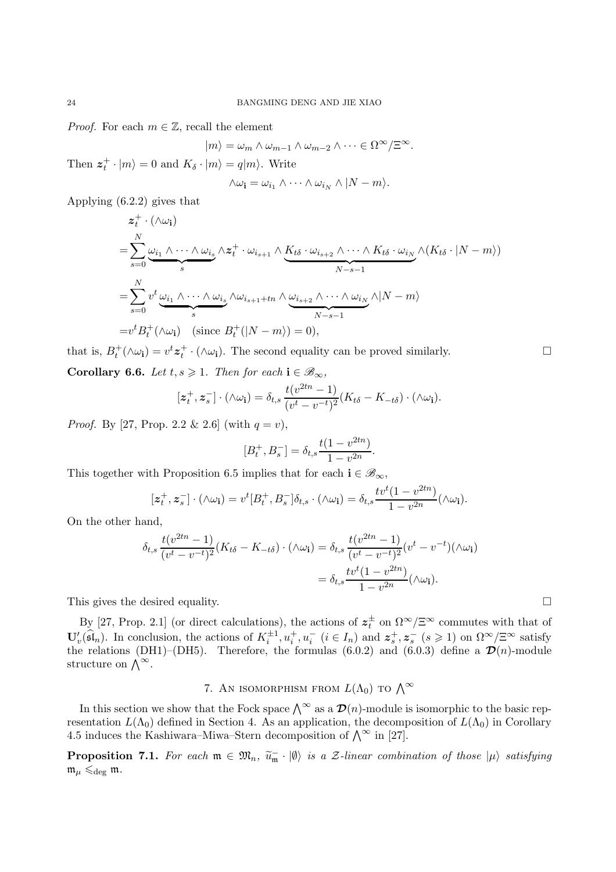*Proof.* For each  $m \in \mathbb{Z}$ , recall the element

$$
|m\rangle = \omega_m \wedge \omega_{m-1} \wedge \omega_{m-2} \wedge \cdots \in \Omega^{\infty}/\Xi^{\infty}.
$$

Then  $z_t^+ \cdot |m\rangle = 0$  and  $K_\delta \cdot |m\rangle = q|m\rangle$ . Write

$$
\wedge \omega_{\mathbf{i}} = \omega_{i_1} \wedge \cdots \wedge \omega_{i_N} \wedge |N - m\rangle.
$$

Applying (6.2.2) gives that

$$
z_t^+ \cdot (\wedge \omega_i)
$$
  
=  $\sum_{s=0}^N \underbrace{\omega_{i_1} \wedge \cdots \wedge \omega_{i_s}}_{s} \wedge z_t^+ \cdot \omega_{i_{s+1}} \wedge \underbrace{K_{t\delta} \cdot \omega_{i_{s+2}} \wedge \cdots \wedge K_{t\delta} \cdot \omega_{i_N}}_{N-s-1} \wedge (K_{t\delta} \cdot |N-m\rangle)$   
=  $\sum_{s=0}^N v^t \underbrace{\omega_{i_1} \wedge \cdots \wedge \omega_{i_s}}_{s} \wedge \omega_{i_{s+1}+tn} \wedge \underbrace{\omega_{i_{s+2}} \wedge \cdots \wedge \omega_{i_N}}_{N-s-1} \wedge |N-m\rangle$   
=  $v^t B_t^+ (\wedge \omega_i) \quad (\text{since } B_t^+ (|N-m\rangle) = 0),$ 

that is,  $B_t^+(\wedge \omega_i) = v^t z_t^+ \cdot (\wedge \omega_i)$ . The second equality can be proved similarly. Corollary 6.6. Let  $t, s \geq 1$ . Then for each  $i \in \mathcal{B}_{\infty}$ ,

$$
[\mathbf{z}_t^+, \mathbf{z}_s^-] \cdot (\wedge \omega_{\mathbf{i}}) = \delta_{t,s} \frac{t(v^{2tn} - 1)}{(v^t - v^{-t})^2} (K_{t\delta} - K_{-t\delta}) \cdot (\wedge \omega_{\mathbf{i}}).
$$

*Proof.* By [27, Prop. 2.2 & 2.6] (with  $q = v$ ),

$$
[B_t^+, B_s^-] = \delta_{t,s} \frac{t(1 - v^{2tn})}{1 - v^{2n}}.
$$

This together with Proposition 6.5 implies that for each  $i \in \mathcal{B}_{\infty}$ ,

$$
[z_t^+, z_s^-] \cdot (\wedge \omega_{\mathbf{i}}) = v^t[B_t^+, B_s^-] \delta_{t,s} \cdot (\wedge \omega_{\mathbf{i}}) = \delta_{t,s} \frac{t v^t (1 - v^{2tn})}{1 - v^{2n}} (\wedge \omega_{\mathbf{i}}).
$$

On the other hand,

$$
\delta_{t,s} \frac{t(v^{2tn} - 1)}{(v^t - v^{-t})^2} (K_{t\delta} - K_{-t\delta}) \cdot (\wedge \omega_{\mathbf{i}}) = \delta_{t,s} \frac{t(v^{2tn} - 1)}{(v^t - v^{-t})^2} (v^t - v^{-t}) (\wedge \omega_{\mathbf{i}})
$$

$$
= \delta_{t,s} \frac{tv^t (1 - v^{2tn})}{1 - v^{2n}} (\wedge \omega_{\mathbf{i}}).
$$

This gives the desired equality.

By [27, Prop. 2.1] (or direct calculations), the actions of  $z_t^{\pm}$  on  $\Omega^{\infty}/\Xi^{\infty}$  commutes with that of  $\mathbf{U}'_v(\widehat{\mathfrak{sl}}_n)$ . In conclusion, the actions of  $K_i^{\pm 1}, u_i^+, u_i^ (i \in I_n)$  and  $z_s^+, z_s^-(s \geq 1)$  on  $\Omega^{\infty}/\Xi^{\infty}$  satisfy the relations (DH1)–(DH5). Therefore, the formulas (6.0.2) and (6.0.3) define a  $\mathcal{D}(n)$ -module structure on  $\bigwedge^{\infty}$ .

# 7. AN ISOMORPHISM FROM  $L(\Lambda_0)$  to  $\Lambda^\infty$

In this section we show that the Fock space  $\bigwedge^{\infty}$  as a  $\mathcal{D}(n)$ -module is isomorphic to the basic representation  $L(\Lambda_0)$  defined in Section 4. As an application, the decomposition of  $L(\Lambda_0)$  in Corollary 4.5 induces the Kashiwara–Miwa–Stern decomposition of  $\bigwedge^{\infty}$  in [27].

**Proposition 7.1.** For each  $\mathfrak{m} \in \mathfrak{M}_n$ ,  $\widetilde{u}_{\mathfrak{m}} \cdot |\emptyset\rangle$  is a Z-linear combination of those  $|\mu\rangle$  satisfying  $\mathfrak{m}_{\mu}\leqslant_{\deg}\mathfrak{m}.$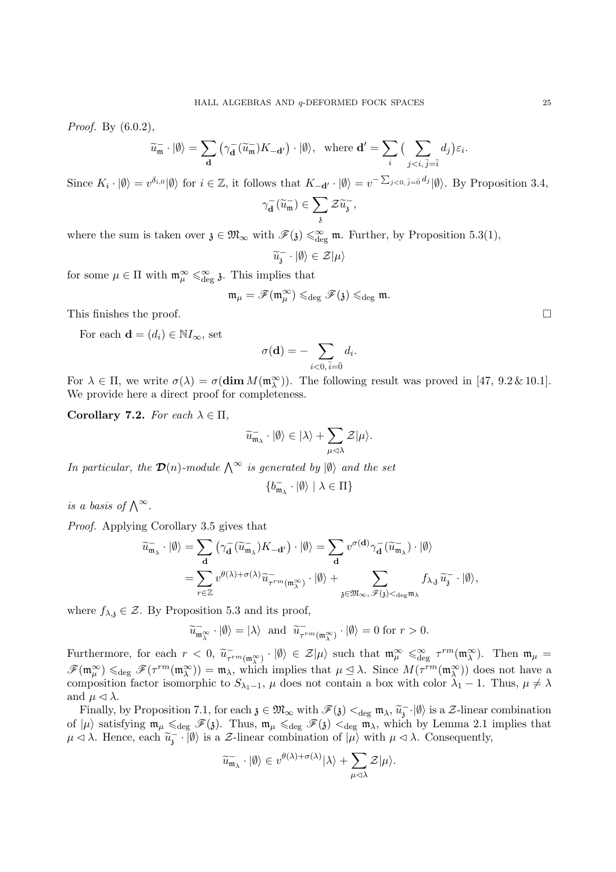*Proof.* By  $(6.0.2)$ ,

$$
\widetilde{u}_{\mathfrak{m}} \cdot |\emptyset\rangle = \sum_{\mathbf{d}} \left( \gamma_{\mathbf{d}}^{-} (\widetilde{u}_{\mathfrak{m}}^{-}) K_{-\mathbf{d}'} \right) \cdot |\emptyset\rangle, \text{ where } \mathbf{d}' = \sum_{i} \left( \sum_{j < i, \overline{j} = \overline{i}} d_{j} \right) \varepsilon_{i}
$$

Since  $K_i \cdot |\emptyset\rangle = v^{\delta_{i,0}} |\emptyset\rangle$  for  $i \in \mathbb{Z}$ , it follows that  $K_{-\mathbf{d}'} \cdot |\emptyset\rangle = v^{-\sum_{j < 0, \bar{j} = \bar{0}} d_j} |\emptyset\rangle$ . By Proposition 3.4,

$$
\gamma_{\mathbf{d}}^-(\widetilde{u}_{\mathfrak{m}}^-)\in \sum_{\mathfrak{z}}\mathcal{Z}\widetilde{u}_{\mathfrak{z}}^-,\qquad
$$

where the sum is taken over  $\mathfrak{z} \in \mathfrak{M}_{\infty}$  with  $\mathscr{F}(\mathfrak{z}) \leq \mathfrak{g}_{\text{deg}}$  m. Further, by Proposition 5.3(1),

$$
\widetilde{u}_{\mathfrak{z}}^{\mathfrak{-}}\cdot|\emptyset\rangle\in\mathcal{Z}|\mu\rangle
$$

for some  $\mu \in \Pi$  with  $\mathfrak{m}_{\mu}^{\infty} \leq \mathfrak{m}_{\text{deg}}$  3. This implies that

$$
\mathfrak{m}_{\mu}=\mathscr{F}(\mathfrak{m}_{\mu}^{\infty})\leqslant_{\deg}\mathscr{F}(\mathfrak{z})\leqslant_{\deg}\mathfrak{m}.
$$

This finishes the proof.  $\Box$ 

For each  $\mathbf{d} = (d_i) \in \mathbb{N} I_{\infty}$ , set

$$
\sigma(\mathbf{d}) = -\sum_{i<0, \bar{i}=\bar{0}} d_i.
$$

For  $\lambda \in \Pi$ , we write  $\sigma(\lambda) = \sigma(\dim M(\mathfrak{m}_{\lambda}^{\infty}))$ . The following result was proved in [47, 9.2 & 10.1]. We provide here a direct proof for completeness.

Corollary 7.2. For each  $\lambda \in \Pi$ ,

$$
\widetilde{u}_{\mathfrak{m}_\lambda}^-\cdot |\emptyset\rangle \in |\lambda\rangle + \sum_{\mu\lhd \lambda} \mathcal{Z}|\mu\rangle.
$$

In particular, the  $\mathcal{D}(n)$ -module  $\bigwedge^{\infty}$  is generated by  $|\emptyset\rangle$  and the set

$$
\{b^-_{\mathfrak{m}_\lambda}\cdot|\emptyset\rangle\mid\lambda\in\Pi\}
$$

is a basis of  $\bigwedge^{\infty}$ .

Proof. Applying Corollary 3.5 gives that

$$
\widetilde{u}_{\mathfrak{m}_{\lambda}} \cdot |\emptyset\rangle = \sum_{\mathbf{d}} (\gamma_{\mathbf{d}}^{-}(\widetilde{u}_{\mathfrak{m}_{\lambda}}^{-}) K_{-\mathbf{d}'} ) \cdot |\emptyset\rangle = \sum_{\mathbf{d}} v^{\sigma(\mathbf{d})} \gamma_{\mathbf{d}}^{-}(\widetilde{u}_{\mathfrak{m}_{\lambda}}^{-}) \cdot |\emptyset\rangle \n= \sum_{r \in \mathbb{Z}} v^{\theta(\lambda) + \sigma(\lambda)} \widetilde{u}_{\tau^{rm}(\mathfrak{m}_{\lambda}^{\infty})} \cdot |\emptyset\rangle + \sum_{\mathfrak{z} \in \mathfrak{M}_{\infty}, \mathscr{F}(\mathfrak{z}) <_{\deg \mathfrak{m}_{\lambda}}} f_{\lambda, \mathfrak{z}} \widetilde{u}_{\mathfrak{z}}^{-} \cdot |\emptyset\rangle,
$$

where  $f_{\lambda,i} \in \mathcal{Z}$ . By Proposition 5.3 and its proof,

$$
\widetilde{u}_{\mathfrak{m}_{\lambda}^{\infty}} \cdot |\emptyset\rangle = |\lambda\rangle \text{ and } \widetilde{u}_{\tau^{rm}(\mathfrak{m}_{\lambda}^{\infty})} \cdot |\emptyset\rangle = 0 \text{ for } r > 0.
$$

Furthermore, for each  $r < 0$ ,  $\tilde{u}_{\tau^{rm}(\mathfrak{m}_{\lambda}^{\infty})} \cdot |\emptyset\rangle \in \mathcal{Z}|\mu\rangle$  such that  $\mathfrak{m}_{\mu}^{\infty} \leq \mathfrak{g}_{\text{deg}}^{\infty} \tau^{rm}(\mathfrak{m}_{\lambda}^{\infty})$ . Then  $\mathfrak{m}_{\mu} =$  $\mathscr{F}(\mathfrak{m}_{\mu}^{\infty}) \leq \deg \mathscr{F}(\tau^{rm}(\mathfrak{m}_{\lambda}^{\infty})) = \mathfrak{m}_{\lambda}$ , which implies that  $\mu \leq \lambda$ . Since  $M(\tau^{rm}(\mathfrak{m}_{\lambda}^{\infty}))$  does not have a composition factor isomorphic to  $S_{\lambda_1-1}$ ,  $\mu$  does not contain a box with color  $\lambda_1-1$ . Thus,  $\mu \neq \lambda$ and  $\mu \triangleleft \lambda$ .

Finally, by Proposition 7.1, for each  $\mathfrak{z} \in \mathfrak{M}_{\infty}$  with  $\mathscr{F}(\mathfrak{z}) <_{\text{deg}} \mathfrak{m}_{\lambda}, \widetilde{u}_{\mathfrak{z}}^{-} \cdot |0\rangle$  is a Z-linear combination of  $|\mu\rangle$  satisfying  $\mathfrak{m}_{\mu} \leq_{\text{deg}} \mathscr{F}(\mathfrak{z})$ . Thus,  $\mathfrak{m}_{\mu} \leq_{\text{deg}} \mathscr{F}(\mathfrak{z}) <_{\text{deg}} \mathfrak{m}_{\lambda}$ , which by Lemma 2.1 implies that  $\mu \lhd \lambda$ . Hence, each  $\widetilde{u}_j^-\cdot |\emptyset\rangle$  is a  $\mathcal{Z}\text{-linear combination of }|\mu\rangle$  with  $\mu \lhd \lambda$ . Consequently,

$$
\widetilde{u}_{\mathfrak{m}_\lambda}^-\cdot |\emptyset\rangle \in v^{\theta(\lambda)+\sigma(\lambda)}|\lambda\rangle + \sum_{\mu\lhd \lambda}\mathcal{Z}|\mu\rangle.
$$

.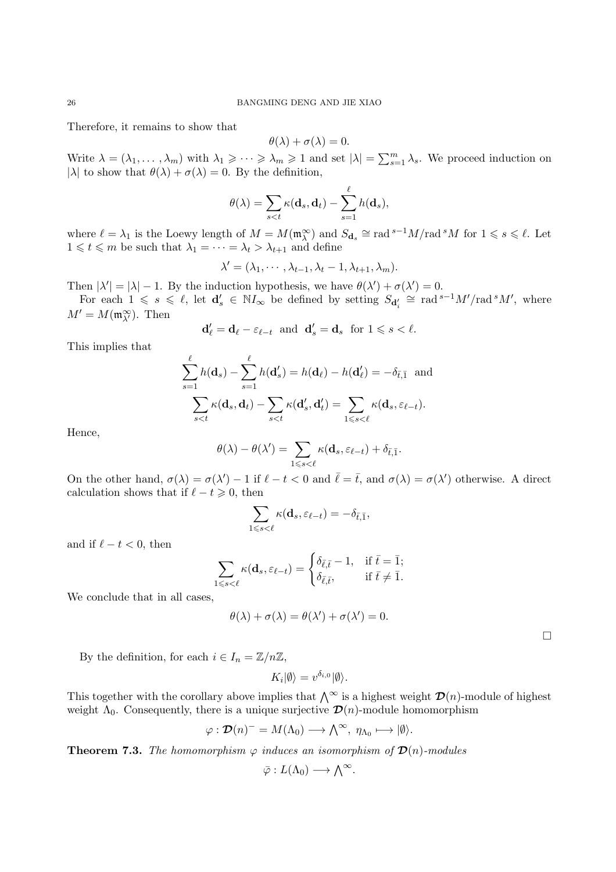Therefore, it remains to show that

$$
\theta(\lambda) + \sigma(\lambda) = 0.
$$

Write  $\lambda = (\lambda_1, \dots, \lambda_m)$  with  $\lambda_1 \geqslant \dots \geqslant \lambda_m \geqslant 1$  and set  $|\lambda| = \sum_{s=1}^m \lambda_s$ . We proceed induction on |λ| to show that  $\theta(\lambda) + \sigma(\lambda) = 0$ . By the definition,

$$
\theta(\lambda) = \sum_{s < t} \kappa(\mathbf{d}_s, \mathbf{d}_t) - \sum_{s=1}^{\ell} h(\mathbf{d}_s),
$$

where  $\ell = \lambda_1$  is the Loewy length of  $M = M(\mathfrak{m}_{\lambda}^{\infty})$  and  $S_{d_s} \cong \text{rad}^{s-1}M/\text{rad}^sM$  for  $1 \leqslant s \leqslant \ell$ . Let  $1 \leq t \leq m$  be such that  $\lambda_1 = \cdots = \lambda_t > \lambda_{t+1}$  and define

$$
\lambda' = (\lambda_1, \cdots, \lambda_{t-1}, \lambda_t - 1, \lambda_{t+1}, \lambda_m).
$$

Then  $|\lambda'| = |\lambda| - 1$ . By the induction hypothesis, we have  $\theta(\lambda') + \sigma(\lambda') = 0$ .

For each  $1 \le s \le \ell$ , let  $\mathbf{d}'_s \in \mathbb{N}I_\infty$  be defined by setting  $S_{\mathbf{d}'_i} \cong \text{rad}^{s-1}M'/\text{rad}^sM'$ , where  $M' = M(\mathfrak{m}_{\lambda'}^{\infty})$ . Then

$$
\mathbf{d}_{\ell}' = \mathbf{d}_{\ell} - \varepsilon_{\ell-t} \text{ and } \mathbf{d}_{s}' = \mathbf{d}_{s} \text{ for } 1 \leq s < \ell.
$$

This implies that

$$
\sum_{s=1}^{\ell} h(\mathbf{d}_s) - \sum_{s=1}^{\ell} h(\mathbf{d}'_s) = h(\mathbf{d}_{\ell}) - h(\mathbf{d}'_{\ell}) = -\delta_{\bar{t},\bar{1}} \text{ and}
$$

$$
\sum_{s
$$

Hence,

$$
\theta(\lambda) - \theta(\lambda') = \sum_{1 \leq s < \ell} \kappa(\mathbf{d}_s, \varepsilon_{\ell-t}) + \delta_{\bar{t},\bar{1}}.
$$

On the other hand,  $\sigma(\lambda) = \sigma(\lambda') - 1$  if  $\ell - t < 0$  and  $\bar{\ell} = \bar{t}$ , and  $\sigma(\lambda) = \sigma(\lambda')$  otherwise. A direct calculation shows that if  $\ell - t \geq 0$ , then

$$
\sum_{1\leqslant s<\ell}\kappa({\bf d}_s,\varepsilon_{\ell-t})=-\delta_{\bar t,\bar 1},
$$

and if  $\ell - t < 0$ , then

$$
\sum_{1\leqslant s<\ell}\kappa(\mathbf{d}_s,\varepsilon_{\ell-t})=\begin{cases} \delta_{\bar\ell,\bar t}-1, & \text{if } \bar t=\bar 1; \\ \delta_{\bar\ell,\bar t}, & \text{if } \bar t\neq \bar 1. \end{cases}
$$

We conclude that in all cases,

$$
\theta(\lambda) + \sigma(\lambda) = \theta(\lambda') + \sigma(\lambda') = 0.
$$

 $\Box$ 

By the definition, for each  $i \in I_n = \mathbb{Z}/n\mathbb{Z}$ ,

$$
K_i|\emptyset\rangle = v^{\delta_{i,0}}|\emptyset\rangle.
$$

This together with the corollary above implies that  $\bigwedge^{\infty}$  is a highest weight  $\mathcal{D}(n)$ -module of highest weight  $\Lambda_0$ . Consequently, there is a unique surjective  $\mathcal{D}(n)$ -module homomorphism

$$
\varphi: \mathcal{D}(n)^{-} = M(\Lambda_0) \longrightarrow \bigwedge^{\infty}, \ \eta_{\Lambda_0} \longmapsto |\emptyset\rangle.
$$

**Theorem 7.3.** The homomorphism  $\varphi$  induces an isomorphism of  $\mathcal{D}(n)$ -modules

$$
\bar{\varphi}:L(\Lambda_0)\longrightarrow \bigwedge^\infty.
$$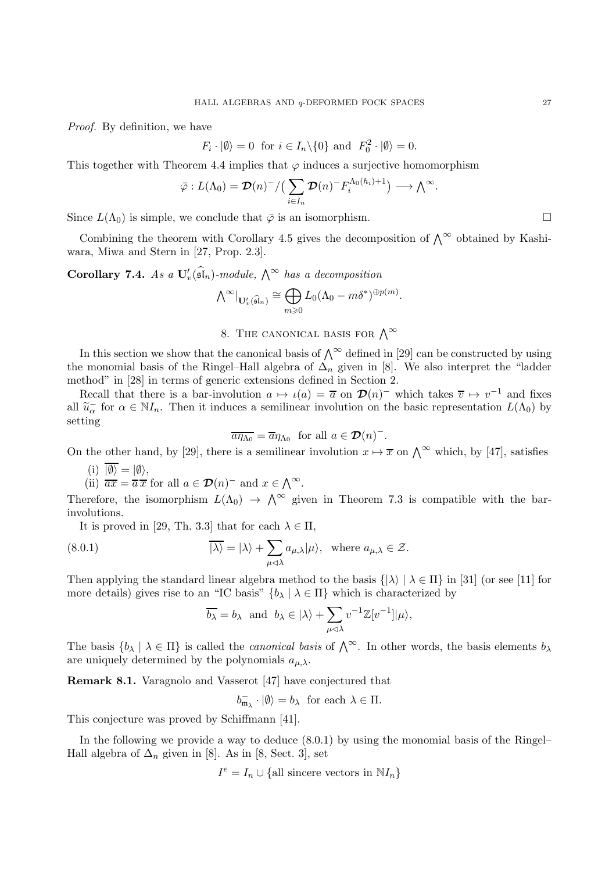Proof. By definition, we have

$$
F_i \cdot |\emptyset\rangle = 0
$$
 for  $i \in I_n \setminus \{0\}$  and  $F_0^2 \cdot |\emptyset\rangle = 0$ .

This together with Theorem 4.4 implies that  $\varphi$  induces a surjective homomorphism

$$
\bar{\varphi}: L(\Lambda_0) = \mathcal{D}(n)^{-}/\left(\sum_{i\in I_n} \mathcal{D}(n)^{-} F_i^{\Lambda_0(h_i)+1}\right) \longrightarrow \Lambda^{\infty}.
$$

Since  $L(\Lambda_0)$  is simple, we conclude that  $\bar{\varphi}$  is an isomorphism.

Combining the theorem with Corollary 4.5 gives the decomposition of  $\bigwedge^{\infty}$  obtained by Kashiwara, Miwa and Stern in [27, Prop. 2.3].

Corollary 7.4. As a  $\mathbf{U}'_v(\widehat{\mathfrak{sl}}_n)$ -module,  $\bigwedge^\infty$  has a decomposition

$$
\textstyle{\bigwedge}^{\infty} \vert_{\mathbf U'_v(\widehat{\mathfrak{sl}}_n)} \cong \bigoplus_{m \geqslant 0} L_0 (\Lambda_0 - m \delta^*)^{\oplus p(m)}.
$$

# 8. THE CANONICAL BASIS FOR  $\bigwedge^{\infty}$

In this section we show that the canonical basis of  $\bigwedge^{\infty}$  defined in [29] can be constructed by using the monomial basis of the Ringel–Hall algebra of  $\Delta_n$  given in [8]. We also interpret the "ladder" method" in [28] in terms of generic extensions defined in Section 2.

Recall that there is a bar-involution  $a \mapsto \iota(a) = \overline{a}$  on  $\mathcal{D}(n)^-$  which takes  $\overline{v} \mapsto v^{-1}$  and fixes all  $\widetilde{u}_{\alpha}^-$  for  $\alpha \in \mathbb{N}I_n$ . Then it induces a semilinear involution on the basic representation  $L(\Lambda_0)$  by setting

$$
\overline{a\eta_{\Lambda_0}} = \overline{a}\eta_{\Lambda_0} \text{ for all } a \in \mathcal{D}(n)^-\text{.}
$$

On the other hand, by [29], there is a semilinear involution  $x \mapsto \overline{x}$  on  $\bigwedge^{\infty}$  which, by [47], satisfies

$$
\lim_{(ii)} |\emptyset\rangle = |\emptyset\rangle,
$$

(ii) 
$$
\overline{ax} = \overline{a} \overline{x}
$$
 for all  $a \in \mathcal{D}(n)^-$  and  $x \in \Lambda^{\infty}$ .

Therefore, the isomorphism  $L(\Lambda_0) \to \Lambda^\infty$  given in Theorem 7.3 is compatible with the barinvolutions.

It is proved in [29, Th. 3.3] that for each  $\lambda \in \Pi$ ,

(8.0.1) 
$$
\overline{|\lambda\rangle} = |\lambda\rangle + \sum_{\mu \triangleleft \lambda} a_{\mu,\lambda} |\mu\rangle, \text{ where } a_{\mu,\lambda} \in \mathcal{Z}.
$$

Then applying the standard linear algebra method to the basis  $\{|\lambda\rangle | \lambda \in \Pi\}$  in [31] (or see [11] for more details) gives rise to an "IC basis"  $\{b_\lambda \mid \lambda \in \Pi\}$  which is characterized by

$$
\overline{b_{\lambda}} = b_{\lambda}
$$
 and  $b_{\lambda} \in |\lambda\rangle + \sum_{\mu \lhd \lambda} v^{-1} \mathbb{Z}[v^{-1}]|\mu\rangle$ ,

The basis  $\{b_\lambda \mid \lambda \in \Pi\}$  is called the *canonical basis* of  $\bigwedge^\infty$ . In other words, the basis elements  $b_\lambda$ are uniquely determined by the polynomials  $a_{\mu,\lambda}$ .

Remark 8.1. Varagnolo and Vasserot [47] have conjectured that

$$
b_{\mathfrak{m}_{\lambda}}^{-}\cdot |\emptyset\rangle = b_{\lambda} \text{ for each } \lambda \in \Pi.
$$

This conjecture was proved by Schiffmann [41].

In the following we provide a way to deduce (8.0.1) by using the monomial basis of the Ringel– Hall algebra of  $\Delta_n$  given in [8]. As in [8, Sect. 3], set

$$
I^e = I_n \cup \{\text{all sincere vectors in } \mathbb{N}I_n\}
$$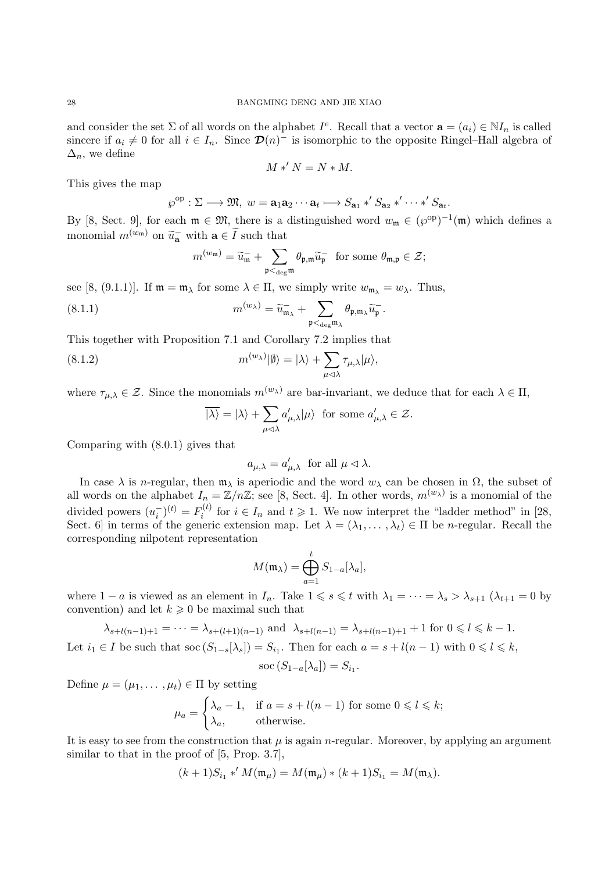and consider the set  $\Sigma$  of all words on the alphabet  $I^e$ . Recall that a vector  $\mathbf{a} = (a_i) \in \mathbb{N}I_n$  is called sincere if  $a_i \neq 0$  for all  $i \in I_n$ . Since  $\mathcal{D}(n)^-$  is isomorphic to the opposite Ringel–Hall algebra of  $\Delta_n$ , we define

$$
M *' N = N * M.
$$

This gives the map

$$
\wp^{\mathrm{op}}:\Sigma\longrightarrow\mathfrak{M},\ w=\mathbf{a}_1\mathbf{a}_2\cdots\mathbf{a}_t\longmapsto S_{\mathbf{a}_1}\ast' S_{\mathbf{a}_2}\ast'\cdots\ast' S_{\mathbf{a}_t}.
$$

By [8, Sect. 9], for each  $\mathfrak{m} \in \mathfrak{M}$ , there is a distinguished word  $w_{\mathfrak{m}} \in (\wp^{\text{op}})^{-1}(\mathfrak{m})$  which defines a monomial  $m^{(w_m)}$  on  $\widetilde{u}_a^-$  with  $a \in \widetilde{I}$  such that

$$
m^{(w_{\mathfrak{m}})} = \widetilde{u}_{\mathfrak{m}}^- + \sum_{\mathfrak{p} <_{\deg} \mathfrak{m}} \theta_{\mathfrak{p},\mathfrak{m}} \widetilde{u}_{\mathfrak{p}}^- \ \text{ for some } \theta_{\mathfrak{m},\mathfrak{p}} \in \mathcal{Z};
$$

see [8, (9.1.1)]. If  $\mathfrak{m} = \mathfrak{m}_{\lambda}$  for some  $\lambda \in \Pi$ , we simply write  $w_{\mathfrak{m}_{\lambda}} = w_{\lambda}$ . Thus,

(8.1.1) 
$$
m^{(w_{\lambda})} = \widetilde{u}_{\mathfrak{m}_{\lambda}} + \sum_{\mathfrak{p} <_{\text{deg}} \mathfrak{m}_{\lambda}} \theta_{\mathfrak{p}, \mathfrak{m}_{\lambda}} \widetilde{u}_{\mathfrak{p}}^-.
$$

This together with Proposition 7.1 and Corollary 7.2 implies that

(8.1.2) 
$$
m^{(w_{\lambda})}|\emptyset\rangle = |\lambda\rangle + \sum_{\mu \triangleleft \lambda} \tau_{\mu,\lambda}|\mu\rangle,
$$

where  $\tau_{\mu,\lambda} \in \mathcal{Z}$ . Since the monomials  $m^{(w_{\lambda})}$  are bar-invariant, we deduce that for each  $\lambda \in \Pi$ ,

$$
\overline{|\lambda\rangle} = |\lambda\rangle + \sum_{\mu \lhd \lambda} a'_{\mu,\lambda} |\mu\rangle \text{ for some } a'_{\mu,\lambda} \in \mathcal{Z}.
$$

Comparing with (8.0.1) gives that

$$
a_{\mu,\lambda} = a'_{\mu,\lambda}
$$
 for all  $\mu \lhd \lambda$ .

In case  $\lambda$  is *n*-regular, then  $\mathfrak{m}_{\lambda}$  is aperiodic and the word  $w_{\lambda}$  can be chosen in  $\Omega$ , the subset of all words on the alphabet  $I_n = \mathbb{Z}/n\mathbb{Z}$ ; see [8, Sect. 4]. In other words,  $m^{(w_\lambda)}$  is a monomial of the divided powers  $(u_i^-)^{(t)} = F_i^{(t)}$  $i^{(t)}$  for  $i \in I_n$  and  $t \geq 1$ . We now interpret the "ladder method" in [28, Sect. 6] in terms of the generic extension map. Let  $\lambda = (\lambda_1, \dots, \lambda_t) \in \Pi$  be *n*-regular. Recall the corresponding nilpotent representation

$$
M(\mathfrak{m}_{\lambda}) = \bigoplus_{a=1}^{t} S_{1-a}[\lambda_a],
$$

where  $1 - a$  is viewed as an element in  $I_n$ . Take  $1 \leq s \leq t$  with  $\lambda_1 = \cdots = \lambda_s > \lambda_{s+1}$   $(\lambda_{t+1} = 0$  by convention) and let  $k \geqslant 0$  be maximal such that

$$
\lambda_{s+l(n-1)+1} = \dots = \lambda_{s+(l+1)(n-1)}
$$
 and 
$$
\lambda_{s+l(n-1)} = \lambda_{s+l(n-1)+1} + 1
$$
 for  $0 \le l \le k - 1$ .  
Let  $i_1 \in I$  be such that  $soc(S_{1-s}[\lambda_s]) = S_{i_1}$ . Then for each  $a = s + l(n-1)$  with  $0 \le l \le k$ ,

$$
\operatorname{soc}\left(S_{1-a}[\lambda_a]\right)=S_{i_1}
$$

.

Define  $\mu = (\mu_1, \dots, \mu_t) \in \Pi$  by setting

$$
\mu_a = \begin{cases} \lambda_a - 1, & \text{if } a = s + l(n-1) \text{ for some } 0 \leq l \leq k; \\ \lambda_a, & \text{otherwise.} \end{cases}
$$

It is easy to see from the construction that  $\mu$  is again *n*-regular. Moreover, by applying an argument similar to that in the proof of  $[5, Prop. 3.7]$ ,

$$
(k+1)S_{i_1} *' M(\mathfrak{m}_{\mu}) = M(\mathfrak{m}_{\mu}) * (k+1)S_{i_1} = M(\mathfrak{m}_{\lambda}).
$$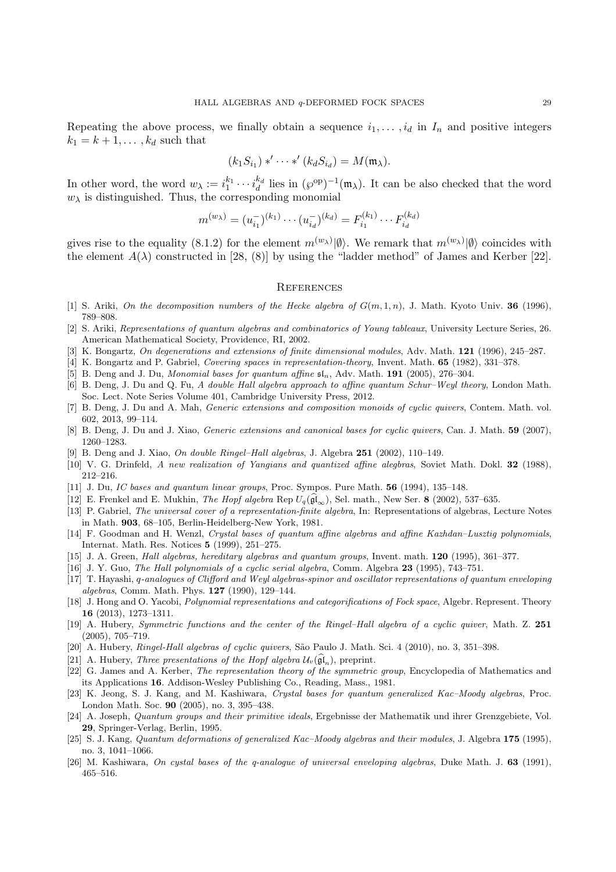Repeating the above process, we finally obtain a sequence  $i_1, \ldots, i_d$  in  $I_n$  and positive integers  $k_1 = k + 1, \ldots, k_d$  such that

$$
(k_1 S_{i_1}) *' \cdots *' (k_d S_{i_d}) = M(\mathfrak{m}_{\lambda}).
$$

In other word, the word  $w_\lambda := i_1^{k_1} \cdots i_d^{k_d}$  lies in  $({\wp}^{\text{op}})^{-1}({\mathfrak{m}}_\lambda)$ . It can be also checked that the word  $w_{\lambda}$  is distinguished. Thus, the corresponding monomial

$$
m^{(w_{\lambda})} = (u_{i_1}^{-})^{(k_1)} \cdots (u_{i_d}^{-})^{(k_d)} = F_{i_1}^{(k_1)} \cdots F_{i_d}^{(k_d)}
$$

gives rise to the equality (8.1.2) for the element  $m^{(w_{\lambda})}|\emptyset\rangle$ . We remark that  $m^{(w_{\lambda})}|\emptyset\rangle$  coincides with the element  $A(\lambda)$  constructed in [28, (8)] by using the "ladder method" of James and Kerber [22].

#### **REFERENCES**

- [1] S. Ariki, On the decomposition numbers of the Hecke algebra of  $G(m, 1, n)$ , J. Math. Kyoto Univ. **36** (1996), 789–808.
- [2] S. Ariki, Representations of quantum algebras and combinatorics of Young tableaux, University Lecture Series, 26. American Mathematical Society, Providence, RI, 2002.
- [3] K. Bongartz, On degenerations and extensions of finite dimensional modules, Adv. Math. 121 (1996), 245–287.
- [4] K. Bongartz and P. Gabriel, Covering spaces in representation-theory, Invent. Math. 65 (1982), 331–378.
- [5] B. Deng and J. Du, Monomial bases for quantum affine  $\mathfrak{sl}_n$ , Adv. Math. 191 (2005), 276–304.
- [6] B. Deng, J. Du and Q. Fu, A double Hall algebra approach to affine quantum Schur–Weyl theory, London Math. Soc. Lect. Note Series Volume 401, Cambridge University Press, 2012.
- [7] B. Deng, J. Du and A. Mah, Generic extensions and composition monoids of cyclic quivers, Contem. Math. vol. 602, 2013, 99–114.
- [8] B. Deng, J. Du and J. Xiao, *Generic extensions and canonical bases for cyclic quivers*, Can. J. Math. 59 (2007), 1260–1283.
- [9] B. Deng and J. Xiao, On double Ringel–Hall algebras, J. Algebra  $251$  (2002), 110–149.
- [10] V. G. Drinfeld, A new realization of Yangians and quantized affine alegbras, Soviet Math. Dokl. **32** (1988), 212–216.
- [11] J. Du, IC bases and quantum linear groups, Proc. Sympos. Pure Math. 56 (1994), 135–148.
- [12] E. Frenkel and E. Mukhin, *The Hopf algebra* Rep  $U_q(\widehat{\mathfrak{gl}}_{\infty})$ , Sel. math., New Ser. 8 (2002), 537–635.
- [13] P. Gabriel, The universal cover of a representation-finite algebra, In: Representations of algebras, Lecture Notes in Math. 903, 68–105, Berlin-Heidelberg-New York, 1981.
- [14] F. Goodman and H. Wenzl, Crystal bases of quantum affine algebras and affine Kazhdan–Lusztig polynomials, Internat. Math. Res. Notices 5 (1999), 251–275.
- [15] J. A. Green, Hall algebras, hereditary algebras and quantum groups, Invent. math. 120 (1995), 361–377.
- [16] J. Y. Guo, The Hall polynomials of a cyclic serial algebra, Comm. Algebra 23 (1995), 743-751.
- [17] T. Hayashi, q-analogues of Clifford and Weyl algebras-spinor and oscillator representations of quantum enveloping algebras, Comm. Math. Phys. 127 (1990), 129–144.
- [18] J. Hong and O. Yacobi, *Polynomial representations and categorifications of Fock space*, Algebr. Represent. Theory 16 (2013), 1273–1311.
- [19] A. Hubery, Symmetric functions and the center of the Ringel–Hall algebra of a cyclic quiver, Math. Z. 251 (2005), 705–719.
- [20] A. Hubery, Ringel-Hall algebras of cyclic quivers, São Paulo J. Math. Sci. 4 (2010), no. 3, 351–398.
- [21] A. Hubery, *Three presentations of the Hopf algebra*  $\mathcal{U}_v(\widehat{\mathfrak{gl}}_n)$ , preprint.
- [22] G. James and A. Kerber, The representation theory of the symmetric group, Encyclopedia of Mathematics and its Applications 16. Addison-Wesley Publishing Co., Reading, Mass., 1981.
- [23] K. Jeong, S. J. Kang, and M. Kashiwara, Crystal bases for quantum generalized Kac–Moody algebras, Proc. London Math. Soc. 90 (2005), no. 3, 395–438.
- [24] A. Joseph, Quantum groups and their primitive ideals, Ergebnisse der Mathematik und ihrer Grenzgebiete, Vol. 29, Springer-Verlag, Berlin, 1995.
- [25] S. J. Kang, Quantum deformations of generalized Kac–Moody algebras and their modules, J. Algebra 175 (1995), no. 3, 1041–1066.
- [26] M. Kashiwara, On cystal bases of the q-analogue of universal enveloping algebras, Duke Math. J. 63 (1991), 465–516.